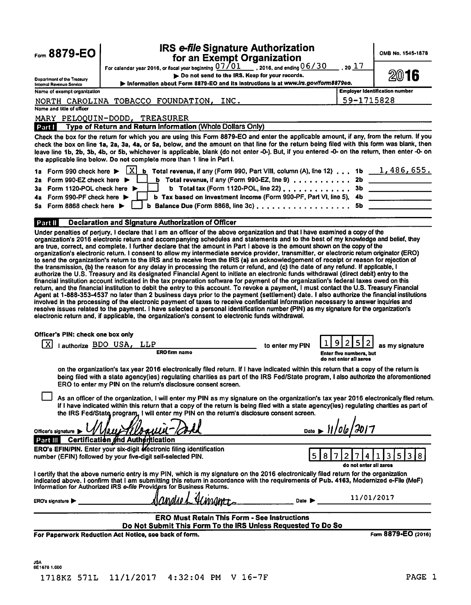| Form 8879-EO                                                                     | <b>IRS e-file Signature Authorization</b><br>for an Exempt Organization                                                                                                                                                                                                                                                                                                                                                                                                                                                                                                                                                                                                                                                                                                                                                                                                                                                                                                                                                                                                                                                                                                                                                                                                                                                                                                                 |                                                   | OMB No. 1545-1878                              |
|----------------------------------------------------------------------------------|-----------------------------------------------------------------------------------------------------------------------------------------------------------------------------------------------------------------------------------------------------------------------------------------------------------------------------------------------------------------------------------------------------------------------------------------------------------------------------------------------------------------------------------------------------------------------------------------------------------------------------------------------------------------------------------------------------------------------------------------------------------------------------------------------------------------------------------------------------------------------------------------------------------------------------------------------------------------------------------------------------------------------------------------------------------------------------------------------------------------------------------------------------------------------------------------------------------------------------------------------------------------------------------------------------------------------------------------------------------------------------------------|---------------------------------------------------|------------------------------------------------|
|                                                                                  | For calendar year 2016, or fiscal year beginning $07/01$ , 2016, and ending $06/30$                                                                                                                                                                                                                                                                                                                                                                                                                                                                                                                                                                                                                                                                                                                                                                                                                                                                                                                                                                                                                                                                                                                                                                                                                                                                                                     | $.20$ $17$                                        |                                                |
| Department of the Treasury<br>Internal Revenue Service                           | Do not send to the IRS. Keep for your records.<br>Information about Form 8879-EO and its instructions is at www.irs.gov/form8879eo.                                                                                                                                                                                                                                                                                                                                                                                                                                                                                                                                                                                                                                                                                                                                                                                                                                                                                                                                                                                                                                                                                                                                                                                                                                                     |                                                   | 2016                                           |
| Name of exempt organization                                                      |                                                                                                                                                                                                                                                                                                                                                                                                                                                                                                                                                                                                                                                                                                                                                                                                                                                                                                                                                                                                                                                                                                                                                                                                                                                                                                                                                                                         |                                                   | Employer Identification number                 |
|                                                                                  | NORTH CAROLINA TOBACCO FOUNDATION,<br>INC.                                                                                                                                                                                                                                                                                                                                                                                                                                                                                                                                                                                                                                                                                                                                                                                                                                                                                                                                                                                                                                                                                                                                                                                                                                                                                                                                              | 59-1715828                                        |                                                |
| Name and title of officer                                                        |                                                                                                                                                                                                                                                                                                                                                                                                                                                                                                                                                                                                                                                                                                                                                                                                                                                                                                                                                                                                                                                                                                                                                                                                                                                                                                                                                                                         |                                                   |                                                |
|                                                                                  | MARY PELOQUIN-DODD, TREASURER                                                                                                                                                                                                                                                                                                                                                                                                                                                                                                                                                                                                                                                                                                                                                                                                                                                                                                                                                                                                                                                                                                                                                                                                                                                                                                                                                           |                                                   |                                                |
| Part I                                                                           | Type of Return and Return Information (Whole Dollars Only)                                                                                                                                                                                                                                                                                                                                                                                                                                                                                                                                                                                                                                                                                                                                                                                                                                                                                                                                                                                                                                                                                                                                                                                                                                                                                                                              |                                                   |                                                |
|                                                                                  | Check the box for the return for which you are using this Form 8879-EO and enter the applicable amount, if any, from the return. If you<br>check the box on line 1a, 2a, 3a, 4a, or 5a, below, and the amount on that line for the return being filed with this form was blank, then<br>leave line 1b, 2b, 3b, 4b, or 5b, whichever is applicable, blank (do not enter -0-). But, if you entered -0- on the return, then enter -0- on<br>the applicable line below. Do not complete more than 1 line in Part I.                                                                                                                                                                                                                                                                                                                                                                                                                                                                                                                                                                                                                                                                                                                                                                                                                                                                         |                                                   |                                                |
| Form 990 check here $\blacktriangleright$<br>1а                                  | x <br><b>b</b> Total revenue, if any (Form 990, Part VIII, column (A), line 12) 1b $1,486,655$ .                                                                                                                                                                                                                                                                                                                                                                                                                                                                                                                                                                                                                                                                                                                                                                                                                                                                                                                                                                                                                                                                                                                                                                                                                                                                                        |                                                   |                                                |
| Form 990-EZ check here $\blacktriangleright$<br>2а                               |                                                                                                                                                                                                                                                                                                                                                                                                                                                                                                                                                                                                                                                                                                                                                                                                                                                                                                                                                                                                                                                                                                                                                                                                                                                                                                                                                                                         |                                                   |                                                |
| Form 1120-POL check here<br>За                                                   | b Total tax (Form 1120-POL, line 22) $\ldots$ ,,,,,,,,,,,,                                                                                                                                                                                                                                                                                                                                                                                                                                                                                                                                                                                                                                                                                                                                                                                                                                                                                                                                                                                                                                                                                                                                                                                                                                                                                                                              | 3b                                                | <u>and the state of the state of the state</u> |
| Form 990-PF check here $\blacktriangleright$<br>48.<br>5a Form 8868 check here ▶ | b Tax based on investment Income (Form 990-PF, Part VI, line 5), 4b<br>b Balance Due (Form 8868, line 3c) 5b                                                                                                                                                                                                                                                                                                                                                                                                                                                                                                                                                                                                                                                                                                                                                                                                                                                                                                                                                                                                                                                                                                                                                                                                                                                                            |                                                   |                                                |
|                                                                                  |                                                                                                                                                                                                                                                                                                                                                                                                                                                                                                                                                                                                                                                                                                                                                                                                                                                                                                                                                                                                                                                                                                                                                                                                                                                                                                                                                                                         |                                                   |                                                |
| Part II                                                                          | Declaration and Signature Authorization of Officer                                                                                                                                                                                                                                                                                                                                                                                                                                                                                                                                                                                                                                                                                                                                                                                                                                                                                                                                                                                                                                                                                                                                                                                                                                                                                                                                      |                                                   |                                                |
|                                                                                  | organization's electronic return. I consent to allow my intermediate service provider, transmitter, or electronic return originator (ERO)<br>to send the organization's return to the IRS and to receive from the IRS (a) an acknowledgement of receipt or reason for rejection of<br>the transmission, (b) the reason for any delay in processing the return or refund, and (c) the date of any refund. If applicable, I<br>authorize the U.S. Treasury and its designated Financial Agent to initiate an electronic funds withdrawal (direct debit) entry to the<br>financial institution account indicated in the tax preparation software for payment of the organization's federal taxes owed on this<br>return, and the financial institution to debit the entry to this account. To revoke a payment, I must contact the U.S. Treasury Financial<br>Agent at 1-888-353-4537 no later than 2 business days prior to the payment (settlement) date. I also authorize the financial institutions<br>involved in the processing of the electronic payment of taxes to receive confidential information necessary to answer inquiries and<br>resolve issues related to the payment. I have selected a personal identification number (PIN) as my signature for the organization's<br>electronic return and, if applicable, the organization's consent to electronic funds withdrawal. |                                                   |                                                |
| Officer's PIN: check one box only                                                |                                                                                                                                                                                                                                                                                                                                                                                                                                                                                                                                                                                                                                                                                                                                                                                                                                                                                                                                                                                                                                                                                                                                                                                                                                                                                                                                                                                         |                                                   |                                                |
| [x]                                                                              | l authorize <b>BDO</b> USA, LLP<br>to enter my PIN                                                                                                                                                                                                                                                                                                                                                                                                                                                                                                                                                                                                                                                                                                                                                                                                                                                                                                                                                                                                                                                                                                                                                                                                                                                                                                                                      | 9 <sup>1</sup><br>$\overline{2}$                  | as my signature                                |
|                                                                                  | ERO firm namo                                                                                                                                                                                                                                                                                                                                                                                                                                                                                                                                                                                                                                                                                                                                                                                                                                                                                                                                                                                                                                                                                                                                                                                                                                                                                                                                                                           | Enter five numbers, but<br>do not enter all zeros |                                                |
|                                                                                  | on the organization's tax year 2016 electronically filed return. If I have indicated within this return that a copy of the return is<br>being filed with a state agency(ies) regulating charities as part of the IRS Fed/State program, I also authorize the aforementioned<br>ERO to enter my PIN on the return's disclosure consent screen.                                                                                                                                                                                                                                                                                                                                                                                                                                                                                                                                                                                                                                                                                                                                                                                                                                                                                                                                                                                                                                           |                                                   |                                                |
|                                                                                  | As an officer of the organization, I will enter my PIN as my signature on the organization's tax year 2016 electronically filed return.<br>If I have indicated within this return that a copy of the return is being filed with a state agency(ies) regulating charities as part of<br>the IRS Fed/State program, I will enter my PIN on the return's disclosure consent screen.                                                                                                                                                                                                                                                                                                                                                                                                                                                                                                                                                                                                                                                                                                                                                                                                                                                                                                                                                                                                        |                                                   |                                                |
| Officer's signature                                                              | 'Muurtilloaul<br>Date                                                                                                                                                                                                                                                                                                                                                                                                                                                                                                                                                                                                                                                                                                                                                                                                                                                                                                                                                                                                                                                                                                                                                                                                                                                                                                                                                                   |                                                   |                                                |
|                                                                                  | Part III Certification and Autheritication                                                                                                                                                                                                                                                                                                                                                                                                                                                                                                                                                                                                                                                                                                                                                                                                                                                                                                                                                                                                                                                                                                                                                                                                                                                                                                                                              |                                                   |                                                |
|                                                                                  | ERO's EFIN/PIN. Enter your six-digit efectronic filing identification<br>5<br>8<br>number (EFIN) followed by your five-digit self-selected PIN.                                                                                                                                                                                                                                                                                                                                                                                                                                                                                                                                                                                                                                                                                                                                                                                                                                                                                                                                                                                                                                                                                                                                                                                                                                         | do not enter all zeros                            | $\mathbf{3}$<br>3<br>5<br>8                    |
|                                                                                  | I certify that the above numeric entry is my PIN, which is my signature on the 2016 electronically filed return for the organization<br>indicated above. I confirm that I am submitting this return in accordance with the requirements of Pub. 4163, Modernized e-File (MeF)<br>Information for Authorized IRS e-file Providers for Business Returns.                                                                                                                                                                                                                                                                                                                                                                                                                                                                                                                                                                                                                                                                                                                                                                                                                                                                                                                                                                                                                                  |                                                   |                                                |
| ERO's signature                                                                  | Amalio.<br>Date $\blacktriangleright$                                                                                                                                                                                                                                                                                                                                                                                                                                                                                                                                                                                                                                                                                                                                                                                                                                                                                                                                                                                                                                                                                                                                                                                                                                                                                                                                                   |                                                   | 11/01/2017                                     |
|                                                                                  | <b>ERO Must Retain This Form - See Instructions</b><br>Do Not Submit This Form To the IRS Unless Requested To Do So                                                                                                                                                                                                                                                                                                                                                                                                                                                                                                                                                                                                                                                                                                                                                                                                                                                                                                                                                                                                                                                                                                                                                                                                                                                                     |                                                   |                                                |
|                                                                                  | For Paperwork Reduction Act Notice, see back of form.                                                                                                                                                                                                                                                                                                                                                                                                                                                                                                                                                                                                                                                                                                                                                                                                                                                                                                                                                                                                                                                                                                                                                                                                                                                                                                                                   |                                                   | Form 8879-EO (2016)                            |
|                                                                                  |                                                                                                                                                                                                                                                                                                                                                                                                                                                                                                                                                                                                                                                                                                                                                                                                                                                                                                                                                                                                                                                                                                                                                                                                                                                                                                                                                                                         |                                                   |                                                |
| JSA<br>6E1676 1.000                                                              |                                                                                                                                                                                                                                                                                                                                                                                                                                                                                                                                                                                                                                                                                                                                                                                                                                                                                                                                                                                                                                                                                                                                                                                                                                                                                                                                                                                         |                                                   |                                                |

1718KZ 571L 11/1/2017 4:32:04 PM V 16-7F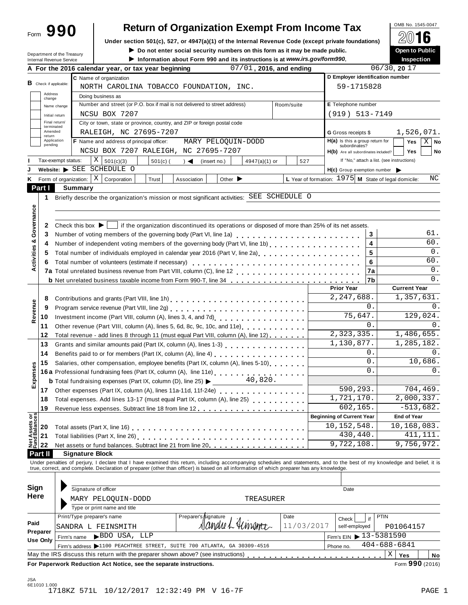Form **990**

# **Return of Organization Exempt From Income Tax**

Under section 501(c), 527, or 4947(a)(1) of the Internal Revenue Code (except private foundations) **A** △ △ △ △ △ △<br>→ Do not enter social security numbers on this form as it may be made public. ● ● ● ● ● ● ● ● ● ● ● ● ● ●

 $\blacktriangleright$  Do not enter social security numbers on this form as it may be made public.

|                                    |                               | Department of the Treasury<br>Internal Revenue Service                                                                                                                                                                                        |                                                                                                                                           |                                                                                                                                        |            | $\blacktriangleright$ Do not enter social security numbers on this form as it may be made public.<br>Information about Form 990 and its instructions is at www.irs.gov/form990. |                             |                             |            |            |                                                      |                | <b>Open to Public</b><br><b>Inspection</b>                                                                                                                                                                                     |  |  |  |  |  |
|------------------------------------|-------------------------------|-----------------------------------------------------------------------------------------------------------------------------------------------------------------------------------------------------------------------------------------------|-------------------------------------------------------------------------------------------------------------------------------------------|----------------------------------------------------------------------------------------------------------------------------------------|------------|---------------------------------------------------------------------------------------------------------------------------------------------------------------------------------|-----------------------------|-----------------------------|------------|------------|------------------------------------------------------|----------------|--------------------------------------------------------------------------------------------------------------------------------------------------------------------------------------------------------------------------------|--|--|--|--|--|
|                                    |                               |                                                                                                                                                                                                                                               |                                                                                                                                           | A For the 2016 calendar year, or tax year beginning                                                                                    |            |                                                                                                                                                                                 |                             | 07/01, 2016, and ending     |            |            |                                                      |                | 06/30, 2017                                                                                                                                                                                                                    |  |  |  |  |  |
|                                    |                               |                                                                                                                                                                                                                                               |                                                                                                                                           | C Name of organization                                                                                                                 |            |                                                                                                                                                                                 |                             |                             |            |            | D Employer identification number                     |                |                                                                                                                                                                                                                                |  |  |  |  |  |
|                                    | <b>B</b> Check if applicable: |                                                                                                                                                                                                                                               |                                                                                                                                           | NORTH CAROLINA TOBACCO FOUNDATION, INC.                                                                                                |            |                                                                                                                                                                                 |                             |                             |            |            | 59-1715828                                           |                |                                                                                                                                                                                                                                |  |  |  |  |  |
|                                    | Address<br>change             |                                                                                                                                                                                                                                               |                                                                                                                                           | Doing business as                                                                                                                      |            |                                                                                                                                                                                 |                             |                             |            |            |                                                      |                |                                                                                                                                                                                                                                |  |  |  |  |  |
|                                    |                               | Name change                                                                                                                                                                                                                                   |                                                                                                                                           | Number and street (or P.O. box if mail is not delivered to street address)                                                             |            |                                                                                                                                                                                 |                             |                             | Room/suite |            | E Telephone number                                   |                |                                                                                                                                                                                                                                |  |  |  |  |  |
|                                    |                               | Initial return                                                                                                                                                                                                                                |                                                                                                                                           | NCSU BOX 7207                                                                                                                          |            |                                                                                                                                                                                 |                             |                             |            |            | $(919) 513 - 7149$                                   |                |                                                                                                                                                                                                                                |  |  |  |  |  |
|                                    | terminated                    | Final return/                                                                                                                                                                                                                                 |                                                                                                                                           | City or town, state or province, country, and ZIP or foreign postal code                                                               |            |                                                                                                                                                                                 |                             |                             |            |            |                                                      |                |                                                                                                                                                                                                                                |  |  |  |  |  |
|                                    | Amended<br>return             |                                                                                                                                                                                                                                               |                                                                                                                                           | RALEIGH, NC 27695-7207                                                                                                                 |            |                                                                                                                                                                                 |                             |                             |            |            | G Gross receipts \$                                  |                | 1,526,071.                                                                                                                                                                                                                     |  |  |  |  |  |
|                                    | pending                       | Application                                                                                                                                                                                                                                   |                                                                                                                                           | F Name and address of principal officer:                                                                                               |            | MARY PELOQUIN-DODD                                                                                                                                                              |                             |                             |            |            | $H(a)$ is this a group return for                    |                | $X \mid$ No<br>Yes                                                                                                                                                                                                             |  |  |  |  |  |
|                                    |                               |                                                                                                                                                                                                                                               |                                                                                                                                           | NCSU BOX 7207 RALEIGH, NC 27695-7207                                                                                                   |            |                                                                                                                                                                                 |                             |                             |            |            | subordinates?<br>H(b) Are all subordinates included? |                | Yes<br>No                                                                                                                                                                                                                      |  |  |  |  |  |
|                                    |                               | Tax-exempt status:                                                                                                                                                                                                                            |                                                                                                                                           | X<br>501(c)(3)                                                                                                                         | $501(c)$ ( | $\rightarrow$<br>(insert no.)                                                                                                                                                   |                             | 4947(a)(1) or               |            | 527        |                                                      |                | If "No," attach a list. (see instructions)                                                                                                                                                                                     |  |  |  |  |  |
|                                    |                               |                                                                                                                                                                                                                                               |                                                                                                                                           | Website: SEE SCHEDULE O                                                                                                                |            |                                                                                                                                                                                 |                             |                             |            |            | $H(c)$ Group exemption number                        |                |                                                                                                                                                                                                                                |  |  |  |  |  |
| Κ                                  |                               |                                                                                                                                                                                                                                               | Form of organization:                                                                                                                     | X  <br>Corporation                                                                                                                     | Trust      | Association                                                                                                                                                                     | Other $\blacktriangleright$ |                             |            |            |                                                      |                | L Year of formation: $1975$ M State of legal domicile:<br>NC                                                                                                                                                                   |  |  |  |  |  |
|                                    | Part I                        |                                                                                                                                                                                                                                               | <b>Summary</b>                                                                                                                            |                                                                                                                                        |            |                                                                                                                                                                                 |                             |                             |            |            |                                                      |                |                                                                                                                                                                                                                                |  |  |  |  |  |
|                                    | 1                             |                                                                                                                                                                                                                                               |                                                                                                                                           | Briefly describe the organization's mission or most significant activities: SEE SCHEDULE O                                             |            |                                                                                                                                                                                 |                             |                             |            |            |                                                      |                |                                                                                                                                                                                                                                |  |  |  |  |  |
|                                    |                               |                                                                                                                                                                                                                                               |                                                                                                                                           |                                                                                                                                        |            |                                                                                                                                                                                 |                             |                             |            |            |                                                      |                |                                                                                                                                                                                                                                |  |  |  |  |  |
|                                    |                               |                                                                                                                                                                                                                                               |                                                                                                                                           |                                                                                                                                        |            |                                                                                                                                                                                 |                             |                             |            |            |                                                      |                |                                                                                                                                                                                                                                |  |  |  |  |  |
| <b>Activities &amp; Governance</b> | 2                             |                                                                                                                                                                                                                                               |                                                                                                                                           | Check this box $\blacktriangleright$                                                                                                   |            | if the organization discontinued its operations or disposed of more than 25% of its net assets.                                                                                 |                             |                             |            |            |                                                      |                |                                                                                                                                                                                                                                |  |  |  |  |  |
|                                    | 3                             |                                                                                                                                                                                                                                               |                                                                                                                                           | Number of voting members of the governing body (Part VI, line 1a)<br>                                                                  |            |                                                                                                                                                                                 |                             |                             |            |            |                                                      | 3              | 61.                                                                                                                                                                                                                            |  |  |  |  |  |
|                                    | 4                             |                                                                                                                                                                                                                                               |                                                                                                                                           |                                                                                                                                        |            |                                                                                                                                                                                 |                             |                             |            |            |                                                      | 4              | 60.                                                                                                                                                                                                                            |  |  |  |  |  |
|                                    | 5                             |                                                                                                                                                                                                                                               |                                                                                                                                           | Total number of individuals employed in calendar year 2016 (Part V, line 2a)<br>The 2a)                                                |            |                                                                                                                                                                                 |                             |                             |            |            |                                                      | 5              | 0.                                                                                                                                                                                                                             |  |  |  |  |  |
|                                    | 6                             |                                                                                                                                                                                                                                               |                                                                                                                                           | Total number of volunteers (estimate if necessary)                                                                                     |            |                                                                                                                                                                                 |                             |                             |            |            |                                                      | 6              | 60.                                                                                                                                                                                                                            |  |  |  |  |  |
|                                    |                               |                                                                                                                                                                                                                                               |                                                                                                                                           |                                                                                                                                        |            |                                                                                                                                                                                 |                             |                             |            |            |                                                      | 7a             | 0.                                                                                                                                                                                                                             |  |  |  |  |  |
|                                    |                               |                                                                                                                                                                                                                                               |                                                                                                                                           |                                                                                                                                        |            |                                                                                                                                                                                 |                             |                             |            |            |                                                      | 7b             | 0.                                                                                                                                                                                                                             |  |  |  |  |  |
|                                    |                               |                                                                                                                                                                                                                                               |                                                                                                                                           |                                                                                                                                        |            |                                                                                                                                                                                 |                             |                             |            |            | <b>Prior Year</b>                                    |                | <b>Current Year</b>                                                                                                                                                                                                            |  |  |  |  |  |
|                                    | 8                             |                                                                                                                                                                                                                                               |                                                                                                                                           |                                                                                                                                        |            |                                                                                                                                                                                 |                             |                             |            |            | 2,247,688.                                           |                | 1,357,631.                                                                                                                                                                                                                     |  |  |  |  |  |
|                                    | 9                             |                                                                                                                                                                                                                                               |                                                                                                                                           |                                                                                                                                        |            |                                                                                                                                                                                 |                             |                             |            |            |                                                      | 0.             | $0$ .                                                                                                                                                                                                                          |  |  |  |  |  |
| Revenue                            | 10                            | Program service revenue (Part VIII, line 2g)<br><br>75,647.<br>Investment income (Part VIII, column (A), lines 3, 4, and 7d)<br>[10] The Letter Letter Letter Letter Letter Letter Letter Letter Letter Letter Letter Letter Letter Letter Le |                                                                                                                                           |                                                                                                                                        |            |                                                                                                                                                                                 |                             |                             |            | 129,024.   |                                                      |                |                                                                                                                                                                                                                                |  |  |  |  |  |
|                                    | 11                            |                                                                                                                                                                                                                                               |                                                                                                                                           | Other revenue (Part VIII, column (A), lines 5, 6d, 8c, 9c, 10c, and 11e)                                                               |            |                                                                                                                                                                                 |                             |                             |            |            |                                                      | 0.             | 0.                                                                                                                                                                                                                             |  |  |  |  |  |
|                                    | 12                            |                                                                                                                                                                                                                                               |                                                                                                                                           | Total revenue - add lines 8 through 11 (must equal Part VIII, column (A), line 12)                                                     |            |                                                                                                                                                                                 |                             |                             |            |            | 2,323,335.                                           |                | 1,486,655.                                                                                                                                                                                                                     |  |  |  |  |  |
|                                    | 13                            |                                                                                                                                                                                                                                               |                                                                                                                                           |                                                                                                                                        |            |                                                                                                                                                                                 |                             |                             |            |            | 1,130,877.                                           |                | $\overline{1}$ , 285, 182.                                                                                                                                                                                                     |  |  |  |  |  |
|                                    | 14                            |                                                                                                                                                                                                                                               |                                                                                                                                           | Benefits paid to or for members (Part IX, column (A), line 4)                                                                          |            |                                                                                                                                                                                 |                             |                             |            |            |                                                      | 0.             | 0.                                                                                                                                                                                                                             |  |  |  |  |  |
|                                    | 15                            |                                                                                                                                                                                                                                               |                                                                                                                                           | Salaries, other compensation, employee benefits (Part IX, column (A), lines 5-10)                                                      |            |                                                                                                                                                                                 |                             |                             |            |            |                                                      | 0.             | 10,686.                                                                                                                                                                                                                        |  |  |  |  |  |
| Expenses                           |                               |                                                                                                                                                                                                                                               |                                                                                                                                           | 16a Professional fundraising fees (Part IX, column (A), line 11e)<br>16a Professional fundraising fees (Part IX, column (A), line 11e) |            |                                                                                                                                                                                 |                             |                             |            |            |                                                      | $\mathbf{0}$ . | 0.                                                                                                                                                                                                                             |  |  |  |  |  |
|                                    |                               |                                                                                                                                                                                                                                               |                                                                                                                                           | <b>b</b> Total fundraising expenses (Part IX, column (D), line 25) $\blacktriangleright$                                               |            |                                                                                                                                                                                 |                             | 40,820.                     |            |            |                                                      |                |                                                                                                                                                                                                                                |  |  |  |  |  |
|                                    | 17 <sup>7</sup>               |                                                                                                                                                                                                                                               |                                                                                                                                           |                                                                                                                                        |            |                                                                                                                                                                                 |                             |                             |            |            | 590,293.                                             |                | 704,469.                                                                                                                                                                                                                       |  |  |  |  |  |
|                                    | 18                            |                                                                                                                                                                                                                                               | Other expenses (Part IX, column (A), lines 11a-11d, 11f-24e)<br>Total expenses. Add lines 13-17 (must equal Part IX, column (A), line 25) |                                                                                                                                        |            |                                                                                                                                                                                 |                             |                             |            |            |                                                      | 1,721,170.     | 2,000,337.                                                                                                                                                                                                                     |  |  |  |  |  |
|                                    | 19                            |                                                                                                                                                                                                                                               |                                                                                                                                           |                                                                                                                                        |            |                                                                                                                                                                                 |                             |                             |            |            | 602,165.                                             |                | $-513,682.$                                                                                                                                                                                                                    |  |  |  |  |  |
|                                    |                               |                                                                                                                                                                                                                                               |                                                                                                                                           |                                                                                                                                        |            |                                                                                                                                                                                 |                             |                             |            |            | <b>Beginning of Current Year</b>                     |                | <b>End of Year</b>                                                                                                                                                                                                             |  |  |  |  |  |
| Net Assets or<br>Fund Balances     | 20                            |                                                                                                                                                                                                                                               |                                                                                                                                           |                                                                                                                                        |            |                                                                                                                                                                                 |                             |                             |            |            | 10, 152, 548.                                        |                | $\overline{10}$ , 168, 083.                                                                                                                                                                                                    |  |  |  |  |  |
|                                    | 21                            |                                                                                                                                                                                                                                               |                                                                                                                                           |                                                                                                                                        |            |                                                                                                                                                                                 |                             |                             |            |            | 430,440.                                             |                | $\overline{4}$ 11, 111.                                                                                                                                                                                                        |  |  |  |  |  |
|                                    | 22                            | Net assets or fund balances. Subtract line 21 from line 20.                                                                                                                                                                                   |                                                                                                                                           |                                                                                                                                        |            |                                                                                                                                                                                 |                             |                             |            |            |                                                      | 9,722,108.     |                                                                                                                                                                                                                                |  |  |  |  |  |
|                                    | Part II                       |                                                                                                                                                                                                                                               |                                                                                                                                           | <b>Signature Block</b>                                                                                                                 |            |                                                                                                                                                                                 |                             |                             |            |            |                                                      |                | 9,756,972.                                                                                                                                                                                                                     |  |  |  |  |  |
|                                    |                               |                                                                                                                                                                                                                                               |                                                                                                                                           |                                                                                                                                        |            |                                                                                                                                                                                 |                             |                             |            |            |                                                      |                |                                                                                                                                                                                                                                |  |  |  |  |  |
|                                    |                               |                                                                                                                                                                                                                                               |                                                                                                                                           |                                                                                                                                        |            |                                                                                                                                                                                 |                             |                             |            |            |                                                      |                | Under penalties of perjury, I declare that I have examined this return, including accompanying schedules and statements, and to the best of my knowledge and belief, it is true, correct, and complete. Declaration of prepare |  |  |  |  |  |
|                                    |                               |                                                                                                                                                                                                                                               |                                                                                                                                           |                                                                                                                                        |            |                                                                                                                                                                                 |                             |                             |            |            |                                                      |                |                                                                                                                                                                                                                                |  |  |  |  |  |
| Sign                               |                               |                                                                                                                                                                                                                                               |                                                                                                                                           | Signature of officer                                                                                                                   |            |                                                                                                                                                                                 |                             |                             |            |            | Date                                                 |                |                                                                                                                                                                                                                                |  |  |  |  |  |
| <b>Here</b>                        |                               |                                                                                                                                                                                                                                               |                                                                                                                                           | MARY PELOQUIN-DODD                                                                                                                     |            |                                                                                                                                                                                 |                             | TREASURER                   |            |            |                                                      |                |                                                                                                                                                                                                                                |  |  |  |  |  |
|                                    |                               |                                                                                                                                                                                                                                               |                                                                                                                                           | Type or print name and title                                                                                                           |            |                                                                                                                                                                                 |                             |                             |            |            |                                                      |                |                                                                                                                                                                                                                                |  |  |  |  |  |
|                                    |                               |                                                                                                                                                                                                                                               |                                                                                                                                           | Print/Type preparer's name                                                                                                             |            | Preparer's/signature                                                                                                                                                            |                             |                             | Date       |            |                                                      |                | PTIN                                                                                                                                                                                                                           |  |  |  |  |  |
| Paid                               |                               |                                                                                                                                                                                                                                               |                                                                                                                                           |                                                                                                                                        |            |                                                                                                                                                                                 |                             | Jandue L Unnam <del>i</del> |            | 11/03/2017 | Check<br>self-employed                               | if             | P01064157                                                                                                                                                                                                                      |  |  |  |  |  |
|                                    | Preparer                      |                                                                                                                                                                                                                                               |                                                                                                                                           | SANDRA L FEINSMITH                                                                                                                     |            |                                                                                                                                                                                 |                             |                             |            |            |                                                      |                |                                                                                                                                                                                                                                |  |  |  |  |  |
|                                    | Use Only                      |                                                                                                                                                                                                                                               | Firm's name                                                                                                                               | BDO USA, LLP                                                                                                                           |            |                                                                                                                                                                                 |                             |                             |            |            | Firm's EIN 13-5381590                                |                |                                                                                                                                                                                                                                |  |  |  |  |  |
|                                    |                               |                                                                                                                                                                                                                                               |                                                                                                                                           | Firm's address >1100 PEACHTREE STREET, SUITE 700 ATLANTA, GA 30309-4516                                                                |            |                                                                                                                                                                                 |                             |                             |            |            | Phone no.                                            |                | $404 - 688 - 6841$                                                                                                                                                                                                             |  |  |  |  |  |
|                                    |                               |                                                                                                                                                                                                                                               |                                                                                                                                           | May the IRS discuss this return with the preparer shown above? (see instructions)                                                      |            |                                                                                                                                                                                 |                             |                             |            |            |                                                      |                | Χ<br>Yes<br>No                                                                                                                                                                                                                 |  |  |  |  |  |
|                                    |                               |                                                                                                                                                                                                                                               |                                                                                                                                           | For Paperwork Reduction Act Notice, see the separate instructions.                                                                     |            |                                                                                                                                                                                 |                             |                             |            |            |                                                      |                | Form 990 (2016)                                                                                                                                                                                                                |  |  |  |  |  |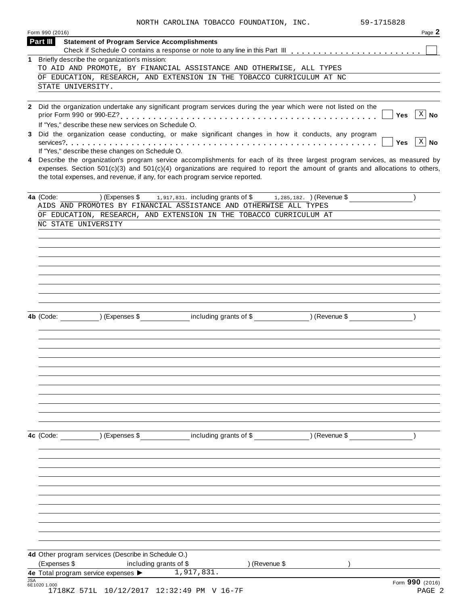|            | Form 990 (2016)                                                                                                                                                                                                                                                                                                                                                                                      | Page 2                 |
|------------|------------------------------------------------------------------------------------------------------------------------------------------------------------------------------------------------------------------------------------------------------------------------------------------------------------------------------------------------------------------------------------------------------|------------------------|
|            | Part III<br><b>Statement of Program Service Accomplishments</b>                                                                                                                                                                                                                                                                                                                                      |                        |
|            | 1 Briefly describe the organization's mission:                                                                                                                                                                                                                                                                                                                                                       |                        |
|            | TO AID AND PROMOTE, BY FINANCIAL ASSISTANCE AND OTHERWISE, ALL TYPES                                                                                                                                                                                                                                                                                                                                 |                        |
|            | OF EDUCATION, RESEARCH, AND EXTENSION IN THE TOBACCO CURRICULUM AT NC                                                                                                                                                                                                                                                                                                                                |                        |
|            | STATE UNIVERSITY.                                                                                                                                                                                                                                                                                                                                                                                    |                        |
|            |                                                                                                                                                                                                                                                                                                                                                                                                      |                        |
|            | 2 Did the organization undertake any significant program services during the year which were not listed on the<br>If "Yes," describe these new services on Schedule O.                                                                                                                                                                                                                               | $ X $ No<br>Yes        |
| 3          | Did the organization cease conducting, or make significant changes in how it conducts, any program                                                                                                                                                                                                                                                                                                   | $ X $ No<br><b>Yes</b> |
|            | If "Yes," describe these changes on Schedule O.<br>4 Describe the organization's program service accomplishments for each of its three largest program services, as measured by<br>expenses. Section $501(c)(3)$ and $501(c)(4)$ organizations are required to report the amount of grants and allocations to others,<br>the total expenses, and revenue, if any, for each program service reported. |                        |
|            | 4a (Code:<br>) (Expenses \$<br>$1,917,831$ . including grants of \$<br>$(1, 285, 182.)$ (Revenue \$<br>AIDS AND PROMOTES BY FINANCIAL ASSISTANCE AND OTHERWISE ALL TYPES                                                                                                                                                                                                                             |                        |
|            | OF EDUCATION, RESEARCH, AND EXTENSION IN THE TOBACCO CURRICULUM AT                                                                                                                                                                                                                                                                                                                                   |                        |
|            | NC STATE UNIVERSITY                                                                                                                                                                                                                                                                                                                                                                                  |                        |
|            |                                                                                                                                                                                                                                                                                                                                                                                                      |                        |
|            |                                                                                                                                                                                                                                                                                                                                                                                                      |                        |
|            |                                                                                                                                                                                                                                                                                                                                                                                                      |                        |
|            |                                                                                                                                                                                                                                                                                                                                                                                                      |                        |
|            |                                                                                                                                                                                                                                                                                                                                                                                                      |                        |
|            |                                                                                                                                                                                                                                                                                                                                                                                                      |                        |
|            |                                                                                                                                                                                                                                                                                                                                                                                                      |                        |
|            |                                                                                                                                                                                                                                                                                                                                                                                                      |                        |
|            |                                                                                                                                                                                                                                                                                                                                                                                                      |                        |
|            | including grants of \$ (Revenue \$)<br>) (Expenses \$<br>4b (Code:                                                                                                                                                                                                                                                                                                                                   |                        |
|            |                                                                                                                                                                                                                                                                                                                                                                                                      |                        |
|            |                                                                                                                                                                                                                                                                                                                                                                                                      |                        |
|            |                                                                                                                                                                                                                                                                                                                                                                                                      |                        |
|            |                                                                                                                                                                                                                                                                                                                                                                                                      |                        |
|            |                                                                                                                                                                                                                                                                                                                                                                                                      |                        |
|            |                                                                                                                                                                                                                                                                                                                                                                                                      |                        |
|            |                                                                                                                                                                                                                                                                                                                                                                                                      |                        |
|            |                                                                                                                                                                                                                                                                                                                                                                                                      |                        |
|            |                                                                                                                                                                                                                                                                                                                                                                                                      |                        |
|            |                                                                                                                                                                                                                                                                                                                                                                                                      |                        |
|            |                                                                                                                                                                                                                                                                                                                                                                                                      |                        |
|            |                                                                                                                                                                                                                                                                                                                                                                                                      |                        |
|            | (Expenses \$ including grants of \$ ) (Revenue \$<br>4c (Code:                                                                                                                                                                                                                                                                                                                                       |                        |
|            |                                                                                                                                                                                                                                                                                                                                                                                                      |                        |
|            |                                                                                                                                                                                                                                                                                                                                                                                                      |                        |
|            |                                                                                                                                                                                                                                                                                                                                                                                                      |                        |
|            |                                                                                                                                                                                                                                                                                                                                                                                                      |                        |
|            |                                                                                                                                                                                                                                                                                                                                                                                                      |                        |
|            |                                                                                                                                                                                                                                                                                                                                                                                                      |                        |
|            |                                                                                                                                                                                                                                                                                                                                                                                                      |                        |
|            |                                                                                                                                                                                                                                                                                                                                                                                                      |                        |
|            |                                                                                                                                                                                                                                                                                                                                                                                                      |                        |
|            |                                                                                                                                                                                                                                                                                                                                                                                                      |                        |
|            |                                                                                                                                                                                                                                                                                                                                                                                                      |                        |
|            |                                                                                                                                                                                                                                                                                                                                                                                                      |                        |
|            | 4d Other program services (Describe in Schedule O.)                                                                                                                                                                                                                                                                                                                                                  |                        |
|            | (Expenses \$<br>including grants of \$<br>) (Revenue \$                                                                                                                                                                                                                                                                                                                                              |                        |
|            | 4e Total program service expenses ><br>1,917,831.                                                                                                                                                                                                                                                                                                                                                    |                        |
| <b>JSA</b> | 6E1020 1.000                                                                                                                                                                                                                                                                                                                                                                                         | Form 990 (2016)        |
|            | 1718KZ 571L 10/12/2017 12:32:49 PM V 16-7F                                                                                                                                                                                                                                                                                                                                                           | PAGE 2                 |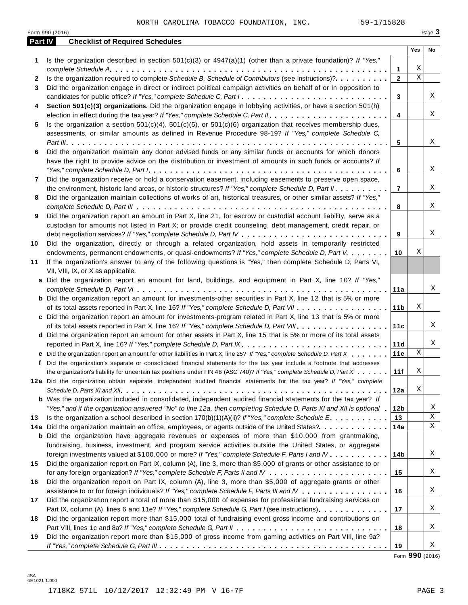|         | Form 990 (2016)                                                                                                                                                                                                                                                                                                                                                                               |                 |                  | Page 3 |
|---------|-----------------------------------------------------------------------------------------------------------------------------------------------------------------------------------------------------------------------------------------------------------------------------------------------------------------------------------------------------------------------------------------------|-----------------|------------------|--------|
| Part IV | <b>Checklist of Required Schedules</b>                                                                                                                                                                                                                                                                                                                                                        |                 |                  |        |
|         |                                                                                                                                                                                                                                                                                                                                                                                               |                 | Yes              | No     |
| 1       | Is the organization described in section $501(c)(3)$ or $4947(a)(1)$ (other than a private foundation)? If "Yes,"                                                                                                                                                                                                                                                                             |                 |                  |        |
|         |                                                                                                                                                                                                                                                                                                                                                                                               | 1               | Χ<br>$\mathbf X$ |        |
| 2       | Is the organization required to complete Schedule B, Schedule of Contributors (see instructions)?.                                                                                                                                                                                                                                                                                            | $\mathbf{2}$    |                  |        |
| 3       | Did the organization engage in direct or indirect political campaign activities on behalf of or in opposition to                                                                                                                                                                                                                                                                              |                 |                  |        |
|         | candidates for public office? If "Yes," complete Schedule C, Part I.                                                                                                                                                                                                                                                                                                                          | 3               |                  | Χ      |
| 4       | Section 501(c)(3) organizations. Did the organization engage in lobbying activities, or have a section 501(h)                                                                                                                                                                                                                                                                                 |                 |                  | Χ      |
|         |                                                                                                                                                                                                                                                                                                                                                                                               | $\overline{4}$  |                  |        |
| 5       | Is the organization a section $501(c)(4)$ , $501(c)(5)$ , or $501(c)(6)$ organization that receives membership dues,                                                                                                                                                                                                                                                                          |                 |                  |        |
|         | assessments, or similar amounts as defined in Revenue Procedure 98-19? If "Yes," complete Schedule C,                                                                                                                                                                                                                                                                                         | 5               |                  | Χ      |
| 6       | Did the organization maintain any donor advised funds or any similar funds or accounts for which donors                                                                                                                                                                                                                                                                                       |                 |                  |        |
|         | have the right to provide advice on the distribution or investment of amounts in such funds or accounts? If                                                                                                                                                                                                                                                                                   |                 |                  |        |
|         | "Yes," complete Schedule D, Part $l_1, \ldots, l_k, \ldots, l_k, \ldots, l_k, \ldots, l_k, \ldots, l_k, \ldots, l_k, \ldots, l_k, \ldots, l_k, \ldots, l_k, \ldots, l_k, \ldots, l_k, \ldots, l_k, \ldots, l_k, \ldots, l_k, \ldots, l_k, \ldots, l_k, \ldots, l_k, \ldots, l_k, \ldots, l_k, \ldots, l_k, \ldots, l_k, \ldots, l_k, \ldots, l_k, \ldots, l_k, \ldots, l_k, \ldots, l_k, \ld$ | 6               |                  | Χ      |
| 7       | Did the organization receive or hold a conservation easement, including easements to preserve open space,                                                                                                                                                                                                                                                                                     |                 |                  |        |
|         | the environment, historic land areas, or historic structures? If "Yes," complete Schedule D, Part II.                                                                                                                                                                                                                                                                                         | $\overline{7}$  |                  | Χ      |
| 8       | Did the organization maintain collections of works of art, historical treasures, or other similar assets? If "Yes,"                                                                                                                                                                                                                                                                           |                 |                  |        |
|         |                                                                                                                                                                                                                                                                                                                                                                                               | 8               |                  | Χ      |
| 9       | Did the organization report an amount in Part X, line 21, for escrow or custodial account liability, serve as a                                                                                                                                                                                                                                                                               |                 |                  |        |
|         | custodian for amounts not listed in Part X; or provide credit counseling, debt management, credit repair, or                                                                                                                                                                                                                                                                                  |                 |                  |        |
|         |                                                                                                                                                                                                                                                                                                                                                                                               | 9               |                  | Χ      |
| 10      | Did the organization, directly or through a related organization, hold assets in temporarily restricted                                                                                                                                                                                                                                                                                       |                 |                  |        |
|         | endowments, permanent endowments, or quasi-endowments? If "Yes," complete Schedule D, Part V.                                                                                                                                                                                                                                                                                                 | 10              | Χ                |        |
| 11      | If the organization's answer to any of the following questions is "Yes," then complete Schedule D, Parts VI,                                                                                                                                                                                                                                                                                  |                 |                  |        |
|         | VII, VIII, IX, or X as applicable.                                                                                                                                                                                                                                                                                                                                                            |                 |                  |        |
|         | a Did the organization report an amount for land, buildings, and equipment in Part X, line 10? If "Yes,"                                                                                                                                                                                                                                                                                      |                 |                  |        |
|         |                                                                                                                                                                                                                                                                                                                                                                                               | 11a             |                  | Χ      |
|         | <b>b</b> Did the organization report an amount for investments-other securities in Part X, line 12 that is 5% or more                                                                                                                                                                                                                                                                         |                 |                  |        |
|         |                                                                                                                                                                                                                                                                                                                                                                                               | 11 <sub>b</sub> | Χ                |        |
|         | c Did the organization report an amount for investments-program related in Part X, line 13 that is 5% or more                                                                                                                                                                                                                                                                                 |                 |                  |        |
|         |                                                                                                                                                                                                                                                                                                                                                                                               | 11c             |                  | Χ      |
|         | d Did the organization report an amount for other assets in Part X, line 15 that is 5% or more of its total assets                                                                                                                                                                                                                                                                            |                 |                  |        |
|         | reported in Part X, line 16? If "Yes," complete Schedule D, Part IX.                                                                                                                                                                                                                                                                                                                          | 11d             |                  | Χ      |
|         | e Did the organization report an amount for other liabilities in Part X, line 25? If "Yes," complete Schedule D, Part X                                                                                                                                                                                                                                                                       | 11e             | Χ                |        |
|         | f Did the organization's separate or consolidated financial statements for the tax year include a footnote that addresses                                                                                                                                                                                                                                                                     |                 |                  |        |
|         | the organization's liability for uncertain tax positions under FIN 48 (ASC 740)? If "Yes," complete Schedule D, Part X                                                                                                                                                                                                                                                                        | 11f             | Χ                |        |
|         | 12a Did the organization obtain separate, independent audited financial statements for the tax year? If "Yes," complete                                                                                                                                                                                                                                                                       |                 |                  |        |
|         |                                                                                                                                                                                                                                                                                                                                                                                               | 12a             | Χ                |        |
|         | <b>b</b> Was the organization included in consolidated, independent audited financial statements for the tax year? If                                                                                                                                                                                                                                                                         |                 |                  |        |
|         | "Yes," and if the organization answered "No" to line 12a, then completing Schedule D, Parts XI and XII is optional 1                                                                                                                                                                                                                                                                          | 12b             |                  | Χ      |
| 13      | Is the organization a school described in section $170(b)(1)(A)(ii)?$ If "Yes," complete Schedule E.                                                                                                                                                                                                                                                                                          | 13              |                  | Χ      |
|         | 14a Did the organization maintain an office, employees, or agents outside of the United States?.                                                                                                                                                                                                                                                                                              | 14a             |                  | X      |
|         | <b>b</b> Did the organization have aggregate revenues or expenses of more than \$10,000 from grantmaking,                                                                                                                                                                                                                                                                                     |                 |                  |        |
|         | fundraising, business, investment, and program service activities outside the United States, or aggregate                                                                                                                                                                                                                                                                                     |                 |                  |        |
|         | foreign investments valued at \$100,000 or more? If "Yes," complete Schedule F, Parts I and IV                                                                                                                                                                                                                                                                                                | 14 <sub>b</sub> |                  | Χ      |
| 15      | Did the organization report on Part IX, column (A), line 3, more than \$5,000 of grants or other assistance to or                                                                                                                                                                                                                                                                             |                 |                  |        |
|         |                                                                                                                                                                                                                                                                                                                                                                                               | 15              |                  | Χ      |
| 16      | Did the organization report on Part IX, column (A), line 3, more than \$5,000 of aggregate grants or other                                                                                                                                                                                                                                                                                    |                 |                  |        |
|         | assistance to or for foreign individuals? If "Yes," complete Schedule F, Parts III and IV                                                                                                                                                                                                                                                                                                     | 16              |                  | Χ      |
| 17      | Did the organization report a total of more than \$15,000 of expenses for professional fundraising services on                                                                                                                                                                                                                                                                                |                 |                  |        |
|         | Part IX, column (A), lines 6 and 11e? If "Yes," complete Schedule G, Part I (see instructions)                                                                                                                                                                                                                                                                                                | 17              |                  | Χ      |
| 18      | Did the organization report more than \$15,000 total of fundraising event gross income and contributions on                                                                                                                                                                                                                                                                                   |                 |                  |        |
|         |                                                                                                                                                                                                                                                                                                                                                                                               | 18              |                  | Χ      |
| 19      | Did the organization report more than \$15,000 of gross income from gaming activities on Part VIII, line 9a?                                                                                                                                                                                                                                                                                  |                 |                  |        |
|         |                                                                                                                                                                                                                                                                                                                                                                                               | 19              |                  | Χ      |

Form **990** (2016)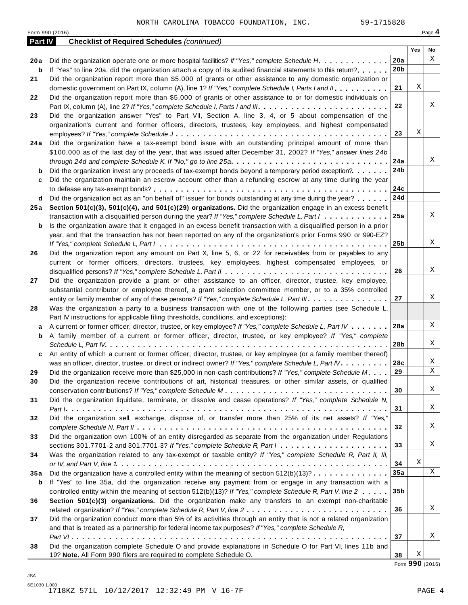Form <sup>990</sup> (2016) Page **4**

| Part IV | <b>Checklist of Required Schedules (continued)</b>                                                                                |                 |     |             |
|---------|-----------------------------------------------------------------------------------------------------------------------------------|-----------------|-----|-------------|
|         |                                                                                                                                   |                 | Yes | No          |
| 20 a    | Did the organization operate one or more hospital facilities? If "Yes," complete Schedule H.                                      | 20a             |     | X           |
| b       | If "Yes" to line 20a, did the organization attach a copy of its audited financial statements to this return?                      | 20 <sub>b</sub> |     |             |
| 21      | Did the organization report more than \$5,000 of grants or other assistance to any domestic organization or                       |                 |     |             |
|         | domestic government on Part IX, column (A), line 1? If "Yes," complete Schedule I, Parts I and II.                                | 21              | Χ   |             |
| 22      | Did the organization report more than \$5,000 of grants or other assistance to or for domestic individuals on                     |                 |     |             |
|         |                                                                                                                                   | 22              |     | X           |
| 23      | Did the organization answer "Yes" to Part VII, Section A, line 3, 4, or 5 about compensation of the                               |                 |     |             |
|         | organization's current and former officers, directors, trustees, key employees, and highest compensated                           |                 |     |             |
|         |                                                                                                                                   | 23              | Χ   |             |
| 24 a    | Did the organization have a tax-exempt bond issue with an outstanding principal amount of more than                               |                 |     |             |
|         | \$100,000 as of the last day of the year, that was issued after December 31, 2002? If "Yes," answer lines 24b                     |                 |     |             |
|         | through 24d and complete Schedule K. If "No," go to line 25a                                                                      | 24a             |     | Χ           |
| b       | Did the organization invest any proceeds of tax-exempt bonds beyond a temporary period exception?                                 | 24 <sub>b</sub> |     |             |
| c       | Did the organization maintain an escrow account other than a refunding escrow at any time during the year                         |                 |     |             |
|         |                                                                                                                                   | 24c             |     |             |
| d       | Did the organization act as an "on behalf of" issuer for bonds outstanding at any time during the year?                           | 24d             |     |             |
| 25 a    | Section 501(c)(3), 501(c)(4), and 501(c)(29) organizations. Did the organization engage in an excess benefit                      |                 |     |             |
|         | transaction with a disqualified person during the year? If "Yes," complete Schedule L, Part $1, \ldots, \ldots, \ldots$           | 25a             |     | X           |
| b       | Is the organization aware that it engaged in an excess benefit transaction with a disqualified person in a prior                  |                 |     |             |
|         | year, and that the transaction has not been reported on any of the organization's prior Forms 990 or 990-EZ?                      |                 |     |             |
|         |                                                                                                                                   | 25 <sub>b</sub> |     | X           |
| 26      | Did the organization report any amount on Part X, line 5, 6, or 22 for receivables from or payables to any                        |                 |     |             |
|         | current or former officers, directors, trustees, key employees, highest compensated employees, or                                 |                 |     |             |
|         |                                                                                                                                   | 26              |     | X           |
| 27      | Did the organization provide a grant or other assistance to an officer, director, trustee, key employee,                          |                 |     |             |
|         | substantial contributor or employee thereof, a grant selection committee member, or to a 35% controlled                           |                 |     | Χ           |
|         | entity or family member of any of these persons? If "Yes," complete Schedule L, Part III.                                         | 27              |     |             |
| 28      | Was the organization a party to a business transaction with one of the following parties (see Schedule L,                         |                 |     |             |
|         | Part IV instructions for applicable filing thresholds, conditions, and exceptions):                                               |                 |     | Χ           |
| а       | A current or former officer, director, trustee, or key employee? If "Yes," complete Schedule L, Part IV                           | 28a             |     |             |
| b       | A family member of a current or former officer, director, trustee, or key employee? If "Yes," complete                            | 28b             |     | X           |
|         | An entity of which a current or former officer, director, trustee, or key employee (or a family member thereof)                   |                 |     |             |
| c       | was an officer, director, trustee, or direct or indirect owner? If "Yes," complete Schedule L, Part IV.                           | 28c             |     | X           |
| 29      | Did the organization receive more than \$25,000 in non-cash contributions? If "Yes," complete Schedule M.                         | 29              |     | $\mathbf X$ |
| 30      | Did the organization receive contributions of art, historical treasures, or other similar assets, or qualified                    |                 |     |             |
|         |                                                                                                                                   | 30              |     | Χ           |
| 31      | Did the organization liquidate, terminate, or dissolve and cease operations? If "Yes," complete Schedule N,                       |                 |     |             |
|         |                                                                                                                                   | 31              |     | X           |
| 32      | Did the organization sell, exchange, dispose of, or transfer more than 25% of its net assets? If "Yes,"                           |                 |     |             |
|         |                                                                                                                                   | 32              |     | Χ           |
| 33      | Did the organization own 100% of an entity disregarded as separate from the organization under Regulations                        |                 |     |             |
|         | sections 301.7701-2 and 301.7701-3? If "Yes," complete Schedule R, Part $l_1, \ldots, l_l, \ldots, l_l, \ldots, l_l, \ldots, l_l$ | 33              |     | Χ           |
| 34      | Was the organization related to any tax-exempt or taxable entity? If "Yes," complete Schedule R, Part II, III,                    |                 |     |             |
|         |                                                                                                                                   | 34              | Χ   |             |
| 35 a    | Did the organization have a controlled entity within the meaning of section $512(b)(13)? \ldots \ldots \ldots \ldots$             | 35a             |     | X           |
| b       | If "Yes" to line 35a, did the organization receive any payment from or engage in any transaction with a                           |                 |     |             |
|         | controlled entity within the meaning of section 512(b)(13)? If "Yes," complete Schedule R, Part V, line 2                         | 35 <sub>b</sub> |     |             |
| 36      | Section 501(c)(3) organizations. Did the organization make any transfers to an exempt non-charitable                              |                 |     |             |
|         |                                                                                                                                   | 36              |     | X           |
| 37      | Did the organization conduct more than 5% of its activities through an entity that is not a related organization                  |                 |     |             |
|         | and that is treated as a partnership for federal income tax purposes? If "Yes," complete Schedule R,                              |                 |     |             |
|         |                                                                                                                                   | 37              |     | X           |
| 38      | Did the organization complete Schedule O and provide explanations in Schedule O for Part VI, lines 11b and                        |                 |     |             |
|         | 19? Note. All Form 990 filers are required to complete Schedule O.                                                                | 38              | Χ   |             |

Form **990** (2016)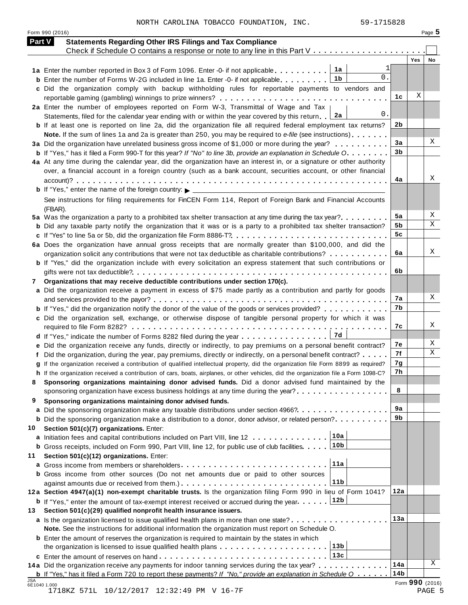NORTH CAROLINA TOBACCO FOUNDATION, INC. 59-1715828

|            | Check if Schedule O contains a response or note to any line in this Part V<br>1a<br>1a Enter the number reported in Box 3 of Form 1096. Enter -0- if not applicable<br>$0$ .<br>1b<br><b>b</b> Enter the number of Forms W-2G included in line 1a. Enter -0- if not applicable<br>c Did the organization comply with backup withholding rules for reportable payments to vendors and<br>2a Enter the number of employees reported on Form W-3, Transmittal of Wage and Tax<br>0.<br>2a<br>Statements, filed for the calendar year ending with or within the year covered by this return<br><b>b</b> If at least one is reported on line 2a, did the organization file all required federal employment tax returns?<br>Note. If the sum of lines 1a and 2a is greater than 250, you may be required to e-file (see instructions)<br>3a Did the organization have unrelated business gross income of \$1,000 or more during the year?<br><b>b</b> If "Yes," has it filed a Form 990-T for this year? If "No" to line 3b, provide an explanation in Schedule O.<br>4a At any time during the calendar year, did the organization have an interest in, or a signature or other authority<br>over, a financial account in a foreign country (such as a bank account, securities account, or other financial<br><b>b</b> If "Yes," enter the name of the foreign country: $\triangleright$ _____________________<br>See instructions for filing requirements for FinCEN Form 114, Report of Foreign Bank and Financial Accounts | 1с<br>2 <sub>b</sub><br>3a<br>3 <sub>b</sub><br>4a | Yes<br>Χ        | No |
|------------|---------------------------------------------------------------------------------------------------------------------------------------------------------------------------------------------------------------------------------------------------------------------------------------------------------------------------------------------------------------------------------------------------------------------------------------------------------------------------------------------------------------------------------------------------------------------------------------------------------------------------------------------------------------------------------------------------------------------------------------------------------------------------------------------------------------------------------------------------------------------------------------------------------------------------------------------------------------------------------------------------------------------------------------------------------------------------------------------------------------------------------------------------------------------------------------------------------------------------------------------------------------------------------------------------------------------------------------------------------------------------------------------------------------------------------------------------------------------------------------------------------------------------|----------------------------------------------------|-----------------|----|
|            |                                                                                                                                                                                                                                                                                                                                                                                                                                                                                                                                                                                                                                                                                                                                                                                                                                                                                                                                                                                                                                                                                                                                                                                                                                                                                                                                                                                                                                                                                                                           |                                                    |                 |    |
|            |                                                                                                                                                                                                                                                                                                                                                                                                                                                                                                                                                                                                                                                                                                                                                                                                                                                                                                                                                                                                                                                                                                                                                                                                                                                                                                                                                                                                                                                                                                                           |                                                    |                 |    |
|            |                                                                                                                                                                                                                                                                                                                                                                                                                                                                                                                                                                                                                                                                                                                                                                                                                                                                                                                                                                                                                                                                                                                                                                                                                                                                                                                                                                                                                                                                                                                           |                                                    |                 |    |
|            |                                                                                                                                                                                                                                                                                                                                                                                                                                                                                                                                                                                                                                                                                                                                                                                                                                                                                                                                                                                                                                                                                                                                                                                                                                                                                                                                                                                                                                                                                                                           |                                                    |                 |    |
|            |                                                                                                                                                                                                                                                                                                                                                                                                                                                                                                                                                                                                                                                                                                                                                                                                                                                                                                                                                                                                                                                                                                                                                                                                                                                                                                                                                                                                                                                                                                                           |                                                    |                 |    |
|            |                                                                                                                                                                                                                                                                                                                                                                                                                                                                                                                                                                                                                                                                                                                                                                                                                                                                                                                                                                                                                                                                                                                                                                                                                                                                                                                                                                                                                                                                                                                           |                                                    |                 |    |
|            |                                                                                                                                                                                                                                                                                                                                                                                                                                                                                                                                                                                                                                                                                                                                                                                                                                                                                                                                                                                                                                                                                                                                                                                                                                                                                                                                                                                                                                                                                                                           |                                                    |                 |    |
|            |                                                                                                                                                                                                                                                                                                                                                                                                                                                                                                                                                                                                                                                                                                                                                                                                                                                                                                                                                                                                                                                                                                                                                                                                                                                                                                                                                                                                                                                                                                                           |                                                    |                 |    |
|            |                                                                                                                                                                                                                                                                                                                                                                                                                                                                                                                                                                                                                                                                                                                                                                                                                                                                                                                                                                                                                                                                                                                                                                                                                                                                                                                                                                                                                                                                                                                           |                                                    |                 |    |
|            |                                                                                                                                                                                                                                                                                                                                                                                                                                                                                                                                                                                                                                                                                                                                                                                                                                                                                                                                                                                                                                                                                                                                                                                                                                                                                                                                                                                                                                                                                                                           |                                                    |                 | Χ  |
|            |                                                                                                                                                                                                                                                                                                                                                                                                                                                                                                                                                                                                                                                                                                                                                                                                                                                                                                                                                                                                                                                                                                                                                                                                                                                                                                                                                                                                                                                                                                                           |                                                    |                 |    |
|            |                                                                                                                                                                                                                                                                                                                                                                                                                                                                                                                                                                                                                                                                                                                                                                                                                                                                                                                                                                                                                                                                                                                                                                                                                                                                                                                                                                                                                                                                                                                           |                                                    |                 |    |
|            |                                                                                                                                                                                                                                                                                                                                                                                                                                                                                                                                                                                                                                                                                                                                                                                                                                                                                                                                                                                                                                                                                                                                                                                                                                                                                                                                                                                                                                                                                                                           |                                                    |                 |    |
|            |                                                                                                                                                                                                                                                                                                                                                                                                                                                                                                                                                                                                                                                                                                                                                                                                                                                                                                                                                                                                                                                                                                                                                                                                                                                                                                                                                                                                                                                                                                                           |                                                    |                 | Χ  |
|            |                                                                                                                                                                                                                                                                                                                                                                                                                                                                                                                                                                                                                                                                                                                                                                                                                                                                                                                                                                                                                                                                                                                                                                                                                                                                                                                                                                                                                                                                                                                           |                                                    |                 |    |
|            |                                                                                                                                                                                                                                                                                                                                                                                                                                                                                                                                                                                                                                                                                                                                                                                                                                                                                                                                                                                                                                                                                                                                                                                                                                                                                                                                                                                                                                                                                                                           |                                                    |                 |    |
|            | (FBAR).                                                                                                                                                                                                                                                                                                                                                                                                                                                                                                                                                                                                                                                                                                                                                                                                                                                                                                                                                                                                                                                                                                                                                                                                                                                                                                                                                                                                                                                                                                                   |                                                    |                 |    |
|            | 5a Was the organization a party to a prohibited tax shelter transaction at any time during the tax year?                                                                                                                                                                                                                                                                                                                                                                                                                                                                                                                                                                                                                                                                                                                                                                                                                                                                                                                                                                                                                                                                                                                                                                                                                                                                                                                                                                                                                  | 5a                                                 |                 | Χ  |
|            | <b>b</b> Did any taxable party notify the organization that it was or is a party to a prohibited tax shelter transaction?                                                                                                                                                                                                                                                                                                                                                                                                                                                                                                                                                                                                                                                                                                                                                                                                                                                                                                                                                                                                                                                                                                                                                                                                                                                                                                                                                                                                 | 5b                                                 |                 | Χ  |
|            |                                                                                                                                                                                                                                                                                                                                                                                                                                                                                                                                                                                                                                                                                                                                                                                                                                                                                                                                                                                                                                                                                                                                                                                                                                                                                                                                                                                                                                                                                                                           | 5 <sub>c</sub>                                     |                 |    |
|            | 6a Does the organization have annual gross receipts that are normally greater than \$100,000, and did the                                                                                                                                                                                                                                                                                                                                                                                                                                                                                                                                                                                                                                                                                                                                                                                                                                                                                                                                                                                                                                                                                                                                                                                                                                                                                                                                                                                                                 |                                                    |                 |    |
|            | organization solicit any contributions that were not tax deductible as charitable contributions?                                                                                                                                                                                                                                                                                                                                                                                                                                                                                                                                                                                                                                                                                                                                                                                                                                                                                                                                                                                                                                                                                                                                                                                                                                                                                                                                                                                                                          | 6a                                                 |                 | Χ  |
|            | <b>b</b> If "Yes," did the organization include with every solicitation an express statement that such contributions or                                                                                                                                                                                                                                                                                                                                                                                                                                                                                                                                                                                                                                                                                                                                                                                                                                                                                                                                                                                                                                                                                                                                                                                                                                                                                                                                                                                                   |                                                    |                 |    |
|            |                                                                                                                                                                                                                                                                                                                                                                                                                                                                                                                                                                                                                                                                                                                                                                                                                                                                                                                                                                                                                                                                                                                                                                                                                                                                                                                                                                                                                                                                                                                           | 6b                                                 |                 |    |
| 7          | Organizations that may receive deductible contributions under section 170(c).                                                                                                                                                                                                                                                                                                                                                                                                                                                                                                                                                                                                                                                                                                                                                                                                                                                                                                                                                                                                                                                                                                                                                                                                                                                                                                                                                                                                                                             |                                                    |                 |    |
|            | a Did the organization receive a payment in excess of \$75 made partly as a contribution and partly for goods                                                                                                                                                                                                                                                                                                                                                                                                                                                                                                                                                                                                                                                                                                                                                                                                                                                                                                                                                                                                                                                                                                                                                                                                                                                                                                                                                                                                             |                                                    |                 |    |
|            |                                                                                                                                                                                                                                                                                                                                                                                                                                                                                                                                                                                                                                                                                                                                                                                                                                                                                                                                                                                                                                                                                                                                                                                                                                                                                                                                                                                                                                                                                                                           | 7а                                                 |                 | X  |
|            | <b>b</b> If "Yes," did the organization notify the donor of the value of the goods or services provided?                                                                                                                                                                                                                                                                                                                                                                                                                                                                                                                                                                                                                                                                                                                                                                                                                                                                                                                                                                                                                                                                                                                                                                                                                                                                                                                                                                                                                  | 7b                                                 |                 |    |
|            | c Did the organization sell, exchange, or otherwise dispose of tangible personal property for which it was                                                                                                                                                                                                                                                                                                                                                                                                                                                                                                                                                                                                                                                                                                                                                                                                                                                                                                                                                                                                                                                                                                                                                                                                                                                                                                                                                                                                                |                                                    |                 |    |
|            |                                                                                                                                                                                                                                                                                                                                                                                                                                                                                                                                                                                                                                                                                                                                                                                                                                                                                                                                                                                                                                                                                                                                                                                                                                                                                                                                                                                                                                                                                                                           | 7с                                                 |                 | X  |
|            | 7d<br>d If "Yes," indicate the number of Forms 8282 filed during the year                                                                                                                                                                                                                                                                                                                                                                                                                                                                                                                                                                                                                                                                                                                                                                                                                                                                                                                                                                                                                                                                                                                                                                                                                                                                                                                                                                                                                                                 |                                                    |                 |    |
|            | e Did the organization receive any funds, directly or indirectly, to pay premiums on a personal benefit contract?                                                                                                                                                                                                                                                                                                                                                                                                                                                                                                                                                                                                                                                                                                                                                                                                                                                                                                                                                                                                                                                                                                                                                                                                                                                                                                                                                                                                         | 7е                                                 |                 | Χ  |
|            | f Did the organization, during the year, pay premiums, directly or indirectly, on a personal benefit contract?                                                                                                                                                                                                                                                                                                                                                                                                                                                                                                                                                                                                                                                                                                                                                                                                                                                                                                                                                                                                                                                                                                                                                                                                                                                                                                                                                                                                            | 7f                                                 |                 | Χ  |
|            | g If the organization received a contribution of qualified intellectual property, did the organization file Form 8899 as required?                                                                                                                                                                                                                                                                                                                                                                                                                                                                                                                                                                                                                                                                                                                                                                                                                                                                                                                                                                                                                                                                                                                                                                                                                                                                                                                                                                                        | 7g                                                 |                 |    |
|            | h If the organization received a contribution of cars, boats, airplanes, or other vehicles, did the organization file a Form 1098-C?                                                                                                                                                                                                                                                                                                                                                                                                                                                                                                                                                                                                                                                                                                                                                                                                                                                                                                                                                                                                                                                                                                                                                                                                                                                                                                                                                                                      | 7h                                                 |                 |    |
|            | Sponsoring organizations maintaining donor advised funds. Did a donor advised fund maintained by the                                                                                                                                                                                                                                                                                                                                                                                                                                                                                                                                                                                                                                                                                                                                                                                                                                                                                                                                                                                                                                                                                                                                                                                                                                                                                                                                                                                                                      |                                                    |                 |    |
|            | sponsoring organization have excess business holdings at any time during the year?                                                                                                                                                                                                                                                                                                                                                                                                                                                                                                                                                                                                                                                                                                                                                                                                                                                                                                                                                                                                                                                                                                                                                                                                                                                                                                                                                                                                                                        | 8                                                  |                 |    |
| 9          | Sponsoring organizations maintaining donor advised funds.                                                                                                                                                                                                                                                                                                                                                                                                                                                                                                                                                                                                                                                                                                                                                                                                                                                                                                                                                                                                                                                                                                                                                                                                                                                                                                                                                                                                                                                                 |                                                    |                 |    |
|            | a Did the sponsoring organization make any taxable distributions under section 4966?                                                                                                                                                                                                                                                                                                                                                                                                                                                                                                                                                                                                                                                                                                                                                                                                                                                                                                                                                                                                                                                                                                                                                                                                                                                                                                                                                                                                                                      | 9a                                                 |                 |    |
|            | <b>b</b> Did the sponsoring organization make a distribution to a donor, donor advisor, or related person?                                                                                                                                                                                                                                                                                                                                                                                                                                                                                                                                                                                                                                                                                                                                                                                                                                                                                                                                                                                                                                                                                                                                                                                                                                                                                                                                                                                                                | 9b                                                 |                 |    |
| 10         | Section 501(c)(7) organizations. Enter:                                                                                                                                                                                                                                                                                                                                                                                                                                                                                                                                                                                                                                                                                                                                                                                                                                                                                                                                                                                                                                                                                                                                                                                                                                                                                                                                                                                                                                                                                   |                                                    |                 |    |
|            | 10a<br>a Initiation fees and capital contributions included on Part VIII, line 12                                                                                                                                                                                                                                                                                                                                                                                                                                                                                                                                                                                                                                                                                                                                                                                                                                                                                                                                                                                                                                                                                                                                                                                                                                                                                                                                                                                                                                         |                                                    |                 |    |
|            | 10b<br><b>b</b> Gross receipts, included on Form 990, Part VIII, line 12, for public use of club facilities                                                                                                                                                                                                                                                                                                                                                                                                                                                                                                                                                                                                                                                                                                                                                                                                                                                                                                                                                                                                                                                                                                                                                                                                                                                                                                                                                                                                               |                                                    |                 |    |
| 11         | Section 501(c)(12) organizations. Enter:                                                                                                                                                                                                                                                                                                                                                                                                                                                                                                                                                                                                                                                                                                                                                                                                                                                                                                                                                                                                                                                                                                                                                                                                                                                                                                                                                                                                                                                                                  |                                                    |                 |    |
|            | 11a                                                                                                                                                                                                                                                                                                                                                                                                                                                                                                                                                                                                                                                                                                                                                                                                                                                                                                                                                                                                                                                                                                                                                                                                                                                                                                                                                                                                                                                                                                                       |                                                    |                 |    |
|            | <b>b</b> Gross income from other sources (Do not net amounts due or paid to other sources                                                                                                                                                                                                                                                                                                                                                                                                                                                                                                                                                                                                                                                                                                                                                                                                                                                                                                                                                                                                                                                                                                                                                                                                                                                                                                                                                                                                                                 |                                                    |                 |    |
|            | 11b                                                                                                                                                                                                                                                                                                                                                                                                                                                                                                                                                                                                                                                                                                                                                                                                                                                                                                                                                                                                                                                                                                                                                                                                                                                                                                                                                                                                                                                                                                                       |                                                    |                 |    |
|            | 12a Section 4947(a)(1) non-exempt charitable trusts. Is the organization filing Form 990 in lieu of Form 1041?                                                                                                                                                                                                                                                                                                                                                                                                                                                                                                                                                                                                                                                                                                                                                                                                                                                                                                                                                                                                                                                                                                                                                                                                                                                                                                                                                                                                            | 12a                                                |                 |    |
|            | 12b<br><b>b</b> If "Yes," enter the amount of tax-exempt interest received or accrued during the year                                                                                                                                                                                                                                                                                                                                                                                                                                                                                                                                                                                                                                                                                                                                                                                                                                                                                                                                                                                                                                                                                                                                                                                                                                                                                                                                                                                                                     |                                                    |                 |    |
| 13         | Section 501(c)(29) qualified nonprofit health insurance issuers.                                                                                                                                                                                                                                                                                                                                                                                                                                                                                                                                                                                                                                                                                                                                                                                                                                                                                                                                                                                                                                                                                                                                                                                                                                                                                                                                                                                                                                                          |                                                    |                 |    |
|            | a Is the organization licensed to issue qualified health plans in more than one state?                                                                                                                                                                                                                                                                                                                                                                                                                                                                                                                                                                                                                                                                                                                                                                                                                                                                                                                                                                                                                                                                                                                                                                                                                                                                                                                                                                                                                                    | 13a                                                |                 |    |
|            | Note. See the instructions for additional information the organization must report on Schedule O.                                                                                                                                                                                                                                                                                                                                                                                                                                                                                                                                                                                                                                                                                                                                                                                                                                                                                                                                                                                                                                                                                                                                                                                                                                                                                                                                                                                                                         |                                                    |                 |    |
|            | <b>b</b> Enter the amount of reserves the organization is required to maintain by the states in which                                                                                                                                                                                                                                                                                                                                                                                                                                                                                                                                                                                                                                                                                                                                                                                                                                                                                                                                                                                                                                                                                                                                                                                                                                                                                                                                                                                                                     |                                                    |                 |    |
|            | 13 <sub>b</sub><br>the organization is licensed to issue qualified health plans $\ldots \ldots \ldots \ldots \ldots \ldots \ldots$                                                                                                                                                                                                                                                                                                                                                                                                                                                                                                                                                                                                                                                                                                                                                                                                                                                                                                                                                                                                                                                                                                                                                                                                                                                                                                                                                                                        |                                                    |                 |    |
|            | 13c                                                                                                                                                                                                                                                                                                                                                                                                                                                                                                                                                                                                                                                                                                                                                                                                                                                                                                                                                                                                                                                                                                                                                                                                                                                                                                                                                                                                                                                                                                                       |                                                    |                 |    |
|            | 14a Did the organization receive any payments for indoor tanning services during the tax year?                                                                                                                                                                                                                                                                                                                                                                                                                                                                                                                                                                                                                                                                                                                                                                                                                                                                                                                                                                                                                                                                                                                                                                                                                                                                                                                                                                                                                            | 14a                                                |                 | Χ  |
| <b>JSA</b> | <b>b</b> If "Yes," has it filed a Form 720 to report these payments? If "No," provide an explanation in Schedule $0 \ldots \ldots$                                                                                                                                                                                                                                                                                                                                                                                                                                                                                                                                                                                                                                                                                                                                                                                                                                                                                                                                                                                                                                                                                                                                                                                                                                                                                                                                                                                        | 14 <sub>b</sub>                                    | Form 990 (2016) |    |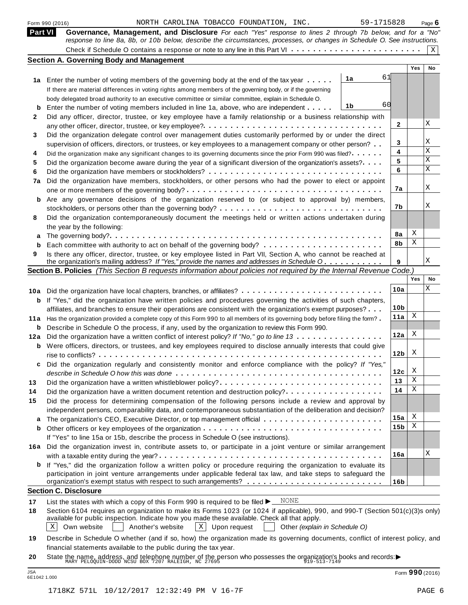|              | NORTH CAROLINA TOBACCO FOUNDATION, INC.<br>Form 990 (2016)                                                                                                                                                                                                | 59-1715828      |     | Page 6      |
|--------------|-----------------------------------------------------------------------------------------------------------------------------------------------------------------------------------------------------------------------------------------------------------|-----------------|-----|-------------|
|              | <b>Part VI</b><br>Governance, Management, and Disclosure For each "Yes" response to lines 2 through 7b below, and for a "No"<br>response to line 8a, 8b, or 10b below, describe the circumstances, processes, or changes in Schedule O. See instructions. |                 |     |             |
|              |                                                                                                                                                                                                                                                           |                 |     | X           |
|              | <b>Section A. Governing Body and Management</b>                                                                                                                                                                                                           |                 |     |             |
|              |                                                                                                                                                                                                                                                           |                 | Yes | No          |
| 1a           | 61<br>1a<br>Enter the number of voting members of the governing body at the end of the tax year                                                                                                                                                           |                 |     |             |
|              | If there are material differences in voting rights among members of the governing body, or if the governing                                                                                                                                               |                 |     |             |
|              | body delegated broad authority to an executive committee or similar committee, explain in Schedule O.<br>60                                                                                                                                               |                 |     |             |
| b            | 1b<br>Enter the number of voting members included in line 1a, above, who are independent                                                                                                                                                                  |                 |     |             |
| $\mathbf{2}$ | Did any officer, director, trustee, or key employee have a family relationship or a business relationship with                                                                                                                                            | 2               |     | Χ           |
|              |                                                                                                                                                                                                                                                           |                 |     |             |
| 3            | Did the organization delegate control over management duties customarily performed by or under the direct<br>supervision of officers, directors, or trustees, or key employees to a management company or other person?                                   | 3               |     | Χ           |
| 4            | Did the organization make any significant changes to its governing documents since the prior Form 990 was filed?                                                                                                                                          | 4               |     | $\mathbf X$ |
| 5            | Did the organization become aware during the year of a significant diversion of the organization's assets?                                                                                                                                                | 5               |     | $\mathbf X$ |
| 6            |                                                                                                                                                                                                                                                           | 6               |     | $\mathbf X$ |
| 7a           | Did the organization have members, stockholders, or other persons who had the power to elect or appoint                                                                                                                                                   |                 |     |             |
|              |                                                                                                                                                                                                                                                           | 7a              |     | Χ           |
| b            | Are any governance decisions of the organization reserved to (or subject to approval by) members,                                                                                                                                                         |                 |     |             |
|              |                                                                                                                                                                                                                                                           | 7b              |     | Χ           |
| 8            | Did the organization contemporaneously document the meetings held or written actions undertaken during                                                                                                                                                    |                 |     |             |
|              | the year by the following:                                                                                                                                                                                                                                |                 |     |             |
| a            |                                                                                                                                                                                                                                                           | 8a              | Χ   |             |
| b            |                                                                                                                                                                                                                                                           | 8b              | X   |             |
| 9            | Is there any officer, director, trustee, or key employee listed in Part VII, Section A, who cannot be reached at                                                                                                                                          |                 |     |             |
|              | the organization's mailing address? If "Yes," provide the names and addresses in Schedule O                                                                                                                                                               | 9               |     | Χ           |
|              | Section B. Policies (This Section B requests information about policies not required by the Internal Revenue Code.)                                                                                                                                       |                 | Yes | No          |
|              |                                                                                                                                                                                                                                                           |                 |     | Χ           |
|              | 10a Did the organization have local chapters, branches, or affiliates?                                                                                                                                                                                    | 10a             |     |             |
|              | <b>b</b> If "Yes," did the organization have written policies and procedures governing the activities of such chapters,                                                                                                                                   |                 |     |             |
|              | affiliates, and branches to ensure their operations are consistent with the organization's exempt purposes?                                                                                                                                               | 10b<br>11a      | Х   |             |
| 11 a         | Has the organization provided a complete copy of this Form 990 to all members of its governing body before filing the form?                                                                                                                               |                 |     |             |
| b            | Describe in Schedule O the process, if any, used by the organization to review this Form 990.<br>Did the organization have a written conflict of interest policy? If "No," go to line 13                                                                  | 12a             | X   |             |
|              | Were officers, directors, or trustees, and key employees required to disclose annually interests that could give                                                                                                                                          |                 |     |             |
| 12a          |                                                                                                                                                                                                                                                           |                 |     |             |
| b            |                                                                                                                                                                                                                                                           |                 | X   |             |
|              |                                                                                                                                                                                                                                                           | 12 <sub>b</sub> |     |             |
| c            | Did the organization regularly and consistently monitor and enforce compliance with the policy? If "Yes,"                                                                                                                                                 |                 | х   |             |
|              |                                                                                                                                                                                                                                                           | 12c<br>13       | Χ   |             |
| 13           | Did the organization have a written whistleblower policy?                                                                                                                                                                                                 | 14              | Χ   |             |
| 14<br>15     | Did the organization have a written document retention and destruction policy?                                                                                                                                                                            |                 |     |             |
|              | Did the process for determining compensation of the following persons include a review and approval by                                                                                                                                                    |                 |     |             |
| a            | independent persons, comparability data, and contemporaneous substantiation of the deliberation and decision?                                                                                                                                             | 15a             | X   |             |
| b            |                                                                                                                                                                                                                                                           | 15 <sub>b</sub> | X   |             |
|              | If "Yes" to line 15a or 15b, describe the process in Schedule O (see instructions).                                                                                                                                                                       |                 |     |             |
|              | Did the organization invest in, contribute assets to, or participate in a joint venture or similar arrangement                                                                                                                                            |                 |     |             |
|              |                                                                                                                                                                                                                                                           | 16a             |     | Χ           |
| 16а          | If "Yes," did the organization follow a written policy or procedure requiring the organization to evaluate its                                                                                                                                            |                 |     |             |
|              | participation in joint venture arrangements under applicable federal tax law, and take steps to safeguard the                                                                                                                                             |                 |     |             |
|              |                                                                                                                                                                                                                                                           | 16 <sub>b</sub> |     |             |
| 17           | <b>Section C. Disclosure</b><br>NONE<br>List the states with which a copy of this Form 990 is required to be filed $\blacktriangleright$                                                                                                                  |                 |     |             |

 $\boxed{\text{X}}$  Own website  $\boxed{\phantom{1}}$  Another's website  $\boxed{\text{X}}$  Upon request

**<sup>19</sup>** Describe in Schedule O whether (and if so, how) the organization made its governing documents, conflict of interest policy, and financial statements available to the public during the tax year.

**<sup>20</sup>** nnancial statements available to the public during the tax year.<br>State the name, address, and telephone number of the person who possesses the organization's books and records:<br><sup>MARY PELOQUIN-DODD NCSU BOX 7207 RALEIGH, NC</sup>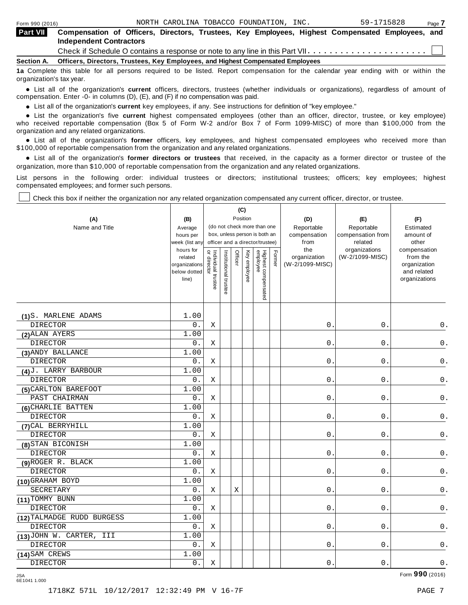organization's tax year.

| <b>Part VII</b> | Compensation of Officers, Directors, Trustees, Key Employees, Highest Compensated Employees, and<br><b>Independent Contractors</b> |
|-----------------|------------------------------------------------------------------------------------------------------------------------------------|
|                 | Check if Schedule O contains a response or note to any line in this Part VII                                                       |
|                 | Section A. Officers, Directors, Trustees, Key Employees, and Highest Compensated Employees                                         |
|                 | 1a Complete this table for all persons required to be listed. Report compensation for the calendar year ending with or within the  |

anization's lax year.<br>● List all of the organization's **current** officers, directors, trustees (whether individuals or organizations), regardless of amount of<br>nnensation Enter -0- in columns (D) (E) and (E) if no compensa compensation. Enter -0- in columns (D), (E), and (F) if no compensation was paid.

• List all of the organization's **current** key employees, if any. See instructions for definition of "key employee."<br>● List the experientials five expect highest expressed explores (other than an efficer director of

**Example in the organization's current** key employees, if any. See instructions for definition of key employee.<br>• List the organization's five **current** highest compensated employees (other than an officer, director, trust who received reportable compensation (Box 5 of Form W-2 and/or Box 7 of Form 1099-MISC) of more than \$100,000 from the

organization and any related organizations.<br>• List all of the organization's **former** officers, key employees, and highest compensated employees who received more than<br>\$1.00.000 of reportable componention from the erganiza \$100,000 of reportable compensation from the organization and any related organizations.

% List all of the organization's **former directors or trustees** that received, in the capacity as a former director or trustee of the organization, more than \$10,000 of reportable compensation from the organization and any related organizations.

List persons in the following order: individual trustees or directors; institutional trustees; officers; key employees; highest compensated employees; and former such persons.

Check this box if neither the organization nor any related organization compensated any current officer, director, or trustee.

| (A)<br>Name and Title      | (B)<br>Average<br>hours per<br>week (list any<br>hours for<br>related<br>organizations<br>below dotted<br>line) | $\breve{a}$<br>Individual trustee<br>or director | Institutional trustee | (C)<br>Officer | Position<br>Key employee | (do not check more than one<br>box, unless person is both an<br>officer and a director/trustee)<br>Highest compensated<br>employee | Former | (D)<br>Reportable<br>compensation<br>from<br>the<br>organization<br>(W-2/1099-MISC) | (E)<br>Reportable<br>compensation from<br>related<br>organizations<br>(W-2/1099-MISC) | (F)<br>Estimated<br>amount of<br>other<br>compensation<br>from the<br>organization<br>and related<br>organizations |
|----------------------------|-----------------------------------------------------------------------------------------------------------------|--------------------------------------------------|-----------------------|----------------|--------------------------|------------------------------------------------------------------------------------------------------------------------------------|--------|-------------------------------------------------------------------------------------|---------------------------------------------------------------------------------------|--------------------------------------------------------------------------------------------------------------------|
| (1)S. MARLENE ADAMS        | 1.00                                                                                                            |                                                  |                       |                |                          |                                                                                                                                    |        |                                                                                     |                                                                                       |                                                                                                                    |
| <b>DIRECTOR</b>            | $0$ .                                                                                                           | X                                                |                       |                |                          |                                                                                                                                    |        | 0.                                                                                  | 0.                                                                                    | 0.                                                                                                                 |
| (2) ALAN AYERS             | 1.00                                                                                                            |                                                  |                       |                |                          |                                                                                                                                    |        |                                                                                     |                                                                                       |                                                                                                                    |
| <b>DIRECTOR</b>            | 0.                                                                                                              | Χ                                                |                       |                |                          |                                                                                                                                    |        | $0$ .                                                                               | $0$ .                                                                                 | $\mathsf 0$ .                                                                                                      |
| (3) ANDY BALLANCE          | 1.00                                                                                                            |                                                  |                       |                |                          |                                                                                                                                    |        |                                                                                     |                                                                                       |                                                                                                                    |
| <b>DIRECTOR</b>            | 0.                                                                                                              | X                                                |                       |                |                          |                                                                                                                                    |        | $0$ .                                                                               | $\mathsf 0$ .                                                                         | $\mathsf 0$ .                                                                                                      |
| (4)J. LARRY BARBOUR        | 1.00                                                                                                            |                                                  |                       |                |                          |                                                                                                                                    |        |                                                                                     |                                                                                       |                                                                                                                    |
| <b>DIRECTOR</b>            | 0.                                                                                                              | Χ                                                |                       |                |                          |                                                                                                                                    |        | 0.                                                                                  | $0$ .                                                                                 | $\mathsf 0$ .                                                                                                      |
| (5) CARLTON BAREFOOT       | 1.00                                                                                                            |                                                  |                       |                |                          |                                                                                                                                    |        |                                                                                     |                                                                                       |                                                                                                                    |
| PAST CHAIRMAN              | $0$ .                                                                                                           | Х                                                |                       |                |                          |                                                                                                                                    |        | 0.                                                                                  | $\mathsf 0$ .                                                                         | $\mathsf 0$ .                                                                                                      |
| (6) CHARLIE BATTEN         | 1.00                                                                                                            |                                                  |                       |                |                          |                                                                                                                                    |        |                                                                                     |                                                                                       |                                                                                                                    |
| <b>DIRECTOR</b>            | 0.                                                                                                              | Χ                                                |                       |                |                          |                                                                                                                                    |        | 0.                                                                                  | $0$ .                                                                                 | 0.                                                                                                                 |
| (7) CAL BERRYHILL          | 1.00                                                                                                            |                                                  |                       |                |                          |                                                                                                                                    |        |                                                                                     |                                                                                       |                                                                                                                    |
| <b>DIRECTOR</b>            | 0.                                                                                                              | Χ                                                |                       |                |                          |                                                                                                                                    |        | 0.                                                                                  | $0$ .                                                                                 | $0$ .                                                                                                              |
| (8) STAN BICONISH          | 1.00                                                                                                            |                                                  |                       |                |                          |                                                                                                                                    |        |                                                                                     |                                                                                       |                                                                                                                    |
| <b>DIRECTOR</b>            | 0.                                                                                                              | $\mathbf X$                                      |                       |                |                          |                                                                                                                                    |        | $0$ .                                                                               | $0$ .                                                                                 | $\mathsf 0$ .                                                                                                      |
| (9) ROGER R. BLACK         | 1.00                                                                                                            |                                                  |                       |                |                          |                                                                                                                                    |        |                                                                                     |                                                                                       |                                                                                                                    |
| <b>DIRECTOR</b>            | $0$ .                                                                                                           | Χ                                                |                       |                |                          |                                                                                                                                    |        | 0.                                                                                  | $0$ .                                                                                 | $0$ .                                                                                                              |
| (10) GRAHAM BOYD           | 1.00                                                                                                            |                                                  |                       |                |                          |                                                                                                                                    |        |                                                                                     |                                                                                       |                                                                                                                    |
| SECRETARY                  | 0.                                                                                                              | Χ                                                |                       | Χ              |                          |                                                                                                                                    |        | 0.                                                                                  | $0$ .                                                                                 | $0$ .                                                                                                              |
| (11) TOMMY BUNN            | 1.00                                                                                                            |                                                  |                       |                |                          |                                                                                                                                    |        |                                                                                     |                                                                                       |                                                                                                                    |
| <b>DIRECTOR</b>            | $0$ .                                                                                                           | X                                                |                       |                |                          |                                                                                                                                    |        | $0$ .                                                                               | 0.                                                                                    | 0.                                                                                                                 |
| (12) TALMADGE RUDD BURGESS | 1.00                                                                                                            |                                                  |                       |                |                          |                                                                                                                                    |        |                                                                                     |                                                                                       |                                                                                                                    |
| <b>DIRECTOR</b>            | 0.                                                                                                              | Χ                                                |                       |                |                          |                                                                                                                                    |        | 0.                                                                                  | 0.                                                                                    | 0.                                                                                                                 |
| (13) JOHN W. CARTER, III   | 1.00                                                                                                            |                                                  |                       |                |                          |                                                                                                                                    |        |                                                                                     |                                                                                       |                                                                                                                    |
| <b>DIRECTOR</b>            | 0.                                                                                                              | Χ                                                |                       |                |                          |                                                                                                                                    |        | 0.                                                                                  | 0.                                                                                    | 0.                                                                                                                 |
| (14) SAM CREWS             | 1.00                                                                                                            |                                                  |                       |                |                          |                                                                                                                                    |        |                                                                                     |                                                                                       |                                                                                                                    |
| <b>DIRECTOR</b>            | 0.                                                                                                              | Χ                                                |                       |                |                          |                                                                                                                                    |        | 0.                                                                                  | 0.                                                                                    | $0$ .                                                                                                              |

6E1041 1.000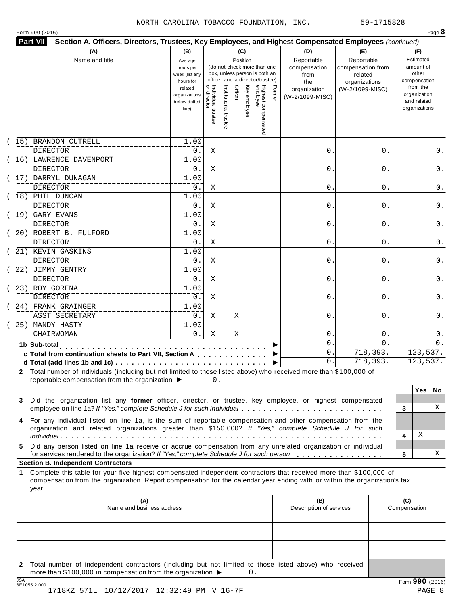|  | Form 990 (2016) |
|--|-----------------|
|  |                 |

| Form 990 (2016)<br>Part VII | Section A. Officers, Directors, Trustees, Key Employees, and Highest Compensated Employees (continued)              |                          |                                     |                       |          |                                 |        |                 |                   | Page 8                   |             |
|-----------------------------|---------------------------------------------------------------------------------------------------------------------|--------------------------|-------------------------------------|-----------------------|----------|---------------------------------|--------|-----------------|-------------------|--------------------------|-------------|
|                             | (A)                                                                                                                 | (B)                      |                                     |                       | (C)      |                                 |        | (D)             | (E)               | (F)                      |             |
|                             | Name and title                                                                                                      | Average                  |                                     |                       | Position |                                 |        | Reportable      | Reportable        | Estimated                |             |
|                             |                                                                                                                     | hours per                |                                     |                       |          | (do not check more than one     |        | compensation    | compensation from | amount of                |             |
|                             |                                                                                                                     | week (list any           |                                     |                       |          | box, unless person is both an   |        | from            | related           | other                    |             |
|                             |                                                                                                                     | hours for                |                                     |                       |          | officer and a director/trustee) |        | the             | organizations     | compensation<br>from the |             |
|                             |                                                                                                                     | related<br>organizations |                                     |                       | Officer  |                                 | Former | organization    | (W-2/1099-MISC)   | organization             |             |
|                             |                                                                                                                     | below dotted             |                                     |                       |          |                                 |        | (W-2/1099-MISC) |                   |                          | and related |
|                             |                                                                                                                     | line)                    |                                     |                       |          | Key employee                    |        |                 |                   | organizations            |             |
|                             |                                                                                                                     |                          | Individual trustee<br>  or director |                       |          |                                 |        |                 |                   |                          |             |
|                             |                                                                                                                     |                          |                                     | Institutional trustee |          | Highest compensated<br>employee |        |                 |                   |                          |             |
|                             | 15) BRANDON CUTRELL                                                                                                 | 1.00                     |                                     |                       |          |                                 |        |                 |                   |                          |             |
| DIRECTOR                    |                                                                                                                     | 0.                       | Χ                                   |                       |          |                                 |        | 0.              | 0                 | 0.                       |             |
|                             | 16) LAWRENCE DAVENPORT                                                                                              | 1.00                     |                                     |                       |          |                                 |        |                 |                   |                          |             |
| <b>DIRECTOR</b>             |                                                                                                                     | 0.                       | Χ                                   |                       |          |                                 |        | 0.              | 0                 | 0.                       |             |
|                             | 17) DARRYL DUNAGAN                                                                                                  | 1.00                     |                                     |                       |          |                                 |        |                 |                   |                          |             |
| <b>DIRECTOR</b>             |                                                                                                                     | 0.                       | Χ                                   |                       |          |                                 |        | 0.              | 0                 | 0.                       |             |
|                             | 18) PHIL DUNCAN                                                                                                     |                          |                                     |                       |          |                                 |        |                 |                   |                          |             |
|                             |                                                                                                                     | 1.00                     |                                     |                       |          |                                 |        |                 |                   |                          |             |
| <b>DIRECTOR</b>             |                                                                                                                     | 0.                       | Χ                                   |                       |          |                                 |        | 0.              | 0                 | 0.                       |             |
| 19) GARY EVANS              |                                                                                                                     | 1.00                     |                                     |                       |          |                                 |        |                 |                   |                          |             |
| DIRECTOR                    |                                                                                                                     | 0.                       | Χ                                   |                       |          |                                 |        | 0.              | 0                 | 0.                       |             |
|                             | 20) ROBERT B. FULFORD                                                                                               | 1.00                     |                                     |                       |          |                                 |        |                 |                   |                          |             |
| DIRECTOR                    |                                                                                                                     | 0.                       | Χ                                   |                       |          |                                 |        | 0.              | 0                 | 0.                       |             |
|                             | 21) KEVIN GASKINS                                                                                                   | 1.00                     |                                     |                       |          |                                 |        |                 |                   |                          |             |
| <b>DIRECTOR</b>             |                                                                                                                     | 0.                       | Χ                                   |                       |          |                                 |        | 0.              | 0                 | 0.                       |             |
|                             | 22) JIMMY GENTRY                                                                                                    | 1.00                     |                                     |                       |          |                                 |        |                 |                   |                          |             |
| <b>DIRECTOR</b>             |                                                                                                                     | 0.                       | Χ                                   |                       |          |                                 |        | 0.              | 0                 | 0.                       |             |
| 23) ROY GORENA              |                                                                                                                     | 1.00                     |                                     |                       |          |                                 |        |                 |                   |                          |             |
| <b>DIRECTOR</b>             |                                                                                                                     | 0.                       | Χ                                   |                       |          |                                 |        | 0.              | 0                 | 0.                       |             |
|                             | 24) FRANK GRAINGER                                                                                                  |                          |                                     |                       |          |                                 |        |                 |                   |                          |             |
|                             |                                                                                                                     | 1.00                     |                                     |                       |          |                                 |        |                 |                   |                          |             |
|                             | ASST SECRETARY                                                                                                      | 0.                       | Χ                                   |                       | Χ        |                                 |        | 0.              | 0                 | 0.                       |             |
|                             | 25) MANDY HASTY                                                                                                     | 1.00                     |                                     |                       |          |                                 |        |                 |                   |                          |             |
|                             | CHAIRWOMAN                                                                                                          | 0.                       | Χ                                   |                       | Χ        |                                 |        | 0.              | 0                 | $0$ .                    |             |
| 1b Sub-total                | $\mathbf{a} \cdot \mathbf{a} \cdot \mathbf{a} \cdot \mathbf{a} \cdot \mathbf{a} \cdot \mathbf{a}$                   |                          |                                     |                       |          |                                 |        | 0.              | $\mathbf 0$       | 0.                       |             |
|                             | c Total from continuation sheets to Part VII, Section A                                                             |                          |                                     |                       |          |                                 |        | О.              | 718,393.          | 123,537.                 |             |
|                             |                                                                                                                     |                          |                                     |                       |          |                                 |        | 0.              | 718,393.          | 123,537.                 |             |
|                             | 2 Total number of individuals (including but not limited to those listed above) who received more than \$100,000 of |                          |                                     |                       |          |                                 |        |                 |                   |                          |             |
|                             | reportable compensation from the organization ▶                                                                     |                          | $0$ .                               |                       |          |                                 |        |                 |                   |                          |             |
|                             |                                                                                                                     |                          |                                     |                       |          |                                 |        |                 |                   | <b>Yes</b><br>No.        |             |
|                             |                                                                                                                     |                          |                                     |                       |          |                                 |        |                 |                   |                          |             |
| 3                           | Did the organization list any former officer, director, or trustee, key employee, or highest compensated            |                          |                                     |                       |          |                                 |        |                 |                   |                          |             |
|                             | employee on line 1a? If "Yes," complete Schedule J for such individual                                              |                          |                                     |                       |          |                                 |        |                 |                   | X<br>3                   |             |
|                             | 4 For any individual listed on line 1a, is the sum of reportable compensation and other compensation from the       |                          |                                     |                       |          |                                 |        |                 |                   |                          |             |
|                             | organization and related organizations greater than \$150,000? If "Yes," complete Schedule J for such               |                          |                                     |                       |          |                                 |        |                 |                   |                          |             |
|                             |                                                                                                                     |                          |                                     |                       |          |                                 |        |                 |                   | Χ<br>4                   |             |
|                             | Did any person listed on line 1a receive or accrue compensation from any unrelated organization or individual       |                          |                                     |                       |          |                                 |        |                 |                   |                          |             |
| 5.                          |                                                                                                                     |                          |                                     |                       |          |                                 |        |                 |                   |                          |             |
|                             | for services rendered to the organization? If "Yes," complete Schedule J for such person                            |                          |                                     |                       |          |                                 |        |                 |                   | Χ<br>5                   |             |

**1** Complete this table for your five highest compensated independent contractors that received more than \$100,000 of compensation from the organization. Report compensation for the calendar year ending with or within the organization's tax year.

|             | (A)<br>Name and business address                                                                                                                                                          | (B)<br>Description of services | (C)<br>Compensation |
|-------------|-------------------------------------------------------------------------------------------------------------------------------------------------------------------------------------------|--------------------------------|---------------------|
|             |                                                                                                                                                                                           |                                |                     |
|             |                                                                                                                                                                                           |                                |                     |
|             |                                                                                                                                                                                           |                                |                     |
|             |                                                                                                                                                                                           |                                |                     |
|             |                                                                                                                                                                                           |                                |                     |
| $2^{\circ}$ | Total number of independent contractors (including but not limited to those listed above) who received<br>more than \$100,000 in compensation from the organization $\blacktriangleright$ |                                |                     |
| ICA         |                                                                                                                                                                                           |                                | $\sim$ $\sim$       |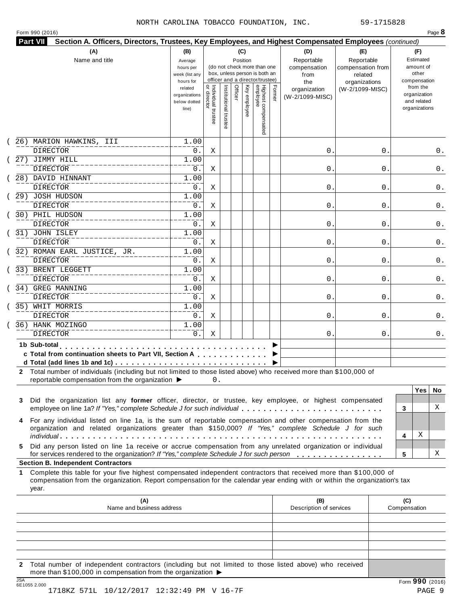|  | Form 990 (2016) |  |
|--|-----------------|--|
|  |                 |  |

| (A)<br>Name and title                                                                                                                                                                                                                                           | (B)<br>Average<br>hours per<br>week (list any<br>hours for |                                     |                       | (C)<br>Position |              | (do not check more than one<br>box, unless person is both an<br>officer and a director/trustee) |        | (D)<br>Reportable<br>compensation<br>from<br>the | (E)<br>Reportable<br>compensation from<br>related<br>organizations | (F)<br>Estimated<br>amount of<br>other<br>compensation   |
|-----------------------------------------------------------------------------------------------------------------------------------------------------------------------------------------------------------------------------------------------------------------|------------------------------------------------------------|-------------------------------------|-----------------------|-----------------|--------------|-------------------------------------------------------------------------------------------------|--------|--------------------------------------------------|--------------------------------------------------------------------|----------------------------------------------------------|
|                                                                                                                                                                                                                                                                 | related<br>organizations<br>below dotted<br>line)          | Individual trustee<br>  or director | Institutional trustee | Officer         | Key employee | Highest compensated<br>employee                                                                 | Former | organization<br>(W-2/1099-MISC)                  | (W-2/1099-MISC)                                                    | from the<br>organization<br>and related<br>organizations |
| 26) MARION HAWKINS, III                                                                                                                                                                                                                                         | 1.00                                                       |                                     |                       |                 |              |                                                                                                 |        |                                                  |                                                                    |                                                          |
| DIRECTOR                                                                                                                                                                                                                                                        | 0.                                                         | Χ                                   |                       |                 |              |                                                                                                 |        | 0.                                               | 0                                                                  | 0.                                                       |
| 27) JIMMY HILL                                                                                                                                                                                                                                                  | 1.00                                                       |                                     |                       |                 |              |                                                                                                 |        |                                                  |                                                                    |                                                          |
| <b>DIRECTOR</b>                                                                                                                                                                                                                                                 | 0.                                                         | Χ                                   |                       |                 |              |                                                                                                 |        | 0.                                               | 0                                                                  | 0.                                                       |
| 28) DAVID HINNANT<br><b>DIRECTOR</b>                                                                                                                                                                                                                            | 1.00<br>0.                                                 | Χ                                   |                       |                 |              |                                                                                                 |        | 0.                                               | 0                                                                  | 0.                                                       |
| 29) JOSH HUDSON                                                                                                                                                                                                                                                 | 1.00                                                       |                                     |                       |                 |              |                                                                                                 |        |                                                  |                                                                    |                                                          |
| <b>DIRECTOR</b>                                                                                                                                                                                                                                                 | 0.                                                         | Χ                                   |                       |                 |              |                                                                                                 |        | 0.                                               | 0                                                                  | 0.                                                       |
| 30) PHIL HUDSON                                                                                                                                                                                                                                                 | 1.00                                                       |                                     |                       |                 |              |                                                                                                 |        |                                                  |                                                                    |                                                          |
| <b>DIRECTOR</b>                                                                                                                                                                                                                                                 | 0.                                                         | Χ                                   |                       |                 |              |                                                                                                 |        | 0.                                               | 0                                                                  | 0.                                                       |
| 31) JOHN ISLEY                                                                                                                                                                                                                                                  | 1.00                                                       |                                     |                       |                 |              |                                                                                                 |        |                                                  |                                                                    |                                                          |
| <b>DIRECTOR</b>                                                                                                                                                                                                                                                 | 0.                                                         | Χ                                   |                       |                 |              |                                                                                                 |        | 0.                                               | 0                                                                  | 0.                                                       |
| 32) ROMAN EARL JUSTICE, JR.                                                                                                                                                                                                                                     | 1.00                                                       |                                     |                       |                 |              |                                                                                                 |        |                                                  |                                                                    |                                                          |
| <b>DIRECTOR</b>                                                                                                                                                                                                                                                 | 0.                                                         | Χ                                   |                       |                 |              |                                                                                                 |        | 0.                                               | 0                                                                  | 0.                                                       |
| 33) BRENT LEGGETT                                                                                                                                                                                                                                               | 1.00                                                       |                                     |                       |                 |              |                                                                                                 |        |                                                  |                                                                    |                                                          |
| DIRECTOR                                                                                                                                                                                                                                                        | 0.                                                         | Χ                                   |                       |                 |              |                                                                                                 |        | 0.                                               | 0                                                                  | 0.                                                       |
| 34) GREG MANNING                                                                                                                                                                                                                                                | 1.00                                                       |                                     |                       |                 |              |                                                                                                 |        |                                                  |                                                                    |                                                          |
| <b>DIRECTOR</b>                                                                                                                                                                                                                                                 | 0.                                                         | Χ                                   |                       |                 |              |                                                                                                 |        | 0.                                               | 0                                                                  | 0.                                                       |
| 35) WHIT MORRIS                                                                                                                                                                                                                                                 | 1.00                                                       |                                     |                       |                 |              |                                                                                                 |        |                                                  |                                                                    |                                                          |
| <b>DIRECTOR</b><br>36) HANK MOZINGO                                                                                                                                                                                                                             | 0.<br>1.00                                                 | Χ                                   |                       |                 |              |                                                                                                 |        | 0.                                               | 0                                                                  | 0.                                                       |
| <b>DIRECTOR</b>                                                                                                                                                                                                                                                 | 0.                                                         | Χ                                   |                       |                 |              |                                                                                                 |        | 0.                                               | 0                                                                  | 0.                                                       |
| 1b Sub-total                                                                                                                                                                                                                                                    |                                                            |                                     |                       |                 |              |                                                                                                 |        |                                                  |                                                                    |                                                          |
| c Total from continuation sheets to Part VII, Section A<br>d Total (add lines 1b and 1c) $\ldots \ldots \ldots \ldots \ldots \ldots \ldots \ldots \ldots \ldots$                                                                                                |                                                            |                                     |                       |                 |              |                                                                                                 |        |                                                  |                                                                    |                                                          |
| 2 Total number of individuals (including but not limited to those listed above) who received more than \$100,000 of<br>reportable compensation from the organization ▶                                                                                          |                                                            | 0.                                  |                       |                 |              |                                                                                                 |        |                                                  |                                                                    |                                                          |
| Did the organization list any former officer, director, or trustee, key employee, or highest compensated<br>3                                                                                                                                                   |                                                            |                                     |                       |                 |              |                                                                                                 |        |                                                  |                                                                    | <b>Yes</b><br>No.                                        |
| employee on line 1a? If "Yes," complete Schedule J for such individual                                                                                                                                                                                          |                                                            |                                     |                       |                 |              |                                                                                                 |        |                                                  |                                                                    | X<br>3                                                   |
| 4 For any individual listed on line 1a, is the sum of reportable compensation and other compensation from the<br>organization and related organizations greater than \$150,000? If "Yes," complete Schedule J for such                                          |                                                            |                                     |                       |                 |              |                                                                                                 |        |                                                  |                                                                    | Χ<br>4                                                   |
| Did any person listed on line 1a receive or accrue compensation from any unrelated organization or individual<br>5.<br>for services rendered to the organization? If "Yes," complete Schedule J for such person                                                 |                                                            |                                     |                       |                 |              |                                                                                                 |        |                                                  |                                                                    | х<br>5                                                   |
| <b>Section B. Independent Contractors</b>                                                                                                                                                                                                                       |                                                            |                                     |                       |                 |              |                                                                                                 |        |                                                  |                                                                    |                                                          |
| Complete this table for your five highest compensated independent contractors that received more than \$100,000 of<br>1.<br>compensation from the organization. Report compensation for the calendar year ending with or within the organization's tax<br>year. |                                                            |                                     |                       |                 |              |                                                                                                 |        |                                                  |                                                                    |                                                          |
| (A)<br>Name and business address                                                                                                                                                                                                                                |                                                            |                                     |                       |                 |              |                                                                                                 |        | (B)<br>Description of services                   |                                                                    | (C)<br>Compensation                                      |
|                                                                                                                                                                                                                                                                 |                                                            |                                     |                       |                 |              |                                                                                                 |        |                                                  |                                                                    |                                                          |
|                                                                                                                                                                                                                                                                 |                                                            |                                     |                       |                 |              |                                                                                                 |        |                                                  |                                                                    |                                                          |
|                                                                                                                                                                                                                                                                 |                                                            |                                     |                       |                 |              |                                                                                                 |        |                                                  |                                                                    |                                                          |

**2** Total number of independent contractors (including but not limited to those listed above) who received Total number of independent contractors (including but not limited<br>more than \$100,000 in compensation from the organization ▶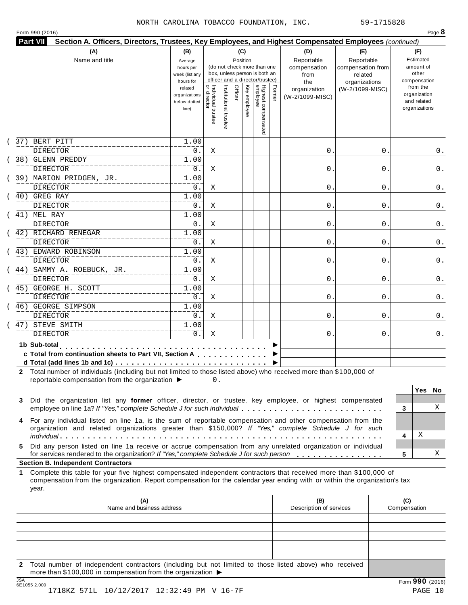|  | Form 990 (2016) |  |
|--|-----------------|--|
|  |                 |  |

| Highest compensated<br>employee<br>related<br>(W-2/1099-MISC)<br>organization<br>organizations<br>(W-2/1099-MISC)<br>below dotted<br>line)<br>37) BERT PITT<br>1.00<br><b>DIRECTOR</b><br>0.<br>0.<br>Χ<br>0<br>38) GLENN PREDDY<br>1.00<br><b>DIRECTOR</b><br>0.<br>0.<br>0<br>Χ<br>39) MARION PRIDGEN, JR.<br>1.00<br><b>DIRECTOR</b><br>0.<br>0.<br>0<br>Χ<br>40) GREG RAY<br>1.00<br><b>DIRECTOR</b><br>0.<br>0.<br>Χ<br>0<br>41) MEL RAY<br>1.00<br><b>DIRECTOR</b><br>0.<br>0.<br>Χ<br>0<br>42) RICHARD RENEGAR<br>1.00<br><b>DIRECTOR</b><br>0.<br>0.<br>0<br>Χ<br>(43) EDWARD ROBINSON<br>1.00<br><b>DIRECTOR</b><br>0.<br>0.<br>0<br>Χ<br>44) SAMMY A. ROEBUCK, JR.<br>1.00<br>DIRECTOR<br>0.<br>0.<br>Χ<br>0<br>45) GEORGE H. SCOTT<br>1.00<br>DIRECTOR<br>0.<br>0.<br>Χ<br>0<br>46) GEORGE SIMPSON<br>1.00<br><b>DIRECTOR</b><br>0.<br>0.<br>0<br>Χ<br>47) STEVE SMITH<br>1.00<br><b>DIRECTOR</b><br>0.<br>Χ<br>0.<br>0<br>1b Sub-total<br>c Total from continuation sheets to Part VII, Section A<br>d Total (add lines 1b and 1c) $\ldots \ldots \ldots \ldots \ldots \ldots \ldots \ldots \ldots \ldots \ldots$<br>2 Total number of individuals (including but not limited to those listed above) who received more than \$100,000 of<br>reportable compensation from the organization ▶<br>0.<br><b>Yes</b><br>Did the organization list any former officer, director, or trustee, key employee, or highest compensated<br>3<br>employee on line 1a? If "Yes," complete Schedule J for such individual<br>3<br>For any individual listed on line 1a, is the sum of reportable compensation and other compensation from the<br>4<br>organization and related organizations greater than \$150,000? If "Yes," complete Schedule J for such<br>х<br>4<br>Did any person listed on line 1a receive or accrue compensation from any unrelated organization or individual<br>5.<br>for services rendered to the organization? If "Yes," complete Schedule J for such person<br>5<br><b>Section B. Independent Contractors</b><br>Complete this table for your five highest compensated independent contractors that received more than \$100,000 of<br>1<br>compensation from the organization. Report compensation for the calendar year ending with or within the organization's tax<br>year.<br>(A)<br>(B)<br>(C)<br>Description of services<br>Name and business address<br>Compensation | Name and title | (B)<br>(C)<br>(D)<br>Reportable<br>Position<br>Average<br>(do not check more than one<br>compensation<br>hours per<br>box, unless person is both an<br>week (list any<br>from<br>officer and a director/trustee)<br>hours for<br>the |                                     |                       |         |              | (E)<br>Reportable<br>compensation from<br>related<br>organizations | (F)<br>Estimated<br>amount of<br>other<br>compensation |  |                                                          |
|--------------------------------------------------------------------------------------------------------------------------------------------------------------------------------------------------------------------------------------------------------------------------------------------------------------------------------------------------------------------------------------------------------------------------------------------------------------------------------------------------------------------------------------------------------------------------------------------------------------------------------------------------------------------------------------------------------------------------------------------------------------------------------------------------------------------------------------------------------------------------------------------------------------------------------------------------------------------------------------------------------------------------------------------------------------------------------------------------------------------------------------------------------------------------------------------------------------------------------------------------------------------------------------------------------------------------------------------------------------------------------------------------------------------------------------------------------------------------------------------------------------------------------------------------------------------------------------------------------------------------------------------------------------------------------------------------------------------------------------------------------------------------------------------------------------------------------------------------------------------------------------------------------------------------------------------------------------------------------------------------------------------------------------------------------------------------------------------------------------------------------------------------------------------------------------------------------------------------------------------------------------------------------------------------------------------------------------------------------------------------------------------------------|----------------|--------------------------------------------------------------------------------------------------------------------------------------------------------------------------------------------------------------------------------------|-------------------------------------|-----------------------|---------|--------------|--------------------------------------------------------------------|--------------------------------------------------------|--|----------------------------------------------------------|
|                                                                                                                                                                                                                                                                                                                                                                                                                                                                                                                                                                                                                                                                                                                                                                                                                                                                                                                                                                                                                                                                                                                                                                                                                                                                                                                                                                                                                                                                                                                                                                                                                                                                                                                                                                                                                                                                                                                                                                                                                                                                                                                                                                                                                                                                                                                                                                                                        |                |                                                                                                                                                                                                                                      | Individual trustee<br>  or director | Institutional trustee | Officer | Key employee | Former                                                             |                                                        |  | from the<br>organization<br>and related<br>organizations |
|                                                                                                                                                                                                                                                                                                                                                                                                                                                                                                                                                                                                                                                                                                                                                                                                                                                                                                                                                                                                                                                                                                                                                                                                                                                                                                                                                                                                                                                                                                                                                                                                                                                                                                                                                                                                                                                                                                                                                                                                                                                                                                                                                                                                                                                                                                                                                                                                        |                |                                                                                                                                                                                                                                      |                                     |                       |         |              |                                                                    |                                                        |  |                                                          |
|                                                                                                                                                                                                                                                                                                                                                                                                                                                                                                                                                                                                                                                                                                                                                                                                                                                                                                                                                                                                                                                                                                                                                                                                                                                                                                                                                                                                                                                                                                                                                                                                                                                                                                                                                                                                                                                                                                                                                                                                                                                                                                                                                                                                                                                                                                                                                                                                        |                |                                                                                                                                                                                                                                      |                                     |                       |         |              |                                                                    |                                                        |  | 0.                                                       |
|                                                                                                                                                                                                                                                                                                                                                                                                                                                                                                                                                                                                                                                                                                                                                                                                                                                                                                                                                                                                                                                                                                                                                                                                                                                                                                                                                                                                                                                                                                                                                                                                                                                                                                                                                                                                                                                                                                                                                                                                                                                                                                                                                                                                                                                                                                                                                                                                        |                |                                                                                                                                                                                                                                      |                                     |                       |         |              |                                                                    |                                                        |  |                                                          |
|                                                                                                                                                                                                                                                                                                                                                                                                                                                                                                                                                                                                                                                                                                                                                                                                                                                                                                                                                                                                                                                                                                                                                                                                                                                                                                                                                                                                                                                                                                                                                                                                                                                                                                                                                                                                                                                                                                                                                                                                                                                                                                                                                                                                                                                                                                                                                                                                        |                |                                                                                                                                                                                                                                      |                                     |                       |         |              |                                                                    |                                                        |  | 0.                                                       |
|                                                                                                                                                                                                                                                                                                                                                                                                                                                                                                                                                                                                                                                                                                                                                                                                                                                                                                                                                                                                                                                                                                                                                                                                                                                                                                                                                                                                                                                                                                                                                                                                                                                                                                                                                                                                                                                                                                                                                                                                                                                                                                                                                                                                                                                                                                                                                                                                        |                |                                                                                                                                                                                                                                      |                                     |                       |         |              |                                                                    |                                                        |  | 0.                                                       |
|                                                                                                                                                                                                                                                                                                                                                                                                                                                                                                                                                                                                                                                                                                                                                                                                                                                                                                                                                                                                                                                                                                                                                                                                                                                                                                                                                                                                                                                                                                                                                                                                                                                                                                                                                                                                                                                                                                                                                                                                                                                                                                                                                                                                                                                                                                                                                                                                        |                |                                                                                                                                                                                                                                      |                                     |                       |         |              |                                                                    |                                                        |  |                                                          |
|                                                                                                                                                                                                                                                                                                                                                                                                                                                                                                                                                                                                                                                                                                                                                                                                                                                                                                                                                                                                                                                                                                                                                                                                                                                                                                                                                                                                                                                                                                                                                                                                                                                                                                                                                                                                                                                                                                                                                                                                                                                                                                                                                                                                                                                                                                                                                                                                        |                |                                                                                                                                                                                                                                      |                                     |                       |         |              |                                                                    |                                                        |  | 0.                                                       |
|                                                                                                                                                                                                                                                                                                                                                                                                                                                                                                                                                                                                                                                                                                                                                                                                                                                                                                                                                                                                                                                                                                                                                                                                                                                                                                                                                                                                                                                                                                                                                                                                                                                                                                                                                                                                                                                                                                                                                                                                                                                                                                                                                                                                                                                                                                                                                                                                        |                |                                                                                                                                                                                                                                      |                                     |                       |         |              |                                                                    |                                                        |  |                                                          |
|                                                                                                                                                                                                                                                                                                                                                                                                                                                                                                                                                                                                                                                                                                                                                                                                                                                                                                                                                                                                                                                                                                                                                                                                                                                                                                                                                                                                                                                                                                                                                                                                                                                                                                                                                                                                                                                                                                                                                                                                                                                                                                                                                                                                                                                                                                                                                                                                        |                |                                                                                                                                                                                                                                      |                                     |                       |         |              |                                                                    |                                                        |  | 0.                                                       |
|                                                                                                                                                                                                                                                                                                                                                                                                                                                                                                                                                                                                                                                                                                                                                                                                                                                                                                                                                                                                                                                                                                                                                                                                                                                                                                                                                                                                                                                                                                                                                                                                                                                                                                                                                                                                                                                                                                                                                                                                                                                                                                                                                                                                                                                                                                                                                                                                        |                |                                                                                                                                                                                                                                      |                                     |                       |         |              |                                                                    |                                                        |  |                                                          |
|                                                                                                                                                                                                                                                                                                                                                                                                                                                                                                                                                                                                                                                                                                                                                                                                                                                                                                                                                                                                                                                                                                                                                                                                                                                                                                                                                                                                                                                                                                                                                                                                                                                                                                                                                                                                                                                                                                                                                                                                                                                                                                                                                                                                                                                                                                                                                                                                        |                |                                                                                                                                                                                                                                      |                                     |                       |         |              |                                                                    |                                                        |  | 0.                                                       |
|                                                                                                                                                                                                                                                                                                                                                                                                                                                                                                                                                                                                                                                                                                                                                                                                                                                                                                                                                                                                                                                                                                                                                                                                                                                                                                                                                                                                                                                                                                                                                                                                                                                                                                                                                                                                                                                                                                                                                                                                                                                                                                                                                                                                                                                                                                                                                                                                        |                |                                                                                                                                                                                                                                      |                                     |                       |         |              |                                                                    |                                                        |  |                                                          |
|                                                                                                                                                                                                                                                                                                                                                                                                                                                                                                                                                                                                                                                                                                                                                                                                                                                                                                                                                                                                                                                                                                                                                                                                                                                                                                                                                                                                                                                                                                                                                                                                                                                                                                                                                                                                                                                                                                                                                                                                                                                                                                                                                                                                                                                                                                                                                                                                        |                |                                                                                                                                                                                                                                      |                                     |                       |         |              |                                                                    |                                                        |  | 0.                                                       |
|                                                                                                                                                                                                                                                                                                                                                                                                                                                                                                                                                                                                                                                                                                                                                                                                                                                                                                                                                                                                                                                                                                                                                                                                                                                                                                                                                                                                                                                                                                                                                                                                                                                                                                                                                                                                                                                                                                                                                                                                                                                                                                                                                                                                                                                                                                                                                                                                        |                |                                                                                                                                                                                                                                      |                                     |                       |         |              |                                                                    |                                                        |  | 0.                                                       |
|                                                                                                                                                                                                                                                                                                                                                                                                                                                                                                                                                                                                                                                                                                                                                                                                                                                                                                                                                                                                                                                                                                                                                                                                                                                                                                                                                                                                                                                                                                                                                                                                                                                                                                                                                                                                                                                                                                                                                                                                                                                                                                                                                                                                                                                                                                                                                                                                        |                |                                                                                                                                                                                                                                      |                                     |                       |         |              |                                                                    |                                                        |  |                                                          |
|                                                                                                                                                                                                                                                                                                                                                                                                                                                                                                                                                                                                                                                                                                                                                                                                                                                                                                                                                                                                                                                                                                                                                                                                                                                                                                                                                                                                                                                                                                                                                                                                                                                                                                                                                                                                                                                                                                                                                                                                                                                                                                                                                                                                                                                                                                                                                                                                        |                |                                                                                                                                                                                                                                      |                                     |                       |         |              |                                                                    |                                                        |  | 0.                                                       |
|                                                                                                                                                                                                                                                                                                                                                                                                                                                                                                                                                                                                                                                                                                                                                                                                                                                                                                                                                                                                                                                                                                                                                                                                                                                                                                                                                                                                                                                                                                                                                                                                                                                                                                                                                                                                                                                                                                                                                                                                                                                                                                                                                                                                                                                                                                                                                                                                        |                |                                                                                                                                                                                                                                      |                                     |                       |         |              |                                                                    |                                                        |  |                                                          |
|                                                                                                                                                                                                                                                                                                                                                                                                                                                                                                                                                                                                                                                                                                                                                                                                                                                                                                                                                                                                                                                                                                                                                                                                                                                                                                                                                                                                                                                                                                                                                                                                                                                                                                                                                                                                                                                                                                                                                                                                                                                                                                                                                                                                                                                                                                                                                                                                        |                |                                                                                                                                                                                                                                      |                                     |                       |         |              |                                                                    |                                                        |  | 0.                                                       |
|                                                                                                                                                                                                                                                                                                                                                                                                                                                                                                                                                                                                                                                                                                                                                                                                                                                                                                                                                                                                                                                                                                                                                                                                                                                                                                                                                                                                                                                                                                                                                                                                                                                                                                                                                                                                                                                                                                                                                                                                                                                                                                                                                                                                                                                                                                                                                                                                        |                |                                                                                                                                                                                                                                      |                                     |                       |         |              |                                                                    |                                                        |  |                                                          |
|                                                                                                                                                                                                                                                                                                                                                                                                                                                                                                                                                                                                                                                                                                                                                                                                                                                                                                                                                                                                                                                                                                                                                                                                                                                                                                                                                                                                                                                                                                                                                                                                                                                                                                                                                                                                                                                                                                                                                                                                                                                                                                                                                                                                                                                                                                                                                                                                        |                |                                                                                                                                                                                                                                      |                                     |                       |         |              |                                                                    |                                                        |  | 0.                                                       |
|                                                                                                                                                                                                                                                                                                                                                                                                                                                                                                                                                                                                                                                                                                                                                                                                                                                                                                                                                                                                                                                                                                                                                                                                                                                                                                                                                                                                                                                                                                                                                                                                                                                                                                                                                                                                                                                                                                                                                                                                                                                                                                                                                                                                                                                                                                                                                                                                        |                |                                                                                                                                                                                                                                      |                                     |                       |         |              |                                                                    |                                                        |  |                                                          |
|                                                                                                                                                                                                                                                                                                                                                                                                                                                                                                                                                                                                                                                                                                                                                                                                                                                                                                                                                                                                                                                                                                                                                                                                                                                                                                                                                                                                                                                                                                                                                                                                                                                                                                                                                                                                                                                                                                                                                                                                                                                                                                                                                                                                                                                                                                                                                                                                        |                |                                                                                                                                                                                                                                      |                                     |                       |         |              |                                                                    |                                                        |  | No.<br>X                                                 |
|                                                                                                                                                                                                                                                                                                                                                                                                                                                                                                                                                                                                                                                                                                                                                                                                                                                                                                                                                                                                                                                                                                                                                                                                                                                                                                                                                                                                                                                                                                                                                                                                                                                                                                                                                                                                                                                                                                                                                                                                                                                                                                                                                                                                                                                                                                                                                                                                        |                |                                                                                                                                                                                                                                      |                                     |                       |         |              |                                                                    |                                                        |  |                                                          |
|                                                                                                                                                                                                                                                                                                                                                                                                                                                                                                                                                                                                                                                                                                                                                                                                                                                                                                                                                                                                                                                                                                                                                                                                                                                                                                                                                                                                                                                                                                                                                                                                                                                                                                                                                                                                                                                                                                                                                                                                                                                                                                                                                                                                                                                                                                                                                                                                        |                |                                                                                                                                                                                                                                      |                                     |                       |         |              |                                                                    |                                                        |  | х                                                        |
|                                                                                                                                                                                                                                                                                                                                                                                                                                                                                                                                                                                                                                                                                                                                                                                                                                                                                                                                                                                                                                                                                                                                                                                                                                                                                                                                                                                                                                                                                                                                                                                                                                                                                                                                                                                                                                                                                                                                                                                                                                                                                                                                                                                                                                                                                                                                                                                                        |                |                                                                                                                                                                                                                                      |                                     |                       |         |              |                                                                    |                                                        |  |                                                          |
|                                                                                                                                                                                                                                                                                                                                                                                                                                                                                                                                                                                                                                                                                                                                                                                                                                                                                                                                                                                                                                                                                                                                                                                                                                                                                                                                                                                                                                                                                                                                                                                                                                                                                                                                                                                                                                                                                                                                                                                                                                                                                                                                                                                                                                                                                                                                                                                                        |                |                                                                                                                                                                                                                                      |                                     |                       |         |              |                                                                    |                                                        |  |                                                          |
|                                                                                                                                                                                                                                                                                                                                                                                                                                                                                                                                                                                                                                                                                                                                                                                                                                                                                                                                                                                                                                                                                                                                                                                                                                                                                                                                                                                                                                                                                                                                                                                                                                                                                                                                                                                                                                                                                                                                                                                                                                                                                                                                                                                                                                                                                                                                                                                                        |                |                                                                                                                                                                                                                                      |                                     |                       |         |              |                                                                    |                                                        |  |                                                          |
|                                                                                                                                                                                                                                                                                                                                                                                                                                                                                                                                                                                                                                                                                                                                                                                                                                                                                                                                                                                                                                                                                                                                                                                                                                                                                                                                                                                                                                                                                                                                                                                                                                                                                                                                                                                                                                                                                                                                                                                                                                                                                                                                                                                                                                                                                                                                                                                                        |                |                                                                                                                                                                                                                                      |                                     |                       |         |              |                                                                    |                                                        |  |                                                          |

1718KZ 571L 10/12/2017 12:32:49 PM V 16-7F PAGE 10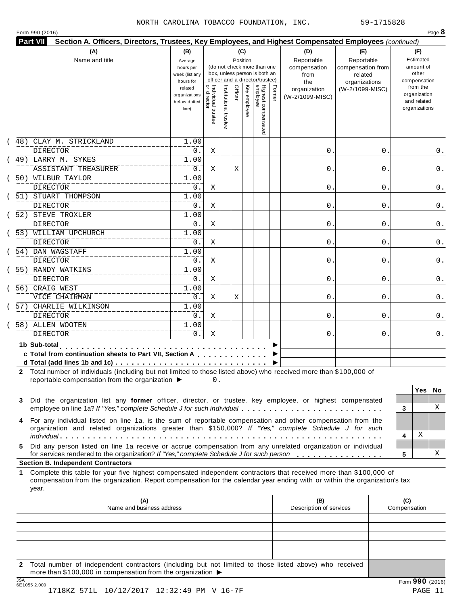|  | Form 990 (2016) |  |
|--|-----------------|--|
|  |                 |  |

| (A)<br>Name and title<br>CLAY M. STRICKLAND<br><b>DIRECTOR</b><br>49) LARRY M. SYKES<br>ASSISTANT TREASURER<br>50) WILBUR TAYLOR<br><b>DIRECTOR</b><br>51) STUART THOMPSON<br><b>DIRECTOR</b><br>52) STEVE TROXLER<br>DIRECTOR<br>53) WILLIAM UPCHURCH<br><b>DIRECTOR</b><br>54) DAN WAGSTAFF | (B)<br>Average<br>hours per<br>week (list any<br>hours for<br>related<br>organizations<br>below dotted<br>line)<br>1.00<br>0.<br>1.00<br>0.<br>1.00<br>0.<br>1.00<br>0.<br>1.00<br>0.<br>1.00 | Individual trustee<br>  or director<br>Χ<br>Χ<br>Χ | Institutional trustee     | Officer<br>Χ | (C)<br>Position<br>Key employee | (do not check more than one<br>box, unless person is both an<br>officer and a director/trustee)<br>Highest compensated<br>employee | Former | (D)<br>Reportable<br>compensation<br>from<br>the<br>organization<br>(W-2/1099-MISC) | (E)<br>Reportable<br>compensation from<br>related<br>organizations<br>(W-2/1099-MISC) | (F)<br>Estimated<br>amount of<br>other<br>compensation<br>from the<br>organization<br>and related<br>organizations                                                                                                                                                                                                                                                                                                                                                                       |
|-----------------------------------------------------------------------------------------------------------------------------------------------------------------------------------------------------------------------------------------------------------------------------------------------|-----------------------------------------------------------------------------------------------------------------------------------------------------------------------------------------------|----------------------------------------------------|---------------------------|--------------|---------------------------------|------------------------------------------------------------------------------------------------------------------------------------|--------|-------------------------------------------------------------------------------------|---------------------------------------------------------------------------------------|------------------------------------------------------------------------------------------------------------------------------------------------------------------------------------------------------------------------------------------------------------------------------------------------------------------------------------------------------------------------------------------------------------------------------------------------------------------------------------------|
|                                                                                                                                                                                                                                                                                               |                                                                                                                                                                                               |                                                    |                           |              |                                 |                                                                                                                                    |        |                                                                                     |                                                                                       |                                                                                                                                                                                                                                                                                                                                                                                                                                                                                          |
|                                                                                                                                                                                                                                                                                               |                                                                                                                                                                                               |                                                    |                           |              |                                 |                                                                                                                                    |        |                                                                                     |                                                                                       |                                                                                                                                                                                                                                                                                                                                                                                                                                                                                          |
|                                                                                                                                                                                                                                                                                               |                                                                                                                                                                                               |                                                    |                           |              |                                 |                                                                                                                                    |        |                                                                                     |                                                                                       |                                                                                                                                                                                                                                                                                                                                                                                                                                                                                          |
|                                                                                                                                                                                                                                                                                               |                                                                                                                                                                                               |                                                    |                           |              |                                 |                                                                                                                                    |        |                                                                                     |                                                                                       |                                                                                                                                                                                                                                                                                                                                                                                                                                                                                          |
|                                                                                                                                                                                                                                                                                               |                                                                                                                                                                                               |                                                    |                           |              |                                 |                                                                                                                                    |        |                                                                                     |                                                                                       |                                                                                                                                                                                                                                                                                                                                                                                                                                                                                          |
|                                                                                                                                                                                                                                                                                               |                                                                                                                                                                                               |                                                    |                           |              |                                 |                                                                                                                                    |        |                                                                                     |                                                                                       |                                                                                                                                                                                                                                                                                                                                                                                                                                                                                          |
|                                                                                                                                                                                                                                                                                               |                                                                                                                                                                                               |                                                    |                           |              |                                 |                                                                                                                                    |        |                                                                                     |                                                                                       |                                                                                                                                                                                                                                                                                                                                                                                                                                                                                          |
|                                                                                                                                                                                                                                                                                               |                                                                                                                                                                                               |                                                    |                           |              |                                 |                                                                                                                                    |        |                                                                                     |                                                                                       |                                                                                                                                                                                                                                                                                                                                                                                                                                                                                          |
|                                                                                                                                                                                                                                                                                               |                                                                                                                                                                                               |                                                    |                           |              |                                 |                                                                                                                                    |        |                                                                                     |                                                                                       |                                                                                                                                                                                                                                                                                                                                                                                                                                                                                          |
|                                                                                                                                                                                                                                                                                               |                                                                                                                                                                                               |                                                    |                           |              |                                 |                                                                                                                                    |        |                                                                                     |                                                                                       |                                                                                                                                                                                                                                                                                                                                                                                                                                                                                          |
|                                                                                                                                                                                                                                                                                               |                                                                                                                                                                                               |                                                    |                           |              |                                 |                                                                                                                                    |        | 0.                                                                                  | 0                                                                                     | 0.                                                                                                                                                                                                                                                                                                                                                                                                                                                                                       |
|                                                                                                                                                                                                                                                                                               |                                                                                                                                                                                               |                                                    |                           |              |                                 |                                                                                                                                    |        |                                                                                     |                                                                                       |                                                                                                                                                                                                                                                                                                                                                                                                                                                                                          |
|                                                                                                                                                                                                                                                                                               |                                                                                                                                                                                               |                                                    |                           |              |                                 |                                                                                                                                    |        | 0.                                                                                  | 0                                                                                     | 0.                                                                                                                                                                                                                                                                                                                                                                                                                                                                                       |
|                                                                                                                                                                                                                                                                                               |                                                                                                                                                                                               |                                                    |                           |              |                                 |                                                                                                                                    |        |                                                                                     |                                                                                       |                                                                                                                                                                                                                                                                                                                                                                                                                                                                                          |
|                                                                                                                                                                                                                                                                                               |                                                                                                                                                                                               |                                                    |                           |              |                                 |                                                                                                                                    |        | 0.                                                                                  | 0                                                                                     | 0.                                                                                                                                                                                                                                                                                                                                                                                                                                                                                       |
|                                                                                                                                                                                                                                                                                               |                                                                                                                                                                                               |                                                    |                           |              |                                 |                                                                                                                                    |        |                                                                                     |                                                                                       |                                                                                                                                                                                                                                                                                                                                                                                                                                                                                          |
|                                                                                                                                                                                                                                                                                               |                                                                                                                                                                                               | Χ                                                  |                           |              |                                 |                                                                                                                                    |        | 0.                                                                                  | 0                                                                                     | 0.                                                                                                                                                                                                                                                                                                                                                                                                                                                                                       |
|                                                                                                                                                                                                                                                                                               |                                                                                                                                                                                               | Χ                                                  |                           |              |                                 |                                                                                                                                    |        | 0.                                                                                  | 0                                                                                     | 0.                                                                                                                                                                                                                                                                                                                                                                                                                                                                                       |
|                                                                                                                                                                                                                                                                                               |                                                                                                                                                                                               |                                                    |                           |              |                                 |                                                                                                                                    |        |                                                                                     |                                                                                       |                                                                                                                                                                                                                                                                                                                                                                                                                                                                                          |
|                                                                                                                                                                                                                                                                                               | 0.                                                                                                                                                                                            | Χ                                                  |                           |              |                                 |                                                                                                                                    |        | 0.                                                                                  | 0                                                                                     | 0.                                                                                                                                                                                                                                                                                                                                                                                                                                                                                       |
|                                                                                                                                                                                                                                                                                               | 1.00                                                                                                                                                                                          |                                                    |                           |              |                                 |                                                                                                                                    |        |                                                                                     |                                                                                       |                                                                                                                                                                                                                                                                                                                                                                                                                                                                                          |
| <b>DIRECTOR</b>                                                                                                                                                                                                                                                                               | 0.                                                                                                                                                                                            | X                                                  |                           |              |                                 |                                                                                                                                    |        | 0.                                                                                  | 0                                                                                     | 0.                                                                                                                                                                                                                                                                                                                                                                                                                                                                                       |
| 55) RANDY WATKINS                                                                                                                                                                                                                                                                             | 1.00                                                                                                                                                                                          |                                                    |                           |              |                                 |                                                                                                                                    |        |                                                                                     |                                                                                       |                                                                                                                                                                                                                                                                                                                                                                                                                                                                                          |
| <b>DIRECTOR</b>                                                                                                                                                                                                                                                                               | 0.                                                                                                                                                                                            | Χ                                                  |                           |              |                                 |                                                                                                                                    |        | 0.                                                                                  | 0                                                                                     | 0.                                                                                                                                                                                                                                                                                                                                                                                                                                                                                       |
| 56) CRAIG WEST                                                                                                                                                                                                                                                                                | 1.00                                                                                                                                                                                          |                                                    |                           |              |                                 |                                                                                                                                    |        |                                                                                     |                                                                                       |                                                                                                                                                                                                                                                                                                                                                                                                                                                                                          |
| VICE CHAIRMAN                                                                                                                                                                                                                                                                                 | 0.                                                                                                                                                                                            | Χ                                                  |                           | Χ            |                                 |                                                                                                                                    |        | 0.                                                                                  | 0                                                                                     | 0.                                                                                                                                                                                                                                                                                                                                                                                                                                                                                       |
| 57) CHARLIE WILKINSON                                                                                                                                                                                                                                                                         | 1.00                                                                                                                                                                                          |                                                    |                           |              |                                 |                                                                                                                                    |        |                                                                                     |                                                                                       |                                                                                                                                                                                                                                                                                                                                                                                                                                                                                          |
| <b>DIRECTOR</b>                                                                                                                                                                                                                                                                               | 0.                                                                                                                                                                                            | X                                                  |                           |              |                                 |                                                                                                                                    |        | 0.                                                                                  | 0                                                                                     | 0.                                                                                                                                                                                                                                                                                                                                                                                                                                                                                       |
| 58) ALLEN WOOTEN                                                                                                                                                                                                                                                                              | 1.00                                                                                                                                                                                          |                                                    |                           |              |                                 |                                                                                                                                    |        |                                                                                     |                                                                                       |                                                                                                                                                                                                                                                                                                                                                                                                                                                                                          |
| <b>DIRECTOR</b>                                                                                                                                                                                                                                                                               | 0.                                                                                                                                                                                            | Χ                                                  |                           |              |                                 |                                                                                                                                    |        | 0.                                                                                  | 0                                                                                     | 0.                                                                                                                                                                                                                                                                                                                                                                                                                                                                                       |
|                                                                                                                                                                                                                                                                                               |                                                                                                                                                                                               |                                                    |                           |              |                                 |                                                                                                                                    |        |                                                                                     |                                                                                       |                                                                                                                                                                                                                                                                                                                                                                                                                                                                                          |
| 1b Sub-total<br>c Total from continuation sheets to Part VII, Section A                                                                                                                                                                                                                       |                                                                                                                                                                                               |                                                    |                           |              |                                 |                                                                                                                                    |        |                                                                                     |                                                                                       |                                                                                                                                                                                                                                                                                                                                                                                                                                                                                          |
|                                                                                                                                                                                                                                                                                               |                                                                                                                                                                                               |                                                    |                           |              |                                 |                                                                                                                                    |        |                                                                                     |                                                                                       |                                                                                                                                                                                                                                                                                                                                                                                                                                                                                          |
| 2 Total number of individuals (including but not limited to those listed above) who received more than \$100,000 of                                                                                                                                                                           |                                                                                                                                                                                               |                                                    |                           |              |                                 |                                                                                                                                    |        |                                                                                     |                                                                                       |                                                                                                                                                                                                                                                                                                                                                                                                                                                                                          |
| reportable compensation from the organization ▶                                                                                                                                                                                                                                               |                                                                                                                                                                                               |                                                    | 0.                        |              |                                 |                                                                                                                                    |        |                                                                                     |                                                                                       |                                                                                                                                                                                                                                                                                                                                                                                                                                                                                          |
|                                                                                                                                                                                                                                                                                               |                                                                                                                                                                                               |                                                    |                           |              |                                 |                                                                                                                                    |        |                                                                                     |                                                                                       | <b>Yes</b><br>No.                                                                                                                                                                                                                                                                                                                                                                                                                                                                        |
| Did the organization list any former officer, director, or trustee, key employee, or highest compensated                                                                                                                                                                                      |                                                                                                                                                                                               |                                                    |                           |              |                                 |                                                                                                                                    |        |                                                                                     |                                                                                       |                                                                                                                                                                                                                                                                                                                                                                                                                                                                                          |
| employee on line 1a? If "Yes," complete Schedule J for such individual                                                                                                                                                                                                                        |                                                                                                                                                                                               |                                                    |                           |              |                                 |                                                                                                                                    |        |                                                                                     |                                                                                       | X<br>3                                                                                                                                                                                                                                                                                                                                                                                                                                                                                   |
| For any individual listed on line 1a, is the sum of reportable compensation and other compensation from the                                                                                                                                                                                   |                                                                                                                                                                                               |                                                    |                           |              |                                 |                                                                                                                                    |        |                                                                                     |                                                                                       |                                                                                                                                                                                                                                                                                                                                                                                                                                                                                          |
| organization and related organizations greater than \$150,000? If "Yes," complete Schedule J for such                                                                                                                                                                                         |                                                                                                                                                                                               |                                                    |                           |              |                                 |                                                                                                                                    |        |                                                                                     |                                                                                       |                                                                                                                                                                                                                                                                                                                                                                                                                                                                                          |
|                                                                                                                                                                                                                                                                                               |                                                                                                                                                                                               |                                                    |                           |              |                                 |                                                                                                                                    |        |                                                                                     |                                                                                       | Χ<br>4                                                                                                                                                                                                                                                                                                                                                                                                                                                                                   |
|                                                                                                                                                                                                                                                                                               |                                                                                                                                                                                               |                                                    |                           |              |                                 |                                                                                                                                    |        |                                                                                     |                                                                                       |                                                                                                                                                                                                                                                                                                                                                                                                                                                                                          |
|                                                                                                                                                                                                                                                                                               |                                                                                                                                                                                               |                                                    |                           |              |                                 |                                                                                                                                    |        |                                                                                     |                                                                                       | X<br>5                                                                                                                                                                                                                                                                                                                                                                                                                                                                                   |
|                                                                                                                                                                                                                                                                                               |                                                                                                                                                                                               |                                                    |                           |              |                                 |                                                                                                                                    |        |                                                                                     |                                                                                       |                                                                                                                                                                                                                                                                                                                                                                                                                                                                                          |
| <b>Section B. Independent Contractors</b>                                                                                                                                                                                                                                                     |                                                                                                                                                                                               |                                                    |                           |              |                                 |                                                                                                                                    |        |                                                                                     |                                                                                       |                                                                                                                                                                                                                                                                                                                                                                                                                                                                                          |
|                                                                                                                                                                                                                                                                                               |                                                                                                                                                                                               |                                                    |                           |              |                                 |                                                                                                                                    |        |                                                                                     |                                                                                       |                                                                                                                                                                                                                                                                                                                                                                                                                                                                                          |
|                                                                                                                                                                                                                                                                                               |                                                                                                                                                                                               |                                                    |                           |              |                                 |                                                                                                                                    |        | (B)                                                                                 |                                                                                       | (C)                                                                                                                                                                                                                                                                                                                                                                                                                                                                                      |
| (A)                                                                                                                                                                                                                                                                                           |                                                                                                                                                                                               |                                                    |                           |              |                                 |                                                                                                                                    |        |                                                                                     |                                                                                       | Compensation                                                                                                                                                                                                                                                                                                                                                                                                                                                                             |
|                                                                                                                                                                                                                                                                                               |                                                                                                                                                                                               |                                                    |                           |              |                                 |                                                                                                                                    |        |                                                                                     |                                                                                       |                                                                                                                                                                                                                                                                                                                                                                                                                                                                                          |
|                                                                                                                                                                                                                                                                                               |                                                                                                                                                                                               |                                                    |                           |              |                                 |                                                                                                                                    |        |                                                                                     |                                                                                       |                                                                                                                                                                                                                                                                                                                                                                                                                                                                                          |
|                                                                                                                                                                                                                                                                                               |                                                                                                                                                                                               |                                                    | Name and business address |              |                                 |                                                                                                                                    |        |                                                                                     |                                                                                       | Did any person listed on line 1a receive or accrue compensation from any unrelated organization or individual<br>for services rendered to the organization? If "Yes," complete Schedule J for such person<br>Complete this table for your five highest compensated independent contractors that received more than \$100,000 of<br>compensation from the organization. Report compensation for the calendar year ending with or within the organization's tax<br>Description of services |

**2** Total number of independent contractors (including but not limited to those listed above) who received more than \$100,000 in compensation from the organization  $\blacktriangleright$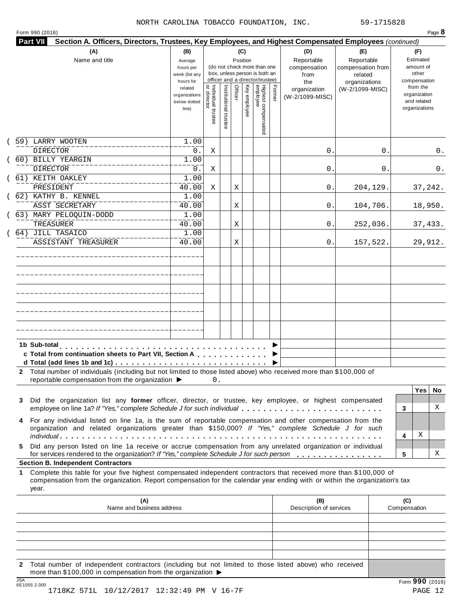|  | Form 990 (2016) |  |
|--|-----------------|--|
|  |                 |  |

|    | (A)<br>Name and title                                                                                                                                                                                                                                     | (B)<br>Average<br>hours per<br>week (list any                  |                                     |                       | (C)<br>Position | (do not check more than one<br>box, unless person is both an<br>officer and a director/trustee) |        | (D)<br>Reportable<br>compensation<br>from | (E)<br>Reportable<br>compensation from<br>related | (F)<br>Estimated<br>amount of<br>other<br>compensation |                                                          |     |
|----|-----------------------------------------------------------------------------------------------------------------------------------------------------------------------------------------------------------------------------------------------------------|----------------------------------------------------------------|-------------------------------------|-----------------------|-----------------|-------------------------------------------------------------------------------------------------|--------|-------------------------------------------|---------------------------------------------------|--------------------------------------------------------|----------------------------------------------------------|-----|
|    |                                                                                                                                                                                                                                                           | hours for<br>related<br>organizations<br>below dotted<br>line) | Individual trustee<br>  or director | Institutional trustee | Officer         | Highest compensated<br>employee<br>Key employee                                                 | Former | the<br>organization<br>(W-2/1099-MISC)    | organizations<br>(W-2/1099-MISC)                  |                                                        | from the<br>organization<br>and related<br>organizations |     |
|    | 59) LARRY WOOTEN<br>DIRECTOR                                                                                                                                                                                                                              | 1.00<br>0.                                                     | Χ                                   |                       |                 |                                                                                                 |        | 0.                                        | 0                                                 |                                                        |                                                          | 0.  |
|    | 60) BILLY YEARGIN                                                                                                                                                                                                                                         | 1.00                                                           |                                     |                       |                 |                                                                                                 |        |                                           |                                                   |                                                        |                                                          |     |
|    | <b>DIRECTOR</b>                                                                                                                                                                                                                                           | 0.                                                             | Χ                                   |                       |                 |                                                                                                 |        | 0.                                        | 0                                                 |                                                        |                                                          | 0.  |
|    | 61) KEITH OAKLEY<br>PRESIDENT                                                                                                                                                                                                                             | 1.00<br>40.00                                                  | Χ                                   |                       | Χ               |                                                                                                 |        | 0.                                        | 204,129.                                          |                                                        | 37,242.                                                  |     |
|    | 62) KATHY B. KENNEL                                                                                                                                                                                                                                       | 1.00                                                           |                                     |                       |                 |                                                                                                 |        |                                           |                                                   |                                                        |                                                          |     |
|    | ASST SECRETARY                                                                                                                                                                                                                                            | 40.00                                                          |                                     |                       | Χ               |                                                                                                 |        | 0.                                        | 104,706.                                          |                                                        | 18,950.                                                  |     |
|    | 63) MARY PELOQUIN-DODD                                                                                                                                                                                                                                    | 1.00                                                           |                                     |                       |                 |                                                                                                 |        |                                           |                                                   |                                                        |                                                          |     |
|    | TREASURER<br>64) JILL TASAICO                                                                                                                                                                                                                             | 40.00<br>1.00                                                  |                                     |                       | Χ               |                                                                                                 |        | 0.                                        | 252,036.                                          |                                                        | 37, 433.                                                 |     |
|    | ASSISTANT TREASURER                                                                                                                                                                                                                                       | 40.00                                                          |                                     |                       | Χ               |                                                                                                 |        | 0.                                        | 157,522.                                          |                                                        | 29,912.                                                  |     |
|    |                                                                                                                                                                                                                                                           |                                                                |                                     |                       |                 |                                                                                                 |        |                                           |                                                   |                                                        |                                                          |     |
|    |                                                                                                                                                                                                                                                           |                                                                |                                     |                       |                 |                                                                                                 |        |                                           |                                                   |                                                        |                                                          |     |
|    |                                                                                                                                                                                                                                                           |                                                                |                                     |                       |                 |                                                                                                 |        |                                           |                                                   |                                                        |                                                          |     |
|    |                                                                                                                                                                                                                                                           |                                                                |                                     |                       |                 |                                                                                                 |        |                                           |                                                   |                                                        |                                                          |     |
|    |                                                                                                                                                                                                                                                           |                                                                |                                     |                       |                 |                                                                                                 |        |                                           |                                                   |                                                        |                                                          |     |
|    | 1b Sub-total<br>c Total from continuation sheets to Part VII, Section A                                                                                                                                                                                   |                                                                |                                     |                       |                 |                                                                                                 |        |                                           |                                                   |                                                        |                                                          |     |
|    | 2 Total number of individuals (including but not limited to those listed above) who received more than \$100,000 of<br>reportable compensation from the organization ▶                                                                                    |                                                                | 0.                                  |                       |                 |                                                                                                 |        |                                           |                                                   |                                                        |                                                          |     |
|    |                                                                                                                                                                                                                                                           |                                                                |                                     |                       |                 |                                                                                                 |        |                                           |                                                   |                                                        | <b>Yes</b>                                               | No. |
| 3  | Did the organization list any former officer, director, or trustee, key employee, or highest compensated<br>employee on line 1a? If "Yes," complete Schedule J for such individual                                                                        |                                                                |                                     |                       |                 |                                                                                                 |        |                                           |                                                   | 3                                                      |                                                          | X   |
| 4  | For any individual listed on line 1a, is the sum of reportable compensation and other compensation from the<br>organization and related organizations greater than \$150,000? If "Yes," complete Schedule J for such                                      |                                                                |                                     |                       |                 |                                                                                                 |        |                                           |                                                   |                                                        |                                                          |     |
|    |                                                                                                                                                                                                                                                           |                                                                |                                     |                       |                 |                                                                                                 |        |                                           |                                                   | 4                                                      | Χ                                                        |     |
| 5. | Did any person listed on line 1a receive or accrue compensation from any unrelated organization or individual<br>for services rendered to the organization? If "Yes," complete Schedule J for such person                                                 |                                                                |                                     |                       |                 |                                                                                                 |        |                                           |                                                   | 5                                                      |                                                          | х   |
|    | <b>Section B. Independent Contractors</b>                                                                                                                                                                                                                 |                                                                |                                     |                       |                 |                                                                                                 |        |                                           |                                                   |                                                        |                                                          |     |
| 1. | Complete this table for your five highest compensated independent contractors that received more than \$100,000 of<br>compensation from the organization. Report compensation for the calendar year ending with or within the organization's tax<br>year. |                                                                |                                     |                       |                 |                                                                                                 |        |                                           |                                                   |                                                        |                                                          |     |
|    | (A)<br>Name and business address                                                                                                                                                                                                                          |                                                                |                                     |                       |                 |                                                                                                 |        | (B)<br>Description of services            |                                                   | (C)<br>Compensation                                    |                                                          |     |
|    |                                                                                                                                                                                                                                                           |                                                                |                                     |                       |                 |                                                                                                 |        |                                           |                                                   |                                                        |                                                          |     |
|    |                                                                                                                                                                                                                                                           |                                                                |                                     |                       |                 |                                                                                                 |        |                                           |                                                   |                                                        |                                                          |     |
|    |                                                                                                                                                                                                                                                           |                                                                |                                     |                       |                 |                                                                                                 |        |                                           |                                                   |                                                        |                                                          |     |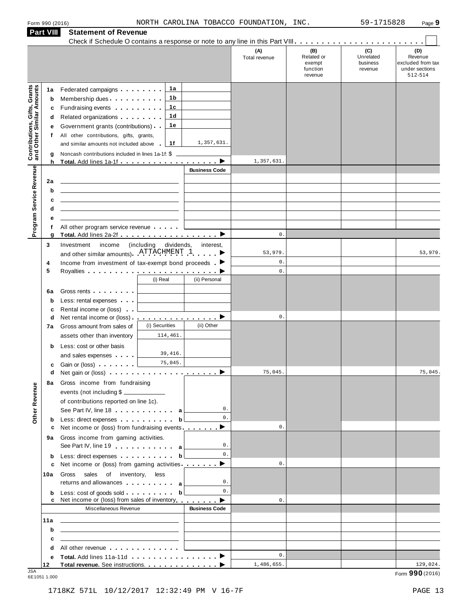| Form 990 (2016 |  |  |
|----------------|--|--|

|                                                                  | <b>Part VIII</b>                 | <b>Statement of Revenue</b>                                                                                                                                                                                                                                                                                                                                   |                                              |                            |                                             |                                                    |                                         |                                                                  |
|------------------------------------------------------------------|----------------------------------|---------------------------------------------------------------------------------------------------------------------------------------------------------------------------------------------------------------------------------------------------------------------------------------------------------------------------------------------------------------|----------------------------------------------|----------------------------|---------------------------------------------|----------------------------------------------------|-----------------------------------------|------------------------------------------------------------------|
|                                                                  |                                  |                                                                                                                                                                                                                                                                                                                                                               |                                              |                            | (A)<br>Total revenue                        | (B)<br>Related or<br>exempt<br>function<br>revenue | (C)<br>Unrelated<br>business<br>revenue | (D)<br>Revenue<br>excluded from tax<br>under sections<br>512-514 |
| <b>Contributions, Gifts, Grants</b><br>and Other Similar Amounts | 1a<br>b<br>c<br>d<br>е<br>f<br>g | Federated campaigns<br>Membership dues<br>Fundraising events <b>Fundraising</b><br>Related organizations <b>contains</b> and <b>Related</b> organizations <b>and relations</b><br>Government grants (contributions)<br>All other contributions, gifts, grants,<br>and similar amounts not included above<br>Noncash contributions included in lines 1a-1f: \$ | 1a<br>1b<br>1c<br>1 <sub>d</sub><br>1e<br>1f | 1,357,631.                 |                                             |                                                    |                                         |                                                                  |
|                                                                  | h                                |                                                                                                                                                                                                                                                                                                                                                               |                                              |                            | 1,357,631.                                  |                                                    |                                         |                                                                  |
| Program Service Revenue                                          | 2a<br>b<br>c<br>d<br>е<br>f      | the control of the control of the control of the control of the control of the control of<br>the contract of the contract of the contract of the contract of the contract of<br>All other program service revenue                                                                                                                                             |                                              | <b>Business Code</b>       | $\mathbf{0}$ .                              |                                                    |                                         |                                                                  |
|                                                                  | g<br>3                           | Total. Add lines 2a-2f ▶<br>Investment<br>income                                                                                                                                                                                                                                                                                                              | (including)<br>dividends,                    | interest,                  |                                             |                                                    |                                         |                                                                  |
|                                                                  | 4<br>5                           | and other similar amounts). ATTACHMENT 1<br>Income from investment of tax-exempt bond proceeds $\blacksquare$                                                                                                                                                                                                                                                 | (i) Real                                     | (ii) Personal              | 53,979.<br>$\mathsf{0}$ .<br>$\mathbf{0}$ . |                                                    |                                         | 53,979.                                                          |
|                                                                  | 6а<br>b<br>c<br>d<br>7а          | Gross rents<br>Less: rental expenses<br>Rental income or (loss)<br>Gross amount from sales of                                                                                                                                                                                                                                                                 | (i) Securities                               | (ii) Other                 | $0$ .                                       |                                                    |                                         |                                                                  |
|                                                                  | b<br>с                           | assets other than inventory<br>Less: cost or other basis<br>and sales expenses<br>Gain or (loss) <b>Canada</b> Case of the Case of the Case of the Case of the Case of the Case of the Case of the Case of the Case of the Case of the Case of the Case of the Case of the Case of the Case of the Case of the Case o                                         | 114,461.<br>39,416.<br>75,045.               |                            |                                             |                                                    |                                         |                                                                  |
| Other Revenue                                                    | 8а<br>b                          | Gross income from fundraising<br>events (not including \$<br>of contributions reported on line 1c).<br>See Part IV, line 18 a<br>Less: direct expenses b                                                                                                                                                                                                      |                                              | 0.<br>0.                   | 75,045                                      |                                                    |                                         | 75,045                                                           |
|                                                                  | c<br>9а                          | Net income or (loss) from fundraising events▶<br>Gross income from gaming activities.<br>See Part IV, line 19 a                                                                                                                                                                                                                                               |                                              | 0.                         | $\mathbf{0}$ .                              |                                                    |                                         |                                                                  |
|                                                                  | b                                | Less: direct expenses b                                                                                                                                                                                                                                                                                                                                       |                                              | 0.                         |                                             |                                                    |                                         |                                                                  |
|                                                                  | c<br>10a                         | Net income or (loss) from gaming activities __________<br>Gross<br>sales of inventory,<br>returns and allowances and allowances                                                                                                                                                                                                                               | less                                         | 0.                         | $\mathbf{0}$ .                              |                                                    |                                         |                                                                  |
|                                                                  | b<br>c                           | Less: cost of goods sold $\ldots$ , $\ldots$ , $\mathbf{b}$<br>Net income or (loss) from sales of inventory<br>Miscellaneous Revenue                                                                                                                                                                                                                          |                                              | 0.<br><b>Business Code</b> | $\mathbf{0}$ .                              |                                                    |                                         |                                                                  |
|                                                                  | 11a                              | <u> 1989 - Johann John Stone, markin film yn y brening yn y brening yn y brening yn y brening yn y brening yn y b</u>                                                                                                                                                                                                                                         |                                              |                            |                                             |                                                    |                                         |                                                                  |
|                                                                  | b                                | <u> 1989 - Johann Barn, mars et al. (b. 1989)</u>                                                                                                                                                                                                                                                                                                             |                                              |                            |                                             |                                                    |                                         |                                                                  |
|                                                                  | c                                | <u> 1989 - Johann Barn, mars eta bainar eta bainar eta baina eta baina eta baina eta baina eta baina eta baina e</u>                                                                                                                                                                                                                                          |                                              |                            |                                             |                                                    |                                         |                                                                  |
|                                                                  | d                                | All other revenue entering the state of the state of the state of the state of the state of the state of the s                                                                                                                                                                                                                                                |                                              |                            |                                             |                                                    |                                         |                                                                  |
|                                                                  | е                                |                                                                                                                                                                                                                                                                                                                                                               |                                              |                            | $\mathbf{0}$ .                              |                                                    |                                         |                                                                  |
| .ISA                                                             | 12                               |                                                                                                                                                                                                                                                                                                                                                               |                                              |                            | 1,486,655.                                  |                                                    |                                         | 129,024.                                                         |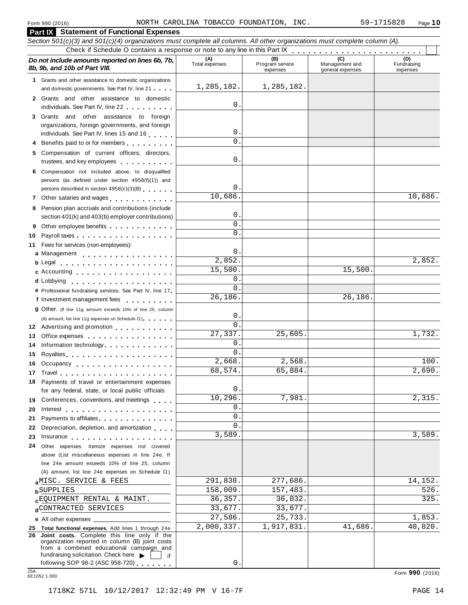**Part IX Statement of Functional Expenses**

| (A)<br>Total expenses<br>(D)<br>(B)<br>Program service<br>Do not include amounts reported on lines 6b, 7b,<br>Fundraising<br>Management and<br>8b, 9b, and 10b of Part VIII.<br>general expenses<br>expenses<br>expenses<br>1 Grants and other assistance to domestic organizations<br>1,285,182.<br>1,285,182.<br>and domestic governments. See Part IV, line 21<br>2 Grants and other assistance to domestic<br>0.<br>individuals. See Part IV, line 22<br>3 Grants and other assistance to foreign<br>organizations, foreign governments, and foreign<br>0.<br>individuals. See Part IV, lines 15 and 16<br>$\Omega$ .<br>Benefits paid to or for members<br>5 Compensation of current officers, directors,<br>0.<br>trustees, and key employees entitled as a set of the set of the set of the set of the set of the set of the set of the set of the set of the set of the set of the set of the set of the set of the set of the set of the set<br>Compensation not included above, to disqualified<br>6.<br>persons (as defined under section 4958(f)(1)) and<br>0.<br>persons described in section 4958(c)(3)(B)<br>10,686.<br>7 Other salaries and wages <b>container and all the salaries</b><br>8 Pension plan accruals and contributions (include<br>0.<br>section 401(k) and 403(b) employer contributions)<br>$\mathbf 0$ .<br>Other employee benefits<br>9<br>0.<br>10<br>11 Fees for services (non-employees):<br>0.<br>a Management<br>$\overline{2,852}$ .<br>15,500.<br>15,500.<br>c Accounting<br>$0$ .<br>$\Omega$<br>e Professional fundraising services. See Part IV, line 17<br>26,186.<br>26,186.<br>f Investment management fees<br><b>g</b> Other. (If line 11g amount exceeds 10% of line 25, column<br>$\mathbf 0$ .<br>(A) amount, list line 11g expenses on Schedule O.).<br>$\Omega$ .<br>12 Advertising and promotion<br>27,337.<br>25,605.<br>Office expenses expenses<br>13<br>$\mathsf{O}$<br>Information technology<br>14<br>$\Omega$ .<br>15<br>2,668.<br>2,568.<br>Occupancy<br>16<br>68,574.<br>65,884.<br>18 Payments of travel or entertainment expenses<br>0.<br>for any federal, state, or local public officials<br>10,296.<br>7,981.<br>19 Conferences, conventions, and meetings<br>0.<br>0<br>Payments to affiliates<br>21<br>0<br>Depreciation, depletion, and amortization<br>22<br>3,589.<br>23 Insurance experience and the set of the set of the set of the set of the set of the set of the set of the s<br>24 Other expenses. Itemize expenses not covered<br>above (List miscellaneous expenses in line 24e. If<br>line 24e amount exceeds 10% of line 25, column<br>(A) amount, list line 24e expenses on Schedule O.)<br>291,838.<br>277,686.<br>aMISC. SERVICE & FEES<br>158,009.<br>157,483.<br><b>b</b> SUPPLIES<br>36, 357.<br>36,032.<br>CEQUIPMENT RENTAL & MAINT.<br>33,677.<br>33,677.<br>dCONTRACTED SERVICES<br>27,586.<br>25,733.<br><b>e</b> All other expenses<br>2,000,337.<br>1,917,831.<br>41,686.<br>25 Total functional expenses. Add lines 1 through 24e<br>26 Joint costs. Complete this line only if the<br>organization reported in column (B) joint costs<br>from a combined educational campaign and<br>fundraising solicitation. Check here<br>if<br>following SOP 98-2 (ASC 958-720)<br>0. | Section 501(c)(3) and 501(c)(4) organizations must complete all columns. All other organizations must complete column (A). |  |                 |
|--------------------------------------------------------------------------------------------------------------------------------------------------------------------------------------------------------------------------------------------------------------------------------------------------------------------------------------------------------------------------------------------------------------------------------------------------------------------------------------------------------------------------------------------------------------------------------------------------------------------------------------------------------------------------------------------------------------------------------------------------------------------------------------------------------------------------------------------------------------------------------------------------------------------------------------------------------------------------------------------------------------------------------------------------------------------------------------------------------------------------------------------------------------------------------------------------------------------------------------------------------------------------------------------------------------------------------------------------------------------------------------------------------------------------------------------------------------------------------------------------------------------------------------------------------------------------------------------------------------------------------------------------------------------------------------------------------------------------------------------------------------------------------------------------------------------------------------------------------------------------------------------------------------------------------------------------------------------------------------------------------------------------------------------------------------------------------------------------------------------------------------------------------------------------------------------------------------------------------------------------------------------------------------------------------------------------------------------------------------------------------------------------------------------------------------------------------------------------------------------------------------------------------------------------------------------------------------------------------------------------------------------------------------------------------------------------------------------------------------------------------------------------------------------------------------------------------------------------------------------------------------------------------------------------------------------------------------------------------------------------------------------------------------------------------------------------------------------------------------------------------------------------------------------------------------------------------------------------------------------------------------------------------|----------------------------------------------------------------------------------------------------------------------------|--|-----------------|
|                                                                                                                                                                                                                                                                                                                                                                                                                                                                                                                                                                                                                                                                                                                                                                                                                                                                                                                                                                                                                                                                                                                                                                                                                                                                                                                                                                                                                                                                                                                                                                                                                                                                                                                                                                                                                                                                                                                                                                                                                                                                                                                                                                                                                                                                                                                                                                                                                                                                                                                                                                                                                                                                                                                                                                                                                                                                                                                                                                                                                                                                                                                                                                                                                                                                                |                                                                                                                            |  |                 |
|                                                                                                                                                                                                                                                                                                                                                                                                                                                                                                                                                                                                                                                                                                                                                                                                                                                                                                                                                                                                                                                                                                                                                                                                                                                                                                                                                                                                                                                                                                                                                                                                                                                                                                                                                                                                                                                                                                                                                                                                                                                                                                                                                                                                                                                                                                                                                                                                                                                                                                                                                                                                                                                                                                                                                                                                                                                                                                                                                                                                                                                                                                                                                                                                                                                                                |                                                                                                                            |  |                 |
|                                                                                                                                                                                                                                                                                                                                                                                                                                                                                                                                                                                                                                                                                                                                                                                                                                                                                                                                                                                                                                                                                                                                                                                                                                                                                                                                                                                                                                                                                                                                                                                                                                                                                                                                                                                                                                                                                                                                                                                                                                                                                                                                                                                                                                                                                                                                                                                                                                                                                                                                                                                                                                                                                                                                                                                                                                                                                                                                                                                                                                                                                                                                                                                                                                                                                |                                                                                                                            |  |                 |
|                                                                                                                                                                                                                                                                                                                                                                                                                                                                                                                                                                                                                                                                                                                                                                                                                                                                                                                                                                                                                                                                                                                                                                                                                                                                                                                                                                                                                                                                                                                                                                                                                                                                                                                                                                                                                                                                                                                                                                                                                                                                                                                                                                                                                                                                                                                                                                                                                                                                                                                                                                                                                                                                                                                                                                                                                                                                                                                                                                                                                                                                                                                                                                                                                                                                                |                                                                                                                            |  |                 |
|                                                                                                                                                                                                                                                                                                                                                                                                                                                                                                                                                                                                                                                                                                                                                                                                                                                                                                                                                                                                                                                                                                                                                                                                                                                                                                                                                                                                                                                                                                                                                                                                                                                                                                                                                                                                                                                                                                                                                                                                                                                                                                                                                                                                                                                                                                                                                                                                                                                                                                                                                                                                                                                                                                                                                                                                                                                                                                                                                                                                                                                                                                                                                                                                                                                                                |                                                                                                                            |  |                 |
|                                                                                                                                                                                                                                                                                                                                                                                                                                                                                                                                                                                                                                                                                                                                                                                                                                                                                                                                                                                                                                                                                                                                                                                                                                                                                                                                                                                                                                                                                                                                                                                                                                                                                                                                                                                                                                                                                                                                                                                                                                                                                                                                                                                                                                                                                                                                                                                                                                                                                                                                                                                                                                                                                                                                                                                                                                                                                                                                                                                                                                                                                                                                                                                                                                                                                |                                                                                                                            |  |                 |
|                                                                                                                                                                                                                                                                                                                                                                                                                                                                                                                                                                                                                                                                                                                                                                                                                                                                                                                                                                                                                                                                                                                                                                                                                                                                                                                                                                                                                                                                                                                                                                                                                                                                                                                                                                                                                                                                                                                                                                                                                                                                                                                                                                                                                                                                                                                                                                                                                                                                                                                                                                                                                                                                                                                                                                                                                                                                                                                                                                                                                                                                                                                                                                                                                                                                                |                                                                                                                            |  |                 |
|                                                                                                                                                                                                                                                                                                                                                                                                                                                                                                                                                                                                                                                                                                                                                                                                                                                                                                                                                                                                                                                                                                                                                                                                                                                                                                                                                                                                                                                                                                                                                                                                                                                                                                                                                                                                                                                                                                                                                                                                                                                                                                                                                                                                                                                                                                                                                                                                                                                                                                                                                                                                                                                                                                                                                                                                                                                                                                                                                                                                                                                                                                                                                                                                                                                                                |                                                                                                                            |  |                 |
|                                                                                                                                                                                                                                                                                                                                                                                                                                                                                                                                                                                                                                                                                                                                                                                                                                                                                                                                                                                                                                                                                                                                                                                                                                                                                                                                                                                                                                                                                                                                                                                                                                                                                                                                                                                                                                                                                                                                                                                                                                                                                                                                                                                                                                                                                                                                                                                                                                                                                                                                                                                                                                                                                                                                                                                                                                                                                                                                                                                                                                                                                                                                                                                                                                                                                |                                                                                                                            |  |                 |
|                                                                                                                                                                                                                                                                                                                                                                                                                                                                                                                                                                                                                                                                                                                                                                                                                                                                                                                                                                                                                                                                                                                                                                                                                                                                                                                                                                                                                                                                                                                                                                                                                                                                                                                                                                                                                                                                                                                                                                                                                                                                                                                                                                                                                                                                                                                                                                                                                                                                                                                                                                                                                                                                                                                                                                                                                                                                                                                                                                                                                                                                                                                                                                                                                                                                                |                                                                                                                            |  |                 |
|                                                                                                                                                                                                                                                                                                                                                                                                                                                                                                                                                                                                                                                                                                                                                                                                                                                                                                                                                                                                                                                                                                                                                                                                                                                                                                                                                                                                                                                                                                                                                                                                                                                                                                                                                                                                                                                                                                                                                                                                                                                                                                                                                                                                                                                                                                                                                                                                                                                                                                                                                                                                                                                                                                                                                                                                                                                                                                                                                                                                                                                                                                                                                                                                                                                                                |                                                                                                                            |  |                 |
|                                                                                                                                                                                                                                                                                                                                                                                                                                                                                                                                                                                                                                                                                                                                                                                                                                                                                                                                                                                                                                                                                                                                                                                                                                                                                                                                                                                                                                                                                                                                                                                                                                                                                                                                                                                                                                                                                                                                                                                                                                                                                                                                                                                                                                                                                                                                                                                                                                                                                                                                                                                                                                                                                                                                                                                                                                                                                                                                                                                                                                                                                                                                                                                                                                                                                |                                                                                                                            |  |                 |
|                                                                                                                                                                                                                                                                                                                                                                                                                                                                                                                                                                                                                                                                                                                                                                                                                                                                                                                                                                                                                                                                                                                                                                                                                                                                                                                                                                                                                                                                                                                                                                                                                                                                                                                                                                                                                                                                                                                                                                                                                                                                                                                                                                                                                                                                                                                                                                                                                                                                                                                                                                                                                                                                                                                                                                                                                                                                                                                                                                                                                                                                                                                                                                                                                                                                                |                                                                                                                            |  |                 |
|                                                                                                                                                                                                                                                                                                                                                                                                                                                                                                                                                                                                                                                                                                                                                                                                                                                                                                                                                                                                                                                                                                                                                                                                                                                                                                                                                                                                                                                                                                                                                                                                                                                                                                                                                                                                                                                                                                                                                                                                                                                                                                                                                                                                                                                                                                                                                                                                                                                                                                                                                                                                                                                                                                                                                                                                                                                                                                                                                                                                                                                                                                                                                                                                                                                                                |                                                                                                                            |  |                 |
|                                                                                                                                                                                                                                                                                                                                                                                                                                                                                                                                                                                                                                                                                                                                                                                                                                                                                                                                                                                                                                                                                                                                                                                                                                                                                                                                                                                                                                                                                                                                                                                                                                                                                                                                                                                                                                                                                                                                                                                                                                                                                                                                                                                                                                                                                                                                                                                                                                                                                                                                                                                                                                                                                                                                                                                                                                                                                                                                                                                                                                                                                                                                                                                                                                                                                |                                                                                                                            |  | 10,686.         |
|                                                                                                                                                                                                                                                                                                                                                                                                                                                                                                                                                                                                                                                                                                                                                                                                                                                                                                                                                                                                                                                                                                                                                                                                                                                                                                                                                                                                                                                                                                                                                                                                                                                                                                                                                                                                                                                                                                                                                                                                                                                                                                                                                                                                                                                                                                                                                                                                                                                                                                                                                                                                                                                                                                                                                                                                                                                                                                                                                                                                                                                                                                                                                                                                                                                                                |                                                                                                                            |  |                 |
|                                                                                                                                                                                                                                                                                                                                                                                                                                                                                                                                                                                                                                                                                                                                                                                                                                                                                                                                                                                                                                                                                                                                                                                                                                                                                                                                                                                                                                                                                                                                                                                                                                                                                                                                                                                                                                                                                                                                                                                                                                                                                                                                                                                                                                                                                                                                                                                                                                                                                                                                                                                                                                                                                                                                                                                                                                                                                                                                                                                                                                                                                                                                                                                                                                                                                |                                                                                                                            |  |                 |
|                                                                                                                                                                                                                                                                                                                                                                                                                                                                                                                                                                                                                                                                                                                                                                                                                                                                                                                                                                                                                                                                                                                                                                                                                                                                                                                                                                                                                                                                                                                                                                                                                                                                                                                                                                                                                                                                                                                                                                                                                                                                                                                                                                                                                                                                                                                                                                                                                                                                                                                                                                                                                                                                                                                                                                                                                                                                                                                                                                                                                                                                                                                                                                                                                                                                                |                                                                                                                            |  |                 |
|                                                                                                                                                                                                                                                                                                                                                                                                                                                                                                                                                                                                                                                                                                                                                                                                                                                                                                                                                                                                                                                                                                                                                                                                                                                                                                                                                                                                                                                                                                                                                                                                                                                                                                                                                                                                                                                                                                                                                                                                                                                                                                                                                                                                                                                                                                                                                                                                                                                                                                                                                                                                                                                                                                                                                                                                                                                                                                                                                                                                                                                                                                                                                                                                                                                                                |                                                                                                                            |  |                 |
|                                                                                                                                                                                                                                                                                                                                                                                                                                                                                                                                                                                                                                                                                                                                                                                                                                                                                                                                                                                                                                                                                                                                                                                                                                                                                                                                                                                                                                                                                                                                                                                                                                                                                                                                                                                                                                                                                                                                                                                                                                                                                                                                                                                                                                                                                                                                                                                                                                                                                                                                                                                                                                                                                                                                                                                                                                                                                                                                                                                                                                                                                                                                                                                                                                                                                |                                                                                                                            |  |                 |
|                                                                                                                                                                                                                                                                                                                                                                                                                                                                                                                                                                                                                                                                                                                                                                                                                                                                                                                                                                                                                                                                                                                                                                                                                                                                                                                                                                                                                                                                                                                                                                                                                                                                                                                                                                                                                                                                                                                                                                                                                                                                                                                                                                                                                                                                                                                                                                                                                                                                                                                                                                                                                                                                                                                                                                                                                                                                                                                                                                                                                                                                                                                                                                                                                                                                                |                                                                                                                            |  |                 |
|                                                                                                                                                                                                                                                                                                                                                                                                                                                                                                                                                                                                                                                                                                                                                                                                                                                                                                                                                                                                                                                                                                                                                                                                                                                                                                                                                                                                                                                                                                                                                                                                                                                                                                                                                                                                                                                                                                                                                                                                                                                                                                                                                                                                                                                                                                                                                                                                                                                                                                                                                                                                                                                                                                                                                                                                                                                                                                                                                                                                                                                                                                                                                                                                                                                                                |                                                                                                                            |  | 2,852.          |
|                                                                                                                                                                                                                                                                                                                                                                                                                                                                                                                                                                                                                                                                                                                                                                                                                                                                                                                                                                                                                                                                                                                                                                                                                                                                                                                                                                                                                                                                                                                                                                                                                                                                                                                                                                                                                                                                                                                                                                                                                                                                                                                                                                                                                                                                                                                                                                                                                                                                                                                                                                                                                                                                                                                                                                                                                                                                                                                                                                                                                                                                                                                                                                                                                                                                                |                                                                                                                            |  |                 |
|                                                                                                                                                                                                                                                                                                                                                                                                                                                                                                                                                                                                                                                                                                                                                                                                                                                                                                                                                                                                                                                                                                                                                                                                                                                                                                                                                                                                                                                                                                                                                                                                                                                                                                                                                                                                                                                                                                                                                                                                                                                                                                                                                                                                                                                                                                                                                                                                                                                                                                                                                                                                                                                                                                                                                                                                                                                                                                                                                                                                                                                                                                                                                                                                                                                                                |                                                                                                                            |  |                 |
|                                                                                                                                                                                                                                                                                                                                                                                                                                                                                                                                                                                                                                                                                                                                                                                                                                                                                                                                                                                                                                                                                                                                                                                                                                                                                                                                                                                                                                                                                                                                                                                                                                                                                                                                                                                                                                                                                                                                                                                                                                                                                                                                                                                                                                                                                                                                                                                                                                                                                                                                                                                                                                                                                                                                                                                                                                                                                                                                                                                                                                                                                                                                                                                                                                                                                |                                                                                                                            |  |                 |
|                                                                                                                                                                                                                                                                                                                                                                                                                                                                                                                                                                                                                                                                                                                                                                                                                                                                                                                                                                                                                                                                                                                                                                                                                                                                                                                                                                                                                                                                                                                                                                                                                                                                                                                                                                                                                                                                                                                                                                                                                                                                                                                                                                                                                                                                                                                                                                                                                                                                                                                                                                                                                                                                                                                                                                                                                                                                                                                                                                                                                                                                                                                                                                                                                                                                                |                                                                                                                            |  |                 |
|                                                                                                                                                                                                                                                                                                                                                                                                                                                                                                                                                                                                                                                                                                                                                                                                                                                                                                                                                                                                                                                                                                                                                                                                                                                                                                                                                                                                                                                                                                                                                                                                                                                                                                                                                                                                                                                                                                                                                                                                                                                                                                                                                                                                                                                                                                                                                                                                                                                                                                                                                                                                                                                                                                                                                                                                                                                                                                                                                                                                                                                                                                                                                                                                                                                                                |                                                                                                                            |  |                 |
|                                                                                                                                                                                                                                                                                                                                                                                                                                                                                                                                                                                                                                                                                                                                                                                                                                                                                                                                                                                                                                                                                                                                                                                                                                                                                                                                                                                                                                                                                                                                                                                                                                                                                                                                                                                                                                                                                                                                                                                                                                                                                                                                                                                                                                                                                                                                                                                                                                                                                                                                                                                                                                                                                                                                                                                                                                                                                                                                                                                                                                                                                                                                                                                                                                                                                |                                                                                                                            |  |                 |
|                                                                                                                                                                                                                                                                                                                                                                                                                                                                                                                                                                                                                                                                                                                                                                                                                                                                                                                                                                                                                                                                                                                                                                                                                                                                                                                                                                                                                                                                                                                                                                                                                                                                                                                                                                                                                                                                                                                                                                                                                                                                                                                                                                                                                                                                                                                                                                                                                                                                                                                                                                                                                                                                                                                                                                                                                                                                                                                                                                                                                                                                                                                                                                                                                                                                                |                                                                                                                            |  |                 |
|                                                                                                                                                                                                                                                                                                                                                                                                                                                                                                                                                                                                                                                                                                                                                                                                                                                                                                                                                                                                                                                                                                                                                                                                                                                                                                                                                                                                                                                                                                                                                                                                                                                                                                                                                                                                                                                                                                                                                                                                                                                                                                                                                                                                                                                                                                                                                                                                                                                                                                                                                                                                                                                                                                                                                                                                                                                                                                                                                                                                                                                                                                                                                                                                                                                                                |                                                                                                                            |  | 1,732.          |
|                                                                                                                                                                                                                                                                                                                                                                                                                                                                                                                                                                                                                                                                                                                                                                                                                                                                                                                                                                                                                                                                                                                                                                                                                                                                                                                                                                                                                                                                                                                                                                                                                                                                                                                                                                                                                                                                                                                                                                                                                                                                                                                                                                                                                                                                                                                                                                                                                                                                                                                                                                                                                                                                                                                                                                                                                                                                                                                                                                                                                                                                                                                                                                                                                                                                                |                                                                                                                            |  |                 |
|                                                                                                                                                                                                                                                                                                                                                                                                                                                                                                                                                                                                                                                                                                                                                                                                                                                                                                                                                                                                                                                                                                                                                                                                                                                                                                                                                                                                                                                                                                                                                                                                                                                                                                                                                                                                                                                                                                                                                                                                                                                                                                                                                                                                                                                                                                                                                                                                                                                                                                                                                                                                                                                                                                                                                                                                                                                                                                                                                                                                                                                                                                                                                                                                                                                                                |                                                                                                                            |  |                 |
|                                                                                                                                                                                                                                                                                                                                                                                                                                                                                                                                                                                                                                                                                                                                                                                                                                                                                                                                                                                                                                                                                                                                                                                                                                                                                                                                                                                                                                                                                                                                                                                                                                                                                                                                                                                                                                                                                                                                                                                                                                                                                                                                                                                                                                                                                                                                                                                                                                                                                                                                                                                                                                                                                                                                                                                                                                                                                                                                                                                                                                                                                                                                                                                                                                                                                |                                                                                                                            |  | 100.            |
|                                                                                                                                                                                                                                                                                                                                                                                                                                                                                                                                                                                                                                                                                                                                                                                                                                                                                                                                                                                                                                                                                                                                                                                                                                                                                                                                                                                                                                                                                                                                                                                                                                                                                                                                                                                                                                                                                                                                                                                                                                                                                                                                                                                                                                                                                                                                                                                                                                                                                                                                                                                                                                                                                                                                                                                                                                                                                                                                                                                                                                                                                                                                                                                                                                                                                |                                                                                                                            |  | 2,690.          |
|                                                                                                                                                                                                                                                                                                                                                                                                                                                                                                                                                                                                                                                                                                                                                                                                                                                                                                                                                                                                                                                                                                                                                                                                                                                                                                                                                                                                                                                                                                                                                                                                                                                                                                                                                                                                                                                                                                                                                                                                                                                                                                                                                                                                                                                                                                                                                                                                                                                                                                                                                                                                                                                                                                                                                                                                                                                                                                                                                                                                                                                                                                                                                                                                                                                                                |                                                                                                                            |  |                 |
|                                                                                                                                                                                                                                                                                                                                                                                                                                                                                                                                                                                                                                                                                                                                                                                                                                                                                                                                                                                                                                                                                                                                                                                                                                                                                                                                                                                                                                                                                                                                                                                                                                                                                                                                                                                                                                                                                                                                                                                                                                                                                                                                                                                                                                                                                                                                                                                                                                                                                                                                                                                                                                                                                                                                                                                                                                                                                                                                                                                                                                                                                                                                                                                                                                                                                |                                                                                                                            |  |                 |
|                                                                                                                                                                                                                                                                                                                                                                                                                                                                                                                                                                                                                                                                                                                                                                                                                                                                                                                                                                                                                                                                                                                                                                                                                                                                                                                                                                                                                                                                                                                                                                                                                                                                                                                                                                                                                                                                                                                                                                                                                                                                                                                                                                                                                                                                                                                                                                                                                                                                                                                                                                                                                                                                                                                                                                                                                                                                                                                                                                                                                                                                                                                                                                                                                                                                                |                                                                                                                            |  | 2,315.          |
|                                                                                                                                                                                                                                                                                                                                                                                                                                                                                                                                                                                                                                                                                                                                                                                                                                                                                                                                                                                                                                                                                                                                                                                                                                                                                                                                                                                                                                                                                                                                                                                                                                                                                                                                                                                                                                                                                                                                                                                                                                                                                                                                                                                                                                                                                                                                                                                                                                                                                                                                                                                                                                                                                                                                                                                                                                                                                                                                                                                                                                                                                                                                                                                                                                                                                |                                                                                                                            |  |                 |
|                                                                                                                                                                                                                                                                                                                                                                                                                                                                                                                                                                                                                                                                                                                                                                                                                                                                                                                                                                                                                                                                                                                                                                                                                                                                                                                                                                                                                                                                                                                                                                                                                                                                                                                                                                                                                                                                                                                                                                                                                                                                                                                                                                                                                                                                                                                                                                                                                                                                                                                                                                                                                                                                                                                                                                                                                                                                                                                                                                                                                                                                                                                                                                                                                                                                                |                                                                                                                            |  |                 |
|                                                                                                                                                                                                                                                                                                                                                                                                                                                                                                                                                                                                                                                                                                                                                                                                                                                                                                                                                                                                                                                                                                                                                                                                                                                                                                                                                                                                                                                                                                                                                                                                                                                                                                                                                                                                                                                                                                                                                                                                                                                                                                                                                                                                                                                                                                                                                                                                                                                                                                                                                                                                                                                                                                                                                                                                                                                                                                                                                                                                                                                                                                                                                                                                                                                                                |                                                                                                                            |  |                 |
|                                                                                                                                                                                                                                                                                                                                                                                                                                                                                                                                                                                                                                                                                                                                                                                                                                                                                                                                                                                                                                                                                                                                                                                                                                                                                                                                                                                                                                                                                                                                                                                                                                                                                                                                                                                                                                                                                                                                                                                                                                                                                                                                                                                                                                                                                                                                                                                                                                                                                                                                                                                                                                                                                                                                                                                                                                                                                                                                                                                                                                                                                                                                                                                                                                                                                |                                                                                                                            |  | 3,589.          |
|                                                                                                                                                                                                                                                                                                                                                                                                                                                                                                                                                                                                                                                                                                                                                                                                                                                                                                                                                                                                                                                                                                                                                                                                                                                                                                                                                                                                                                                                                                                                                                                                                                                                                                                                                                                                                                                                                                                                                                                                                                                                                                                                                                                                                                                                                                                                                                                                                                                                                                                                                                                                                                                                                                                                                                                                                                                                                                                                                                                                                                                                                                                                                                                                                                                                                |                                                                                                                            |  |                 |
|                                                                                                                                                                                                                                                                                                                                                                                                                                                                                                                                                                                                                                                                                                                                                                                                                                                                                                                                                                                                                                                                                                                                                                                                                                                                                                                                                                                                                                                                                                                                                                                                                                                                                                                                                                                                                                                                                                                                                                                                                                                                                                                                                                                                                                                                                                                                                                                                                                                                                                                                                                                                                                                                                                                                                                                                                                                                                                                                                                                                                                                                                                                                                                                                                                                                                |                                                                                                                            |  |                 |
|                                                                                                                                                                                                                                                                                                                                                                                                                                                                                                                                                                                                                                                                                                                                                                                                                                                                                                                                                                                                                                                                                                                                                                                                                                                                                                                                                                                                                                                                                                                                                                                                                                                                                                                                                                                                                                                                                                                                                                                                                                                                                                                                                                                                                                                                                                                                                                                                                                                                                                                                                                                                                                                                                                                                                                                                                                                                                                                                                                                                                                                                                                                                                                                                                                                                                |                                                                                                                            |  |                 |
|                                                                                                                                                                                                                                                                                                                                                                                                                                                                                                                                                                                                                                                                                                                                                                                                                                                                                                                                                                                                                                                                                                                                                                                                                                                                                                                                                                                                                                                                                                                                                                                                                                                                                                                                                                                                                                                                                                                                                                                                                                                                                                                                                                                                                                                                                                                                                                                                                                                                                                                                                                                                                                                                                                                                                                                                                                                                                                                                                                                                                                                                                                                                                                                                                                                                                |                                                                                                                            |  |                 |
|                                                                                                                                                                                                                                                                                                                                                                                                                                                                                                                                                                                                                                                                                                                                                                                                                                                                                                                                                                                                                                                                                                                                                                                                                                                                                                                                                                                                                                                                                                                                                                                                                                                                                                                                                                                                                                                                                                                                                                                                                                                                                                                                                                                                                                                                                                                                                                                                                                                                                                                                                                                                                                                                                                                                                                                                                                                                                                                                                                                                                                                                                                                                                                                                                                                                                |                                                                                                                            |  | 14,152.         |
|                                                                                                                                                                                                                                                                                                                                                                                                                                                                                                                                                                                                                                                                                                                                                                                                                                                                                                                                                                                                                                                                                                                                                                                                                                                                                                                                                                                                                                                                                                                                                                                                                                                                                                                                                                                                                                                                                                                                                                                                                                                                                                                                                                                                                                                                                                                                                                                                                                                                                                                                                                                                                                                                                                                                                                                                                                                                                                                                                                                                                                                                                                                                                                                                                                                                                |                                                                                                                            |  | 526.            |
|                                                                                                                                                                                                                                                                                                                                                                                                                                                                                                                                                                                                                                                                                                                                                                                                                                                                                                                                                                                                                                                                                                                                                                                                                                                                                                                                                                                                                                                                                                                                                                                                                                                                                                                                                                                                                                                                                                                                                                                                                                                                                                                                                                                                                                                                                                                                                                                                                                                                                                                                                                                                                                                                                                                                                                                                                                                                                                                                                                                                                                                                                                                                                                                                                                                                                |                                                                                                                            |  | 325.            |
|                                                                                                                                                                                                                                                                                                                                                                                                                                                                                                                                                                                                                                                                                                                                                                                                                                                                                                                                                                                                                                                                                                                                                                                                                                                                                                                                                                                                                                                                                                                                                                                                                                                                                                                                                                                                                                                                                                                                                                                                                                                                                                                                                                                                                                                                                                                                                                                                                                                                                                                                                                                                                                                                                                                                                                                                                                                                                                                                                                                                                                                                                                                                                                                                                                                                                |                                                                                                                            |  |                 |
|                                                                                                                                                                                                                                                                                                                                                                                                                                                                                                                                                                                                                                                                                                                                                                                                                                                                                                                                                                                                                                                                                                                                                                                                                                                                                                                                                                                                                                                                                                                                                                                                                                                                                                                                                                                                                                                                                                                                                                                                                                                                                                                                                                                                                                                                                                                                                                                                                                                                                                                                                                                                                                                                                                                                                                                                                                                                                                                                                                                                                                                                                                                                                                                                                                                                                |                                                                                                                            |  | 1,853.          |
|                                                                                                                                                                                                                                                                                                                                                                                                                                                                                                                                                                                                                                                                                                                                                                                                                                                                                                                                                                                                                                                                                                                                                                                                                                                                                                                                                                                                                                                                                                                                                                                                                                                                                                                                                                                                                                                                                                                                                                                                                                                                                                                                                                                                                                                                                                                                                                                                                                                                                                                                                                                                                                                                                                                                                                                                                                                                                                                                                                                                                                                                                                                                                                                                                                                                                |                                                                                                                            |  | 40,820.         |
|                                                                                                                                                                                                                                                                                                                                                                                                                                                                                                                                                                                                                                                                                                                                                                                                                                                                                                                                                                                                                                                                                                                                                                                                                                                                                                                                                                                                                                                                                                                                                                                                                                                                                                                                                                                                                                                                                                                                                                                                                                                                                                                                                                                                                                                                                                                                                                                                                                                                                                                                                                                                                                                                                                                                                                                                                                                                                                                                                                                                                                                                                                                                                                                                                                                                                |                                                                                                                            |  |                 |
|                                                                                                                                                                                                                                                                                                                                                                                                                                                                                                                                                                                                                                                                                                                                                                                                                                                                                                                                                                                                                                                                                                                                                                                                                                                                                                                                                                                                                                                                                                                                                                                                                                                                                                                                                                                                                                                                                                                                                                                                                                                                                                                                                                                                                                                                                                                                                                                                                                                                                                                                                                                                                                                                                                                                                                                                                                                                                                                                                                                                                                                                                                                                                                                                                                                                                |                                                                                                                            |  |                 |
| <b>JSA</b>                                                                                                                                                                                                                                                                                                                                                                                                                                                                                                                                                                                                                                                                                                                                                                                                                                                                                                                                                                                                                                                                                                                                                                                                                                                                                                                                                                                                                                                                                                                                                                                                                                                                                                                                                                                                                                                                                                                                                                                                                                                                                                                                                                                                                                                                                                                                                                                                                                                                                                                                                                                                                                                                                                                                                                                                                                                                                                                                                                                                                                                                                                                                                                                                                                                                     |                                                                                                                            |  | Form 990 (2016) |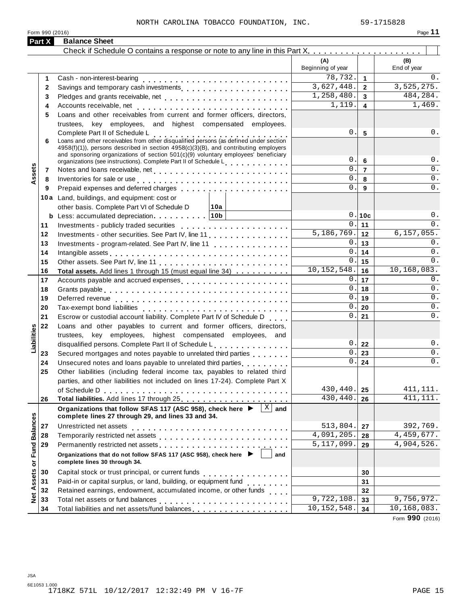Form 990 (2016)

| <br>16<br>г.<br>ı |  |
|-------------------|--|
|                   |  |

|                      | Part X     | <b>Balance Sheet</b>                                                                                                                                                                                                                                   |                           |                         |                    |
|----------------------|------------|--------------------------------------------------------------------------------------------------------------------------------------------------------------------------------------------------------------------------------------------------------|---------------------------|-------------------------|--------------------|
|                      |            |                                                                                                                                                                                                                                                        |                           |                         |                    |
|                      |            |                                                                                                                                                                                                                                                        | (A)<br>Beginning of year  |                         | (B)<br>End of year |
|                      | 1          |                                                                                                                                                                                                                                                        | 78,732.                   | $\mathbf{1}$            | 0.                 |
|                      | 2          |                                                                                                                                                                                                                                                        | 3,627,448.                | $\overline{2}$          | 3,525,275.         |
|                      | 3          |                                                                                                                                                                                                                                                        | 1,258,480.                | $\mathbf{3}$            | 484,284.           |
|                      | 4          |                                                                                                                                                                                                                                                        | 1,119.                    | $\overline{\mathbf{4}}$ | 1,469.             |
|                      | 5          | Loans and other receivables from current and former officers, directors,                                                                                                                                                                               |                           |                         |                    |
|                      |            | trustees, key employees, and highest compensated employees.                                                                                                                                                                                            |                           |                         |                    |
|                      | 6          | Complete Part II of Schedule L<br>Complete Part if of Scriedule L<br>Loans and other receivables from other disqualified persons (as defined under section<br>$4958(f)(1)$ , persons described in section $4958(c)(3)(B)$ , and contributing employers | 0.                        | 5                       | $0$ .              |
|                      |            | and sponsoring organizations of section $501(c)(9)$ voluntary employees' beneficiary                                                                                                                                                                   | 0.                        |                         | 0.                 |
|                      |            | organizations (see instructions). Complete Part II of Schedule L <sub>1111111</sub> , productions                                                                                                                                                      | 0.                        | 6<br>$\overline{7}$     | $0$ .              |
| Assets               | 7          |                                                                                                                                                                                                                                                        | 0.                        | 8                       | 0.                 |
|                      | 8<br>9     | Inventories for sale or use enterpreteral enterpreteral enterpreteral enterpreteral enterpreteral enterpreteral                                                                                                                                        | $\Omega$ .                | 9                       | 0.                 |
|                      |            |                                                                                                                                                                                                                                                        |                           |                         |                    |
|                      |            | 10a Land, buildings, and equipment: cost or<br>other basis. Complete Part VI of Schedule D                                                                                                                                                             |                           |                         |                    |
|                      |            | 10a<br><b>b</b> Less: accumulated depreciation $\ldots$ , ,    10b                                                                                                                                                                                     |                           | 0.10c                   | $0$ .              |
|                      | 11         |                                                                                                                                                                                                                                                        | 0.1                       | 11                      | 0.                 |
|                      | 12         | Investments - other securities. See Part IV, line 11                                                                                                                                                                                                   | $\overline{5,186,769}.$   | 12                      | 6,157,055.         |
|                      | 13         | Investments - program-related. See Part IV, line 11                                                                                                                                                                                                    | 0.                        | 13                      | 0.                 |
|                      | 14         |                                                                                                                                                                                                                                                        | 0.                        | 14                      | 0.                 |
|                      | 15         |                                                                                                                                                                                                                                                        | 0.                        | 15                      | 0.                 |
|                      | 16         | Total assets. Add lines 1 through 15 (must equal line 34)                                                                                                                                                                                              | 10, 152, 548.             | 16                      | 10, 168, 083.      |
|                      | 17         | Accounts payable and accrued expenses                                                                                                                                                                                                                  | 0.1                       | 17                      | 0.                 |
|                      | 18         |                                                                                                                                                                                                                                                        | 0.                        | 18                      | 0.                 |
|                      | 19         |                                                                                                                                                                                                                                                        | $0$ .                     | 19                      | 0.                 |
|                      | 20         |                                                                                                                                                                                                                                                        | 0.                        | 20                      | 0.                 |
|                      | 21         | Escrow or custodial account liability. Complete Part IV of Schedule D                                                                                                                                                                                  | 0.                        | 21                      | 0.                 |
|                      | 22         | Loans and other payables to current and former officers, directors,                                                                                                                                                                                    |                           |                         |                    |
|                      |            | trustees, key employees, highest compensated employees, and                                                                                                                                                                                            |                           |                         |                    |
| Liabilities          |            | disqualified persons. Complete Part II of Schedule L.                                                                                                                                                                                                  | 0.1                       | 22                      | $0$ .              |
|                      | 23         | Secured mortgages and notes payable to unrelated third parties                                                                                                                                                                                         | $0$ .                     | 23                      | 0.                 |
|                      | 24         | Unsecured notes and loans payable to unrelated third parties                                                                                                                                                                                           | 0.                        | 24                      | $0$ .              |
|                      | 25         | Other liabilities (including federal income tax, payables to related third                                                                                                                                                                             |                           |                         |                    |
|                      |            | parties, and other liabilities not included on lines 17-24). Complete Part X                                                                                                                                                                           |                           |                         |                    |
|                      |            |                                                                                                                                                                                                                                                        | 430,440.                  | 25                      | 411, 111.          |
|                      | 26         |                                                                                                                                                                                                                                                        | 430,440.                  | 26                      | 411, 111.          |
| <b>Fund Balances</b> |            | $\vert X \vert$<br>Organizations that follow SFAS 117 (ASC 958), check here ▶<br>and<br>complete lines 27 through 29, and lines 33 and 34.                                                                                                             |                           |                         |                    |
|                      | ${\bf 27}$ | Unrestricted net assets                                                                                                                                                                                                                                | 513,804.                  | 27                      | 392,769.           |
|                      | 28         |                                                                                                                                                                                                                                                        | $\overline{4,091}$ , 205. | 28                      | 4,459,677.         |
|                      | 29         | Permanently restricted net assets<br>intervals and intervals are neglected to the setting of the setting of the setting of the setting of the setting of the setting of the setting of the setting of the setting of the setting                       | 5, 117, 099.              | 29                      | 4,904,526.         |
|                      |            | Organizations that do not follow SFAS 117 (ASC 958), check here ▶<br>and<br>complete lines 30 through 34.                                                                                                                                              |                           |                         |                    |
|                      | 30         |                                                                                                                                                                                                                                                        |                           | 30                      |                    |
| Net Assets or        | 31         | Paid-in or capital surplus, or land, building, or equipment fund<br>                                                                                                                                                                                   |                           | 31                      |                    |
|                      | 32         | Retained earnings, endowment, accumulated income, or other funds                                                                                                                                                                                       |                           | 32                      |                    |
|                      | 33         |                                                                                                                                                                                                                                                        | 9,722,108.                | 33                      | 9,756,972.         |
|                      | 34         | Total liabilities and net assets/fund balances                                                                                                                                                                                                         | 10, 152, 548.             | 34                      | 10,168,083.        |

Form **990** (2016)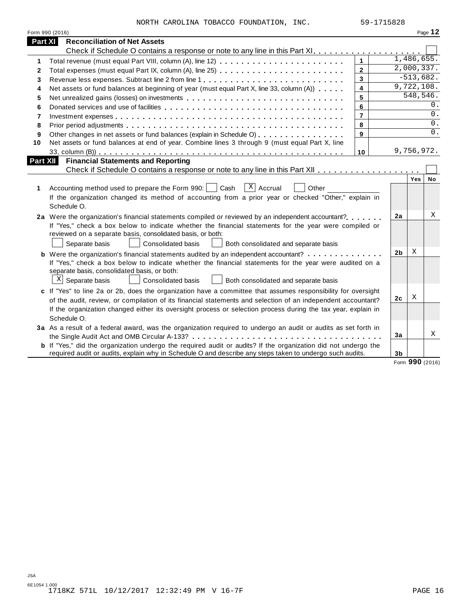NORTH CAROLINA TOBACCO FOUNDATION, INC. 59-1715828

|                | Form 990 (2016)                                                                                                              |                         |                |                 | Page 12 |
|----------------|------------------------------------------------------------------------------------------------------------------------------|-------------------------|----------------|-----------------|---------|
| <b>Part XI</b> | <b>Reconciliation of Net Assets</b>                                                                                          |                         |                |                 |         |
|                |                                                                                                                              |                         |                |                 |         |
| 1              |                                                                                                                              | $\mathbf{1}$            |                | 1,486,655.      |         |
| 2              | Total expenses (must equal Part IX, column (A), line 25)                                                                     | $\mathbf{2}$            |                | 2,000,337.      |         |
| 3              |                                                                                                                              | $\mathbf{3}$            |                | $-513,682.$     |         |
| 4              | Net assets or fund balances at beginning of year (must equal Part X, line 33, column (A))                                    | $\overline{\mathbf{4}}$ |                | 9,722,108.      |         |
| 5              |                                                                                                                              | 5                       |                | 548,546.        |         |
| 6              |                                                                                                                              | 6                       |                |                 | $0$ .   |
| 7              |                                                                                                                              | $\overline{7}$          |                |                 | 0.      |
| 8              |                                                                                                                              | 8                       |                |                 | 0.      |
| 9              | Other changes in net assets or fund balances (explain in Schedule O)                                                         | 9                       |                |                 | $0$ .   |
| 10             | Net assets or fund balances at end of year. Combine lines 3 through 9 (must equal Part X, line                               |                         |                |                 |         |
|                |                                                                                                                              | 10                      |                | 9,756,972.      |         |
| Part XII       | <b>Financial Statements and Reporting</b>                                                                                    |                         |                |                 |         |
|                |                                                                                                                              |                         |                |                 |         |
|                |                                                                                                                              |                         |                | Yes             | No      |
| 1              | $\lceil x \rceil$ Accrual<br>Accounting method used to prepare the Form 990:     Cash<br>Other                               |                         |                |                 |         |
|                | If the organization changed its method of accounting from a prior year or checked "Other," explain in                        |                         |                |                 |         |
|                | Schedule O.                                                                                                                  |                         |                |                 |         |
|                | 2a Were the organization's financial statements compiled or reviewed by an independent accountant?                           |                         | 2a             |                 | X       |
|                | If "Yes," check a box below to indicate whether the financial statements for the year were compiled or                       |                         |                |                 |         |
|                | reviewed on a separate basis, consolidated basis, or both:                                                                   |                         |                |                 |         |
|                | Separate basis<br>Consolidated basis<br>Both consolidated and separate basis                                                 |                         |                |                 |         |
|                | <b>b</b> Were the organization's financial statements audited by an independent accountant?                                  |                         | 2 <sub>b</sub> | Χ               |         |
|                | If "Yes," check a box below to indicate whether the financial statements for the year were audited on a                      |                         |                |                 |         |
|                | separate basis, consolidated basis, or both:                                                                                 |                         |                |                 |         |
|                | $\mathbf X$<br>Separate basis<br><b>Consolidated basis</b><br>Both consolidated and separate basis                           |                         |                |                 |         |
|                | c If "Yes" to line 2a or 2b, does the organization have a committee that assumes responsibility for oversight                |                         |                |                 |         |
|                | of the audit, review, or compilation of its financial statements and selection of an independent accountant?                 |                         | 2 <sub>c</sub> | Χ               |         |
|                |                                                                                                                              |                         |                |                 |         |
|                | If the organization changed either its oversight process or selection process during the tax year, explain in<br>Schedule O. |                         |                |                 |         |
|                |                                                                                                                              |                         |                |                 |         |
|                | 3a As a result of a federal award, was the organization required to undergo an audit or audits as set forth in               |                         | 3a             |                 | Χ       |
|                | <b>b</b> If "Yes," did the organization undergo the required audit or audits? If the organization did not undergo the        |                         |                |                 |         |
|                | required audit or audits, explain why in Schedule O and describe any steps taken to undergo such audits.                     |                         | 3 <sub>b</sub> |                 |         |
|                |                                                                                                                              |                         |                | Form 990 (2016) |         |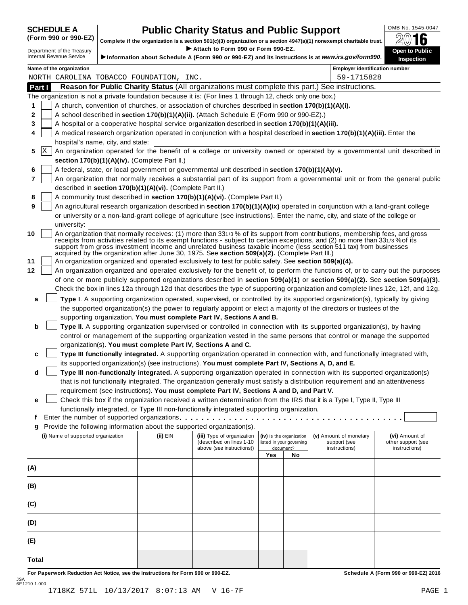# **SCHEDULE A Public Charity Status and Public Support**<br>(Form 990 or 990-EZ) complete if the examination is a section 501/01/2) organization or a section 4047/01/1 percepant charitable trust **20016**

(Form 990 or 990-EZ) complete if the organization is a section 501(c)(3) organization or a section 4947(a)(1) nonexempt charitable trust. 2016 <sup>D</sup> I **Attach to Form <sup>990</sup> or Form 990-EZ.** epartment of the Treasury **Open to Public** Department of the Treasury |<br>Internal Revenue Service → Internal Revenue Service → Internal Revenue Service → Internal Revenue Service → In

|  | ▶ Attach to Form 990 or Form 990-EZ. |  |  |  |  |  |
|--|--------------------------------------|--|--|--|--|--|
|  |                                      |  |  |  |  |  |

**Inspection**

|              | Name of the organization<br>NORTH CAROLINA TOBACCO FOUNDATION, INC.                                                                                                              |                                                               |                                                                                                                                                                                                                                                                                                                                                                                                                                                                                                                                                                                          |     |                          | <b>Employer identification number</b><br>59-1715828 |                    |
|--------------|----------------------------------------------------------------------------------------------------------------------------------------------------------------------------------|---------------------------------------------------------------|------------------------------------------------------------------------------------------------------------------------------------------------------------------------------------------------------------------------------------------------------------------------------------------------------------------------------------------------------------------------------------------------------------------------------------------------------------------------------------------------------------------------------------------------------------------------------------------|-----|--------------------------|-----------------------------------------------------|--------------------|
| Part I       |                                                                                                                                                                                  |                                                               | Reason for Public Charity Status (All organizations must complete this part.) See instructions.                                                                                                                                                                                                                                                                                                                                                                                                                                                                                          |     |                          |                                                     |                    |
|              | The organization is not a private foundation because it is: (For lines 1 through 12, check only one box.)                                                                        |                                                               |                                                                                                                                                                                                                                                                                                                                                                                                                                                                                                                                                                                          |     |                          |                                                     |                    |
| 1            |                                                                                                                                                                                  |                                                               | A church, convention of churches, or association of churches described in section 170(b)(1)(A)(i).                                                                                                                                                                                                                                                                                                                                                                                                                                                                                       |     |                          |                                                     |                    |
| 2            |                                                                                                                                                                                  |                                                               | A school described in section 170(b)(1)(A)(ii). (Attach Schedule E (Form 990 or 990-EZ).)                                                                                                                                                                                                                                                                                                                                                                                                                                                                                                |     |                          |                                                     |                    |
| 3            |                                                                                                                                                                                  |                                                               | A hospital or a cooperative hospital service organization described in section 170(b)(1)(A)(iii).                                                                                                                                                                                                                                                                                                                                                                                                                                                                                        |     |                          |                                                     |                    |
| 4            |                                                                                                                                                                                  |                                                               | A medical research organization operated in conjunction with a hospital described in section 170(b)(1)(A)(iii). Enter the                                                                                                                                                                                                                                                                                                                                                                                                                                                                |     |                          |                                                     |                    |
|              | hospital's name, city, and state:                                                                                                                                                |                                                               |                                                                                                                                                                                                                                                                                                                                                                                                                                                                                                                                                                                          |     |                          |                                                     |                    |
| 5            | An organization operated for the benefit of a college or university owned or operated by a governmental unit described in<br>ΙX<br>section 170(b)(1)(A)(iv). (Complete Part II.) |                                                               |                                                                                                                                                                                                                                                                                                                                                                                                                                                                                                                                                                                          |     |                          |                                                     |                    |
| 6            |                                                                                                                                                                                  |                                                               | A federal, state, or local government or governmental unit described in section 170(b)(1)(A)(v).                                                                                                                                                                                                                                                                                                                                                                                                                                                                                         |     |                          |                                                     |                    |
| 7            |                                                                                                                                                                                  |                                                               | An organization that normally receives a substantial part of its support from a governmental unit or from the general public                                                                                                                                                                                                                                                                                                                                                                                                                                                             |     |                          |                                                     |                    |
|              | described in section 170(b)(1)(A)(vi). (Complete Part II.)                                                                                                                       |                                                               |                                                                                                                                                                                                                                                                                                                                                                                                                                                                                                                                                                                          |     |                          |                                                     |                    |
| 8            |                                                                                                                                                                                  |                                                               | A community trust described in section 170(b)(1)(A)(vi). (Complete Part II.)                                                                                                                                                                                                                                                                                                                                                                                                                                                                                                             |     |                          |                                                     |                    |
| 9            |                                                                                                                                                                                  |                                                               | An agricultural research organization described in section 170(b)(1)(A)(ix) operated in conjunction with a land-grant college                                                                                                                                                                                                                                                                                                                                                                                                                                                            |     |                          |                                                     |                    |
|              |                                                                                                                                                                                  |                                                               | or university or a non-land-grant college of agriculture (see instructions). Enter the name, city, and state of the college or                                                                                                                                                                                                                                                                                                                                                                                                                                                           |     |                          |                                                     |                    |
|              | university:                                                                                                                                                                      |                                                               |                                                                                                                                                                                                                                                                                                                                                                                                                                                                                                                                                                                          |     |                          |                                                     |                    |
| 10<br>11     |                                                                                                                                                                                  |                                                               | An organization that normally receives: (1) more than 331/3% of its support from contributions, membership fees, and gross<br>receipts from activities related to its exempt functions - subject to certain exceptions, and (2) no more than 331/3% of its<br>support from gross investment income and unrelated business taxable income (less section 511 tax) from businesses<br>acquired by the organization after June 30, 1975. See section 509(a)(2). (Complete Part III.)<br>An organization organized and operated exclusively to test for public safety. See section 509(a)(4). |     |                          |                                                     |                    |
| 12           |                                                                                                                                                                                  |                                                               | An organization organized and operated exclusively for the benefit of, to perform the functions of, or to carry out the purposes                                                                                                                                                                                                                                                                                                                                                                                                                                                         |     |                          |                                                     |                    |
|              |                                                                                                                                                                                  |                                                               | of one or more publicly supported organizations described in section 509(a)(1) or section 509(a)(2). See section 509(a)(3).                                                                                                                                                                                                                                                                                                                                                                                                                                                              |     |                          |                                                     |                    |
|              |                                                                                                                                                                                  |                                                               | Check the box in lines 12a through 12d that describes the type of supporting organization and complete lines 12e, 12f, and 12g.                                                                                                                                                                                                                                                                                                                                                                                                                                                          |     |                          |                                                     |                    |
| a            |                                                                                                                                                                                  |                                                               | Type I. A supporting organization operated, supervised, or controlled by its supported organization(s), typically by giving                                                                                                                                                                                                                                                                                                                                                                                                                                                              |     |                          |                                                     |                    |
|              |                                                                                                                                                                                  |                                                               | the supported organization(s) the power to regularly appoint or elect a majority of the directors or trustees of the                                                                                                                                                                                                                                                                                                                                                                                                                                                                     |     |                          |                                                     |                    |
|              |                                                                                                                                                                                  |                                                               | supporting organization. You must complete Part IV, Sections A and B.                                                                                                                                                                                                                                                                                                                                                                                                                                                                                                                    |     |                          |                                                     |                    |
| b            |                                                                                                                                                                                  |                                                               | Type II. A supporting organization supervised or controlled in connection with its supported organization(s), by having                                                                                                                                                                                                                                                                                                                                                                                                                                                                  |     |                          |                                                     |                    |
|              |                                                                                                                                                                                  |                                                               | control or management of the supporting organization vested in the same persons that control or manage the supported                                                                                                                                                                                                                                                                                                                                                                                                                                                                     |     |                          |                                                     |                    |
|              |                                                                                                                                                                                  | organization(s). You must complete Part IV, Sections A and C. |                                                                                                                                                                                                                                                                                                                                                                                                                                                                                                                                                                                          |     |                          |                                                     |                    |
| c            |                                                                                                                                                                                  |                                                               | Type III functionally integrated. A supporting organization operated in connection with, and functionally integrated with,                                                                                                                                                                                                                                                                                                                                                                                                                                                               |     |                          |                                                     |                    |
|              |                                                                                                                                                                                  |                                                               | its supported organization(s) (see instructions). You must complete Part IV, Sections A, D, and E.                                                                                                                                                                                                                                                                                                                                                                                                                                                                                       |     |                          |                                                     |                    |
| d            |                                                                                                                                                                                  |                                                               | Type III non-functionally integrated. A supporting organization operated in connection with its supported organization(s)                                                                                                                                                                                                                                                                                                                                                                                                                                                                |     |                          |                                                     |                    |
|              |                                                                                                                                                                                  |                                                               | that is not functionally integrated. The organization generally must satisfy a distribution requirement and an attentiveness                                                                                                                                                                                                                                                                                                                                                                                                                                                             |     |                          |                                                     |                    |
|              |                                                                                                                                                                                  |                                                               | requirement (see instructions). You must complete Part IV, Sections A and D, and Part V.                                                                                                                                                                                                                                                                                                                                                                                                                                                                                                 |     |                          |                                                     |                    |
| е            |                                                                                                                                                                                  |                                                               | Check this box if the organization received a written determination from the IRS that it is a Type I, Type II, Type III                                                                                                                                                                                                                                                                                                                                                                                                                                                                  |     |                          |                                                     |                    |
| f            | Enter the number of supported organizations.                                                                                                                                     |                                                               | functionally integrated, or Type III non-functionally integrated supporting organization.                                                                                                                                                                                                                                                                                                                                                                                                                                                                                                |     |                          |                                                     |                    |
| g            | Provide the following information about the supported organization(s).                                                                                                           |                                                               |                                                                                                                                                                                                                                                                                                                                                                                                                                                                                                                                                                                          |     |                          |                                                     |                    |
|              | (i) Name of supported organization                                                                                                                                               | (ii) EIN                                                      | (iii) Type of organization                                                                                                                                                                                                                                                                                                                                                                                                                                                                                                                                                               |     | (iv) Is the organization | (v) Amount of monetary                              | (vi) Amount of     |
|              |                                                                                                                                                                                  |                                                               | (described on lines 1-10                                                                                                                                                                                                                                                                                                                                                                                                                                                                                                                                                                 |     | listed in your governing | support (see                                        | other support (see |
|              |                                                                                                                                                                                  |                                                               | above (see instructions))                                                                                                                                                                                                                                                                                                                                                                                                                                                                                                                                                                | Yes | document?<br>No          | instructions)                                       | instructions)      |
| (A)          |                                                                                                                                                                                  |                                                               |                                                                                                                                                                                                                                                                                                                                                                                                                                                                                                                                                                                          |     |                          |                                                     |                    |
| (B)          |                                                                                                                                                                                  |                                                               |                                                                                                                                                                                                                                                                                                                                                                                                                                                                                                                                                                                          |     |                          |                                                     |                    |
|              |                                                                                                                                                                                  |                                                               |                                                                                                                                                                                                                                                                                                                                                                                                                                                                                                                                                                                          |     |                          |                                                     |                    |
| (C)          |                                                                                                                                                                                  |                                                               |                                                                                                                                                                                                                                                                                                                                                                                                                                                                                                                                                                                          |     |                          |                                                     |                    |
| (D)          |                                                                                                                                                                                  |                                                               |                                                                                                                                                                                                                                                                                                                                                                                                                                                                                                                                                                                          |     |                          |                                                     |                    |
| (E)          |                                                                                                                                                                                  |                                                               |                                                                                                                                                                                                                                                                                                                                                                                                                                                                                                                                                                                          |     |                          |                                                     |                    |
| <b>Total</b> |                                                                                                                                                                                  |                                                               |                                                                                                                                                                                                                                                                                                                                                                                                                                                                                                                                                                                          |     |                          |                                                     |                    |

For Paperwork Reduction Act Notice, see the Instructions for Form 990 or 990-EZ. Schedule A (Form 990 or 990-EZ) 2016 JSA 6E1210 1.000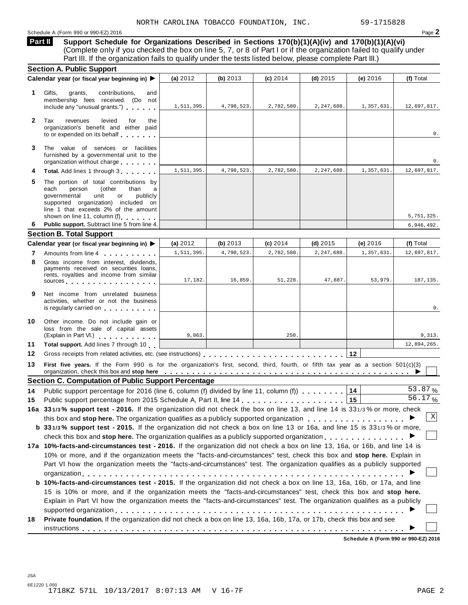#### Schedule <sup>A</sup> (Form <sup>990</sup> or 990-EZ) <sup>2016</sup> Page **2**

**Support Schedule for Organizations Described in Sections 170(b)(1)(A)(iv) and 170(b)(1)(A)(vi)** (Complete only if you checked the box on line 5, 7, or 8 of Part I or if the organization failed to qualify under Part III. If the organization fails to qualify under the tests listed below, please complete Part III.) **Part II**

|              | <b>Section A. Public Support</b>                                                                                                                                                                                                                                                                                                                               |            |            |            |            |             |                          |
|--------------|----------------------------------------------------------------------------------------------------------------------------------------------------------------------------------------------------------------------------------------------------------------------------------------------------------------------------------------------------------------|------------|------------|------------|------------|-------------|--------------------------|
|              | Calendar year (or fiscal year beginning in) ▶                                                                                                                                                                                                                                                                                                                  | (a) $2012$ | (b) 2013   | $(c)$ 2014 | $(d)$ 2015 | (e) $2016$  | (f) Total                |
| 1.           | Gifts,<br>contributions.<br>grants,<br>and<br>membership fees received. (Do not<br>include any "unusual grants.")                                                                                                                                                                                                                                              | 1,511,395. | 4,798,523. | 2,782,580. | 2,247,688. | 1,357,631.  | 12,697,817.              |
| $\mathbf{2}$ | revenues<br>levied<br>Tax<br>for<br>the<br>organization's benefit and either paid<br>to or expended on its behalf                                                                                                                                                                                                                                              |            |            |            |            |             | 0.                       |
| 3            | The value of services or facilities<br>furnished by a governmental unit to the<br>organization without charge                                                                                                                                                                                                                                                  |            |            |            |            |             | 0.                       |
| 4            | Total. Add lines 1 through 3                                                                                                                                                                                                                                                                                                                                   | 1,511,395. | 4,798,523. | 2,782,580. | 2,247,688. | 1,357,631.  | 12,697,817.              |
| 5            | The portion of total contributions by<br>each<br>person<br>(other<br>than<br>a<br>governmental<br>unit<br>publicly<br>or<br>supported organization) included on<br>line 1 that exceeds 2% of the amount                                                                                                                                                        |            |            |            |            |             |                          |
| 6.           | shown on line 11, column (f)<br>Public support. Subtract line 5 from line 4.                                                                                                                                                                                                                                                                                   |            |            |            |            |             | 5,751,325.<br>6,946,492. |
|              | <b>Section B. Total Support</b>                                                                                                                                                                                                                                                                                                                                |            |            |            |            |             |                          |
|              | Calendar year (or fiscal year beginning in)                                                                                                                                                                                                                                                                                                                    | (a) 2012   | (b) $2013$ | $(c)$ 2014 | $(d)$ 2015 | (e) $2016$  | (f) Total                |
| 7            | Amounts from line 4                                                                                                                                                                                                                                                                                                                                            | 1,511,395. | 4,798,523. | 2,782,580. | 2,247,688. | 1,357,631   | 12,697,817.              |
| 8            | Gross income from interest, dividends,<br>payments received on securities loans,<br>rents, royalties and income from similar<br>sources entering the set of the set of the set of the set of the set of the set of the set of the set of the set of the set of the set of the set of the set of the set of the set of the set of the set of the set of the set | 17,182.    | 16,859.    | 51,228.    | 47,887.    | 53,979      | 187,135.                 |
| 9            | Net income from unrelated business<br>activities, whether or not the business<br>is regularly carried on the control of the state of the control of the control of the control of the control o                                                                                                                                                                |            |            |            |            |             | $0$ .                    |
| 10           | Other income. Do not include gain or<br>loss from the sale of capital assets<br>(Explain in Part VI.) explained a set of the set of the set of the set of the set of the set of the set of the set of the set of the set of the set of the set of the set of the set of the set of the set of the set of the s                                                 | 9,063.     |            | 250.       |            |             | 9,313.                   |
| 11           | Total support. Add lines 7 through 10                                                                                                                                                                                                                                                                                                                          |            |            |            |            |             | 12,894,265.              |
| 12           |                                                                                                                                                                                                                                                                                                                                                                |            |            |            |            | $\sqrt{12}$ |                          |
| 13           | First five years. If the Form 990 is for the organization's first, second, third, fourth, or fifth tax year as a section 501(c)(3)                                                                                                                                                                                                                             |            |            |            |            |             |                          |
|              | <b>Section C. Computation of Public Support Percentage</b>                                                                                                                                                                                                                                                                                                     |            |            |            |            |             |                          |
| 14           | Public support percentage for 2016 (line 6, column (f) divided by line 11, column (f)                                                                                                                                                                                                                                                                          |            |            |            |            | 14          | 53.87%                   |
| 15           |                                                                                                                                                                                                                                                                                                                                                                |            |            |            |            | 15          | $\overline{56.17}$ %     |
|              | 16a 331/3% support test - 2016. If the organization did not check the box on line 13, and line 14 is 331/3% or more, check                                                                                                                                                                                                                                     |            |            |            |            |             | X                        |
|              | this box and stop here. The organization qualifies as a publicly supported organization                                                                                                                                                                                                                                                                        |            |            |            |            |             |                          |
|              | b 331/3% support test - 2015. If the organization did not check a box on line 13 or 16a, and line 15 is 331/3% or more,                                                                                                                                                                                                                                        |            |            |            |            |             |                          |
|              | check this box and stop here. The organization qualifies as a publicly supported organization $\ldots$ , $\ldots$ , $\ldots$                                                                                                                                                                                                                                   |            |            |            |            |             |                          |
|              | 17a 10%-facts-and-circumstances test - 2016. If the organization did not check a box on line 13, 16a, or 16b, and line 14 is                                                                                                                                                                                                                                   |            |            |            |            |             |                          |
|              | 10% or more, and if the organization meets the "facts-and-circumstances" test, check this box and stop here. Explain in<br>Part VI how the organization meets the "facts-and-circumstances" test. The organization qualifies as a publicly supported                                                                                                           |            |            |            |            |             |                          |
|              |                                                                                                                                                                                                                                                                                                                                                                |            |            |            |            |             |                          |
|              | b 10%-facts-and-circumstances test - 2015. If the organization did not check a box on line 13, 16a, 16b, or 17a, and line                                                                                                                                                                                                                                      |            |            |            |            |             |                          |
|              | 15 is 10% or more, and if the organization meets the "facts-and-circumstances" test, check this box and stop here.                                                                                                                                                                                                                                             |            |            |            |            |             |                          |
|              | Explain in Part VI how the organization meets the "facts-and-circumstances" test. The organization qualifies as a publicly                                                                                                                                                                                                                                     |            |            |            |            |             |                          |
|              |                                                                                                                                                                                                                                                                                                                                                                |            |            |            |            |             |                          |
| 18           | Private foundation. If the organization did not check a box on line 13, 16a, 16b, 17a, or 17b, check this box and see                                                                                                                                                                                                                                          |            |            |            |            |             |                          |
|              |                                                                                                                                                                                                                                                                                                                                                                |            |            |            |            |             |                          |
|              |                                                                                                                                                                                                                                                                                                                                                                |            |            |            |            |             |                          |

**Schedule A (Form 990 or 990-EZ) 2016**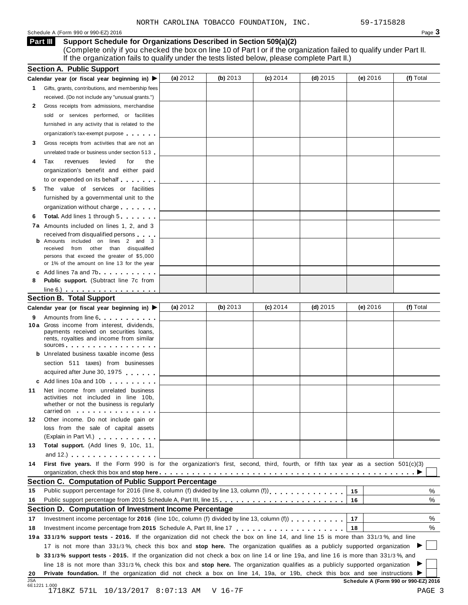#### Schedule <sup>A</sup> (Form <sup>990</sup> or 990-EZ) <sup>2016</sup> Page **3**

**Support Schedule for Organizations Described in Section 509(a)(2) Part III**

(Complete only if you checked the box on line 10 of Part I or if the organization failed to qualify under Part II. If the organization fails to qualify under the tests listed below, please complete Part II.)

|                            | <b>Section A. Public Support</b>                                                                                                                                                                                                                           |            |          |            |            |            |             |
|----------------------------|------------------------------------------------------------------------------------------------------------------------------------------------------------------------------------------------------------------------------------------------------------|------------|----------|------------|------------|------------|-------------|
|                            | Calendar year (or fiscal year beginning in) $\blacktriangleright$                                                                                                                                                                                          | (a) 2012   | (b) 2013 | $(c)$ 2014 | $(d)$ 2015 | $(e)$ 2016 | (f) Total   |
| 1.                         | Gifts, grants, contributions, and membership fees                                                                                                                                                                                                          |            |          |            |            |            |             |
|                            | received. (Do not include any "unusual grants.")                                                                                                                                                                                                           |            |          |            |            |            |             |
| 2                          | Gross receipts from admissions, merchandise                                                                                                                                                                                                                |            |          |            |            |            |             |
|                            | or services performed, or facilities<br>sold                                                                                                                                                                                                               |            |          |            |            |            |             |
|                            | furnished in any activity that is related to the                                                                                                                                                                                                           |            |          |            |            |            |             |
|                            | organization's tax-exempt purpose                                                                                                                                                                                                                          |            |          |            |            |            |             |
| 3                          | Gross receipts from activities that are not an                                                                                                                                                                                                             |            |          |            |            |            |             |
|                            | unrelated trade or business under section 513                                                                                                                                                                                                              |            |          |            |            |            |             |
| 4                          | Tax<br>revenues<br>levied<br>for<br>the                                                                                                                                                                                                                    |            |          |            |            |            |             |
|                            | organization's benefit and either paid                                                                                                                                                                                                                     |            |          |            |            |            |             |
|                            |                                                                                                                                                                                                                                                            |            |          |            |            |            |             |
|                            | to or expended on its behalf                                                                                                                                                                                                                               |            |          |            |            |            |             |
| 5                          | The value of services or facilities                                                                                                                                                                                                                        |            |          |            |            |            |             |
|                            | furnished by a governmental unit to the                                                                                                                                                                                                                    |            |          |            |            |            |             |
|                            | organization without charge                                                                                                                                                                                                                                |            |          |            |            |            |             |
| 6                          | <b>Total.</b> Add lines 1 through 5                                                                                                                                                                                                                        |            |          |            |            |            |             |
|                            | <b>7a</b> Amounts included on lines 1, 2, and 3                                                                                                                                                                                                            |            |          |            |            |            |             |
|                            | received from disqualified persons                                                                                                                                                                                                                         |            |          |            |            |            |             |
|                            | <b>b</b> Amounts included on lines 2 and 3<br>received from other than disqualified                                                                                                                                                                        |            |          |            |            |            |             |
|                            | persons that exceed the greater of \$5,000                                                                                                                                                                                                                 |            |          |            |            |            |             |
|                            | or 1% of the amount on line 13 for the year                                                                                                                                                                                                                |            |          |            |            |            |             |
|                            | c Add lines 7a and 7b                                                                                                                                                                                                                                      |            |          |            |            |            |             |
| 8                          | <b>Public support.</b> (Subtract line 7c from                                                                                                                                                                                                              |            |          |            |            |            |             |
|                            | $line 6.)$ $\ldots$ $\ldots$ $\ldots$ $\ldots$ $\ldots$ $\ldots$ $\ldots$                                                                                                                                                                                  |            |          |            |            |            |             |
|                            | <b>Section B. Total Support</b>                                                                                                                                                                                                                            |            |          |            |            |            |             |
|                            | Calendar year (or fiscal year beginning in) ▶                                                                                                                                                                                                              | (a) $2012$ | (b) 2013 | $(c)$ 2014 | $(d)$ 2015 | (e) 2016   | (f) Total   |
| 9                          | Amounts from line 6.                                                                                                                                                                                                                                       |            |          |            |            |            |             |
|                            | 10 a Gross income from interest, dividends,<br>payments received on securities loans,<br>rents, royalties and income from similar                                                                                                                          |            |          |            |            |            |             |
|                            | sources and the set of the set of the set of the set of the set of the set of the set of the set of the set of                                                                                                                                             |            |          |            |            |            |             |
|                            | <b>b</b> Unrelated business taxable income (less                                                                                                                                                                                                           |            |          |            |            |            |             |
|                            | section 511 taxes) from businesses                                                                                                                                                                                                                         |            |          |            |            |            |             |
|                            | acquired after June 30, 1975                                                                                                                                                                                                                               |            |          |            |            |            |             |
|                            | c Add lines 10a and 10b                                                                                                                                                                                                                                    |            |          |            |            |            |             |
| 11                         | Net income from unrelated business                                                                                                                                                                                                                         |            |          |            |            |            |             |
|                            | activities not included in line 10b,<br>whether or not the business is regularly                                                                                                                                                                           |            |          |            |            |            |             |
|                            | carried on the contract of the contract of the contract of the contract of the contract of the contract of the                                                                                                                                             |            |          |            |            |            |             |
| 12                         | Other income. Do not include gain or                                                                                                                                                                                                                       |            |          |            |            |            |             |
|                            | loss from the sale of capital assets                                                                                                                                                                                                                       |            |          |            |            |            |             |
|                            | (Explain in Part VI.) <b>All Accords</b>                                                                                                                                                                                                                   |            |          |            |            |            |             |
| 13                         | Total support. (Add lines 9, 10c, 11,                                                                                                                                                                                                                      |            |          |            |            |            |             |
|                            | and 12.) $\cdots$ $\cdots$ $\cdots$ $\cdots$                                                                                                                                                                                                               |            |          |            |            |            |             |
|                            | First five years. If the Form 990 is for the organization's first, second, third, fourth, or fifth tax year as a section 501(c)(3)                                                                                                                         |            |          |            |            |            |             |
|                            |                                                                                                                                                                                                                                                            |            |          |            |            |            |             |
|                            |                                                                                                                                                                                                                                                            |            |          |            |            |            |             |
|                            | <b>Section C. Computation of Public Support Percentage</b>                                                                                                                                                                                                 |            |          |            |            |            |             |
|                            | Public support percentage for 2016 (line 8, column (f) divided by line 13, column (f)).                                                                                                                                                                    |            |          |            |            | 15         | %           |
|                            | Public support percentage from 2015 Schedule A, Part III, line 15                                                                                                                                                                                          |            |          |            |            | 16         |             |
|                            | Section D. Computation of Investment Income Percentage                                                                                                                                                                                                     |            |          |            |            |            |             |
|                            | Investment income percentage for 2016 (line 10c, column (f) divided by line 13, column (f) $\ldots$ ,,,,,,,,                                                                                                                                               |            |          |            |            | 17         |             |
|                            |                                                                                                                                                                                                                                                            |            |          |            |            | 18         |             |
|                            |                                                                                                                                                                                                                                                            |            |          |            |            |            |             |
|                            | 19a 331/3% support tests - 2016. If the organization did not check the box on line 14, and line 15 is more than 331/3%, and line                                                                                                                           |            |          |            |            |            |             |
| 14<br>15<br>16<br>17<br>18 | 17 is not more than 331/3%, check this box and stop here. The organization qualifies as a publicly supported organization                                                                                                                                  |            |          |            |            |            | %<br>%<br>% |
|                            | <b>b</b> 331/3% support tests - 2015. If the organization did not check a box on line 14 or line 19a, and line 16 is more than 331/3%, and                                                                                                                 |            |          |            |            |            |             |
| 20                         | line 18 is not more than 331/3%, check this box and stop here. The organization qualifies as a publicly supported organization<br>Private foundation. If the organization did not check a box on line 14, 19a, or 19b, check this box and see instructions |            |          |            |            |            |             |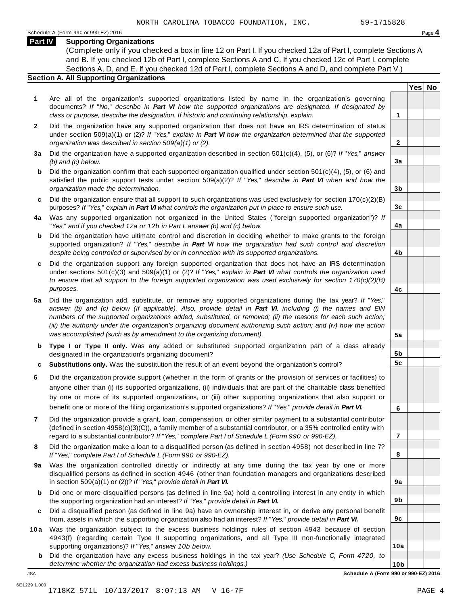#### **Part IV Supporting Organizations**

(Complete only if you checked a box in line 12 on Part I. If you checked 12a of Part I, complete Sections A and B. If you checked 12b of Part I, complete Sections A and C. If you checked 12c of Part I, complete Sections A, D, and E. If you checked 12d of Part I, complete Sections A and D, and complete Part V.)

#### **Section A. All Supporting Organizations**

- **1** Are all of the organization's supported organizations listed by name in the organization's governing documents? *If* "*No,*" *describe in Part VI how the supported organizations are designated. If designated by class or purpose, describe the designation. If historic and continuing relationship, explain.* **1**
- **2** Did the organization have any supported organization that does not have an IRS determination of status under section 509(a)(1) or (2)? *If*"*Yes,*" *explain in Part VI how the organization determined that the supported organization was described in section 509(a)(1) or (2).*
- **3 a** Did the organization have a supported organization described in section 501(c)(4), (5), or (6)? *If* "*Yes,*" *answer (b) and (c) below.*
- **b** Did the organization confirm that each supported organization qualified under section 501(c)(4), (5), or (6) and | satisfied the public support tests under section 509(a)(2)? *If* "*Yes,*" *describe in Part VI when and how the organization made the determination.*
- **c** Did the organization ensure that all support to such organizations was used exclusively for section 170(c)(2)(B) purposes? *If*"*Yes,*" *explain in Part VI what controls the organization put in place to ensure such use.*
- **4 a** Was any supported organization not organized in the United States ("foreign supported organization")? *If* "*Yes,*" *and if you checked 12a or 12b in Part I, answer (b) and (c) below.*
- **b** Did the organization have ultimate control and discretion in deciding whether to make grants to the foreign | supported organization? *If* "*Yes,*" *describe in Part VI how the organization had such control and discretion despite being controlled or supervised by or in connection with its supported organizations.*
- **c** Did the organization support any foreign supported organization that does not have an IRS determination | under sections 501(c)(3) and 509(a)(1) or (2)? *If* "*Yes,*" *explain in Part VI what controls the organization used to ensure that all support to the foreign supported organization was used exclusively for section 170(c)(2)(B) purposes.*
- **5 a** Did the organization add, substitute, or remove any supported organizations during the tax year? *If* "*Yes,*" answer (b) and (c) below (if applicable). Also, provide detail in Part VI, including (i) the names and EIN *numbers of the supported organizations added, substituted, or removed; (ii) the reasons for each such action;* (iii) the authority under the organization's organizing document authorizing such action; and (iv) how the action *was accomplished (such as by amendment to the organizing document).*
- **b** Type I or Type II only. Was any added or substituted supported organization part of a class already | designated in the organization's organizing document?
- **c Substitutions only.** Was the substitution the result of an event beyond the organization's control?
- **6** Did the organization provide support (whether in the form of grants or the provision of services or facilities) to anyone other than (i) its supported organizations, (ii) individuals that are part of the charitable class benefited by one or more of its supported organizations, or (iii) other supporting organizations that also support or benefit one or more of the filing organization's supported organizations? *If*"*Yes,*" *provide detail in Part VI.*
- **7** Did the organization provide a grant, loan, compensation, or other similar payment to a substantial contributor (defined in section 4958(c)(3)(C)), a family member of a substantial contributor, or a 35% controlled entity with regard to a substantial contributor? *If*"*Yes,*" *complete Part I of Schedule L (Form 990 or 990-EZ).*
- **8** Did the organization make a loan to a disqualified person (as defined in section 4958) not described in line 7? *If* "*Yes,*" *complete Part I of Schedule L (Form 990 or 990-EZ).*
- **a** Was the organization controlled directly or indirectly at any time during the tax year by one or more | **9** disqualified persons as defined in section 4946 (other than foundation managers and organizations described in section 509(a)(1) or (2))? *If*"*Yes,*" *provide detail in Part VI.*
- **b** Did one or more disqualified persons (as defined in line 9a) hold a controlling interest in any entity in which | the supporting organization had an interest? *If*"*Yes,*" *provide detail in Part VI.*
- **c** Did a disqualified person (as defined in line 9a) have an ownership interest in, or derive any personal benefit from, assets in which the supporting organization also had an interest? *If*"*Yes,*" *provide detail in Part VI.*
- **10a** Was the organization subject to the excess business holdings rules of section 4943 because of section | 4943(f) (regarding certain Type II supporting organizations, and all Type III non-functionally integrated supporting organizations)? *If*"*Yes,*" *answer 10b below.*
	- **b** Did the organization have any excess business holdings in the tax year? *(Use Schedule C, Form 4720, to determine whether the organization had excess business holdings.)*

**2**

**3a**

**3b**

**3c**

**4a**

**4b**

**4c**

**5a**

**5b 5c**

**6**

**7**

**8**

**9a**

**9b**

**9c**

**10a**

**Yes No**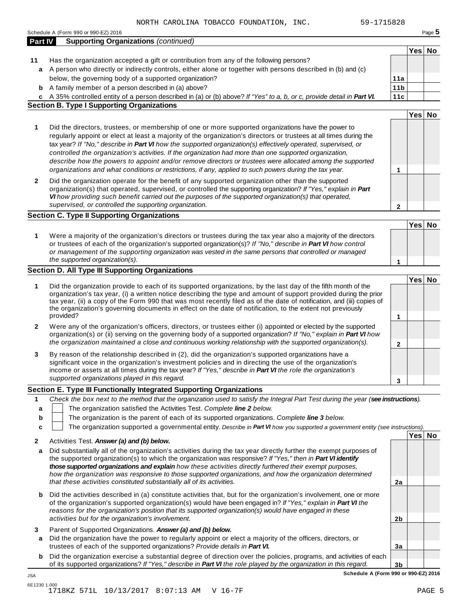|              | Schedule A (Form 990 or 990-EZ) 2016                                                                                                                                                                                                                                                                                                                                                                                                                                                                                                                                                                                                                                         |                      |        | Page 5 |
|--------------|------------------------------------------------------------------------------------------------------------------------------------------------------------------------------------------------------------------------------------------------------------------------------------------------------------------------------------------------------------------------------------------------------------------------------------------------------------------------------------------------------------------------------------------------------------------------------------------------------------------------------------------------------------------------------|----------------------|--------|--------|
| Part IV      | <b>Supporting Organizations (continued)</b>                                                                                                                                                                                                                                                                                                                                                                                                                                                                                                                                                                                                                                  |                      | Yes No |        |
| 11           | Has the organization accepted a gift or contribution from any of the following persons?                                                                                                                                                                                                                                                                                                                                                                                                                                                                                                                                                                                      |                      |        |        |
| a            | A person who directly or indirectly controls, either alone or together with persons described in (b) and (c)                                                                                                                                                                                                                                                                                                                                                                                                                                                                                                                                                                 |                      |        |        |
|              | below, the governing body of a supported organization?                                                                                                                                                                                                                                                                                                                                                                                                                                                                                                                                                                                                                       | 11a                  |        |        |
|              |                                                                                                                                                                                                                                                                                                                                                                                                                                                                                                                                                                                                                                                                              | 11 <sub>b</sub>      |        |        |
|              | <b>b</b> A family member of a person described in (a) above?                                                                                                                                                                                                                                                                                                                                                                                                                                                                                                                                                                                                                 |                      |        |        |
| c            | A 35% controlled entity of a person described in (a) or (b) above? If "Yes" to a, b, or c, provide detail in Part VI.                                                                                                                                                                                                                                                                                                                                                                                                                                                                                                                                                        | 11c                  |        |        |
|              | <b>Section B. Type I Supporting Organizations</b>                                                                                                                                                                                                                                                                                                                                                                                                                                                                                                                                                                                                                            |                      |        |        |
|              |                                                                                                                                                                                                                                                                                                                                                                                                                                                                                                                                                                                                                                                                              |                      | Yes No |        |
| 1            | Did the directors, trustees, or membership of one or more supported organizations have the power to<br>regularly appoint or elect at least a majority of the organization's directors or trustees at all times during the<br>tax year? If "No," describe in Part VI how the supported organization(s) effectively operated, supervised, or<br>controlled the organization's activities. If the organization had more than one supported organization,<br>describe how the powers to appoint and/or remove directors or trustees were allocated among the supported<br>organizations and what conditions or restrictions, if any, applied to such powers during the tax year. | 1                    |        |        |
| 2            | Did the organization operate for the benefit of any supported organization other than the supported<br>organization(s) that operated, supervised, or controlled the supporting organization? If "Yes," explain in Part<br>VI how providing such benefit carried out the purposes of the supported organization(s) that operated,                                                                                                                                                                                                                                                                                                                                             |                      |        |        |
|              | supervised, or controlled the supporting organization.                                                                                                                                                                                                                                                                                                                                                                                                                                                                                                                                                                                                                       | $\mathbf{2}$         |        |        |
|              | <b>Section C. Type II Supporting Organizations</b>                                                                                                                                                                                                                                                                                                                                                                                                                                                                                                                                                                                                                           |                      |        |        |
|              |                                                                                                                                                                                                                                                                                                                                                                                                                                                                                                                                                                                                                                                                              |                      | Yes No |        |
| 1            | Were a majority of the organization's directors or trustees during the tax year also a majority of the directors<br>or trustees of each of the organization's supported organization(s)? If "No," describe in Part VI how control<br>or management of the supporting organization was vested in the same persons that controlled or managed                                                                                                                                                                                                                                                                                                                                  |                      |        |        |
|              | the supported organization(s).                                                                                                                                                                                                                                                                                                                                                                                                                                                                                                                                                                                                                                               | 1                    |        |        |
|              | <b>Section D. All Type III Supporting Organizations</b>                                                                                                                                                                                                                                                                                                                                                                                                                                                                                                                                                                                                                      |                      |        |        |
|              |                                                                                                                                                                                                                                                                                                                                                                                                                                                                                                                                                                                                                                                                              |                      | Yes No |        |
| 1            | Did the organization provide to each of its supported organizations, by the last day of the fifth month of the<br>organization's tax year, (i) a written notice describing the type and amount of support provided during the prior<br>tax year, (ii) a copy of the Form 990 that was most recently filed as of the date of notification, and (iii) copies of<br>the organization's governing documents in effect on the date of notification, to the extent not previously<br>provided?                                                                                                                                                                                     | 1                    |        |        |
| $\mathbf{2}$ | Were any of the organization's officers, directors, or trustees either (i) appointed or elected by the supported                                                                                                                                                                                                                                                                                                                                                                                                                                                                                                                                                             |                      |        |        |
|              | organization(s) or (ii) serving on the governing body of a supported organization? If "No," explain in Part VI how<br>the organization maintained a close and continuous working relationship with the supported organization(s).                                                                                                                                                                                                                                                                                                                                                                                                                                            | $\mathbf{2}$         |        |        |
| 3            | By reason of the relationship described in (2), did the organization's supported organizations have a<br>significant voice in the organization's investment policies and in directing the use of the organization's<br>income or assets at all times during the tax year? If "Yes," describe in Part VI the role the organization's<br>supported organizations played in this regard.                                                                                                                                                                                                                                                                                        | 3                    |        |        |
|              | Section E. Type III Functionally Integrated Supporting Organizations                                                                                                                                                                                                                                                                                                                                                                                                                                                                                                                                                                                                         |                      |        |        |
| 1<br>a<br>b  | Check the box next to the method that the organization used to satisfy the Integral Part Test during the year (see instructions).<br>The organization satisfied the Activities Test. Complete line 2 below.<br>The organization is the parent of each of its supported organizations. Complete line 3 below.                                                                                                                                                                                                                                                                                                                                                                 |                      |        |        |
| c            | The organization supported a governmental entity. Describe in Part VI how you supported a government entity (see instructions).                                                                                                                                                                                                                                                                                                                                                                                                                                                                                                                                              |                      |        |        |
|              |                                                                                                                                                                                                                                                                                                                                                                                                                                                                                                                                                                                                                                                                              |                      | Yes No |        |
| 2<br>a       | Activities Test. Answer (a) and (b) below.<br>Did substantially all of the organization's activities during the tax year directly further the exempt purposes of<br>the supported organization(s) to which the organization was responsive? If "Yes," then in Part VI identify<br>those supported organizations and explain how these activities directly furthered their exempt purposes,                                                                                                                                                                                                                                                                                   |                      |        |        |
|              | how the organization was responsive to those supported organizations, and how the organization determined<br>that these activities constituted substantially all of its activities.                                                                                                                                                                                                                                                                                                                                                                                                                                                                                          | 2a                   |        |        |
| b            | Did the activities described in (a) constitute activities that, but for the organization's involvement, one or more<br>of the organization's supported organization(s) would have been engaged in? If "Yes," explain in Part VI the<br>reasons for the organization's position that its supported organization(s) would have engaged in these<br>activities but for the organization's involvement.                                                                                                                                                                                                                                                                          | 2b                   |        |        |
|              |                                                                                                                                                                                                                                                                                                                                                                                                                                                                                                                                                                                                                                                                              |                      |        |        |
|              | Parent of Supported Organizations. Answer (a) and (b) below.                                                                                                                                                                                                                                                                                                                                                                                                                                                                                                                                                                                                                 |                      |        |        |
| 3            |                                                                                                                                                                                                                                                                                                                                                                                                                                                                                                                                                                                                                                                                              |                      |        |        |
| a            | Did the organization have the power to regularly appoint or elect a majority of the officers, directors, or                                                                                                                                                                                                                                                                                                                                                                                                                                                                                                                                                                  |                      |        |        |
| b            | trustees of each of the supported organizations? Provide details in Part VI.<br>Did the organization exercise a substantial degree of direction over the policies, programs, and activities of each<br>of its supported organizations? If "Yes," describe in Part VI the role played by the organization in this regard.                                                                                                                                                                                                                                                                                                                                                     | 3a<br>3 <sub>b</sub> |        |        |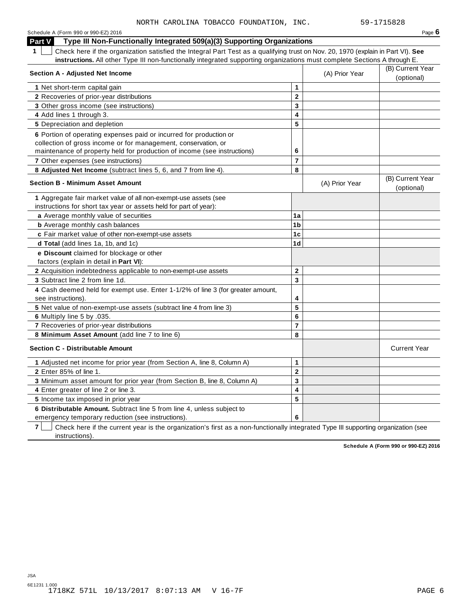| Schedule A (Form 990 or 990-EZ) 2016                                                                                                            |                         |                | Page $6$                       |
|-------------------------------------------------------------------------------------------------------------------------------------------------|-------------------------|----------------|--------------------------------|
| Type III Non-Functionally Integrated 509(a)(3) Supporting Organizations<br><b>Part V</b>                                                        |                         |                |                                |
| $\mathbf 1$<br>Check here if the organization satisfied the Integral Part Test as a qualifying trust on Nov. 20, 1970 (explain in Part VI). See |                         |                |                                |
| instructions. All other Type III non-functionally integrated supporting organizations must complete Sections A through E.                       |                         |                |                                |
|                                                                                                                                                 |                         |                | (B) Current Year               |
| <b>Section A - Adjusted Net Income</b>                                                                                                          |                         | (A) Prior Year | (optional)                     |
| 1 Net short-term capital gain                                                                                                                   | $\mathbf{1}$            |                |                                |
| 2 Recoveries of prior-year distributions                                                                                                        | $\mathbf 2$             |                |                                |
| 3 Other gross income (see instructions)                                                                                                         | 3                       |                |                                |
| 4 Add lines 1 through 3.                                                                                                                        | 4                       |                |                                |
| 5 Depreciation and depletion                                                                                                                    | 5                       |                |                                |
| 6 Portion of operating expenses paid or incurred for production or                                                                              |                         |                |                                |
| collection of gross income or for management, conservation, or                                                                                  |                         |                |                                |
| maintenance of property held for production of income (see instructions)                                                                        | 6                       |                |                                |
| 7 Other expenses (see instructions)                                                                                                             | $\overline{\mathbf{r}}$ |                |                                |
| 8 Adjusted Net Income (subtract lines 5, 6, and 7 from line 4).                                                                                 | 8                       |                |                                |
| <b>Section B - Minimum Asset Amount</b>                                                                                                         |                         | (A) Prior Year | (B) Current Year<br>(optional) |
| 1 Aggregate fair market value of all non-exempt-use assets (see                                                                                 |                         |                |                                |
| instructions for short tax year or assets held for part of year):                                                                               |                         |                |                                |
| a Average monthly value of securities                                                                                                           | 1a                      |                |                                |
| <b>b</b> Average monthly cash balances                                                                                                          | 1 <sub>b</sub>          |                |                                |
| c Fair market value of other non-exempt-use assets                                                                                              | 1 <sub>c</sub>          |                |                                |
| d Total (add lines 1a, 1b, and 1c)                                                                                                              | 1 <sub>d</sub>          |                |                                |
| e Discount claimed for blockage or other<br>factors (explain in detail in Part VI):                                                             |                         |                |                                |
| 2 Acquisition indebtedness applicable to non-exempt-use assets                                                                                  | $\mathbf{2}$            |                |                                |
| 3 Subtract line 2 from line 1d.                                                                                                                 | $\overline{3}$          |                |                                |
| 4 Cash deemed held for exempt use. Enter 1-1/2% of line 3 (for greater amount,<br>see instructions).                                            | 4                       |                |                                |
| 5 Net value of non-exempt-use assets (subtract line 4 from line 3)                                                                              | 5                       |                |                                |
| 6 Multiply line 5 by .035.                                                                                                                      | 6                       |                |                                |
| 7 Recoveries of prior-year distributions                                                                                                        | $\overline{7}$          |                |                                |
| 8 Minimum Asset Amount (add line 7 to line 6)                                                                                                   | 8                       |                |                                |
| <b>Section C - Distributable Amount</b>                                                                                                         |                         |                | <b>Current Year</b>            |
| 1 Adjusted net income for prior year (from Section A, line 8, Column A)                                                                         | $\mathbf{1}$            |                |                                |
| 2 Enter 85% of line 1.                                                                                                                          | $\mathbf 2$             |                |                                |
| 3 Minimum asset amount for prior year (from Section B, line 8, Column A)                                                                        | 3                       |                |                                |
| 4 Enter greater of line 2 or line 3.                                                                                                            | 4                       |                |                                |
| 5 Income tax imposed in prior year                                                                                                              | 5                       |                |                                |
| 6 Distributable Amount. Subtract line 5 from line 4, unless subject to                                                                          |                         |                |                                |
| emergency temporary reduction (see instructions).                                                                                               | 6                       |                |                                |

**7 Check here if the current year is the organization's first as a non-functionally integrated Type III supporting organization (see** instructions).

**Schedule A (Form 990 or 990-EZ) 2016**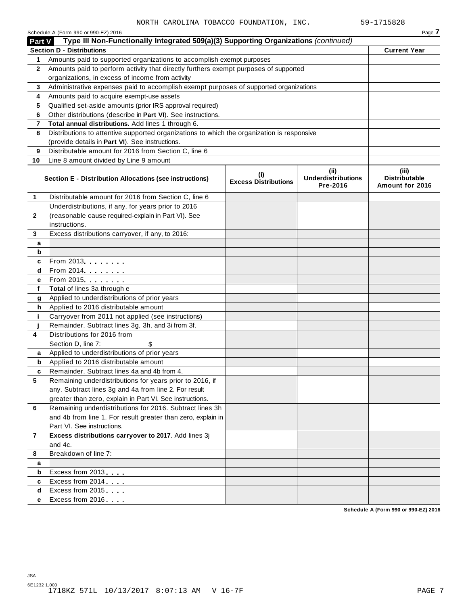|              | Schedule A (Form 990 or 990-EZ) 2016                                                       |                                    |                                               | Page 7                                           |
|--------------|--------------------------------------------------------------------------------------------|------------------------------------|-----------------------------------------------|--------------------------------------------------|
| Part V       | Type III Non-Functionally Integrated 509(a)(3) Supporting Organizations (continued)        |                                    |                                               |                                                  |
|              | <b>Section D - Distributions</b>                                                           |                                    |                                               | <b>Current Year</b>                              |
| 1.           | Amounts paid to supported organizations to accomplish exempt purposes                      |                                    |                                               |                                                  |
| $\mathbf{2}$ | Amounts paid to perform activity that directly furthers exempt purposes of supported       |                                    |                                               |                                                  |
|              | organizations, in excess of income from activity                                           |                                    |                                               |                                                  |
| 3            | Administrative expenses paid to accomplish exempt purposes of supported organizations      |                                    |                                               |                                                  |
| 4            | Amounts paid to acquire exempt-use assets                                                  |                                    |                                               |                                                  |
| 5            | Qualified set-aside amounts (prior IRS approval required)                                  |                                    |                                               |                                                  |
| 6            | Other distributions (describe in Part VI). See instructions.                               |                                    |                                               |                                                  |
| 7            | Total annual distributions. Add lines 1 through 6.                                         |                                    |                                               |                                                  |
| 8            | Distributions to attentive supported organizations to which the organization is responsive |                                    |                                               |                                                  |
|              | (provide details in Part VI). See instructions.                                            |                                    |                                               |                                                  |
| 9            | Distributable amount for 2016 from Section C, line 6                                       |                                    |                                               |                                                  |
| 10           | Line 8 amount divided by Line 9 amount                                                     |                                    |                                               |                                                  |
|              | Section E - Distribution Allocations (see instructions)                                    | (i)<br><b>Excess Distributions</b> | (ii)<br><b>Underdistributions</b><br>Pre-2016 | (iii)<br><b>Distributable</b><br>Amount for 2016 |
| 1            | Distributable amount for 2016 from Section C, line 6                                       |                                    |                                               |                                                  |
|              | Underdistributions, if any, for years prior to 2016                                        |                                    |                                               |                                                  |
| 2            | (reasonable cause required-explain in Part VI). See                                        |                                    |                                               |                                                  |
|              | instructions.                                                                              |                                    |                                               |                                                  |
| 3            | Excess distributions carryover, if any, to 2016:                                           |                                    |                                               |                                                  |
| а            |                                                                                            |                                    |                                               |                                                  |
| b            |                                                                                            |                                    |                                               |                                                  |
| c            | From 2013 <b></b>                                                                          |                                    |                                               |                                                  |
| d            | From 2014                                                                                  |                                    |                                               |                                                  |
| е            | From 2015.                                                                                 |                                    |                                               |                                                  |
| f            | Total of lines 3a through e                                                                |                                    |                                               |                                                  |
| g            | Applied to underdistributions of prior years                                               |                                    |                                               |                                                  |
| h            | Applied to 2016 distributable amount                                                       |                                    |                                               |                                                  |
| j.           | Carryover from 2011 not applied (see instructions)                                         |                                    |                                               |                                                  |
|              | Remainder. Subtract lines 3g, 3h, and 3i from 3f.                                          |                                    |                                               |                                                  |
| 4            | Distributions for 2016 from                                                                |                                    |                                               |                                                  |
|              | Section D, line 7:                                                                         |                                    |                                               |                                                  |
| а            | Applied to underdistributions of prior years                                               |                                    |                                               |                                                  |
| b            | Applied to 2016 distributable amount                                                       |                                    |                                               |                                                  |
|              | Remainder. Subtract lines 4a and 4b from 4.                                                |                                    |                                               |                                                  |
| 5            | Remaining underdistributions for years prior to 2016, if                                   |                                    |                                               |                                                  |
|              | any. Subtract lines 3g and 4a from line 2. For result                                      |                                    |                                               |                                                  |
|              | greater than zero, explain in Part VI. See instructions.                                   |                                    |                                               |                                                  |
| 6            | Remaining underdistributions for 2016. Subtract lines 3h                                   |                                    |                                               |                                                  |
|              | and 4b from line 1. For result greater than zero, explain in                               |                                    |                                               |                                                  |
|              | Part VI. See instructions.                                                                 |                                    |                                               |                                                  |
| $\mathbf{7}$ | Excess distributions carryover to 2017. Add lines 3j                                       |                                    |                                               |                                                  |
|              | and 4c.                                                                                    |                                    |                                               |                                                  |
| 8            | Breakdown of line 7:                                                                       |                                    |                                               |                                                  |
| а            |                                                                                            |                                    |                                               |                                                  |
| b            | Excess from 2013                                                                           |                                    |                                               |                                                  |
| c            | Excess from 2014                                                                           |                                    |                                               |                                                  |
| d            | Excess from 2015                                                                           |                                    |                                               |                                                  |
| е            | Excess from 2016                                                                           |                                    |                                               |                                                  |

**Schedule A (Form 990 or 990-EZ) 2016**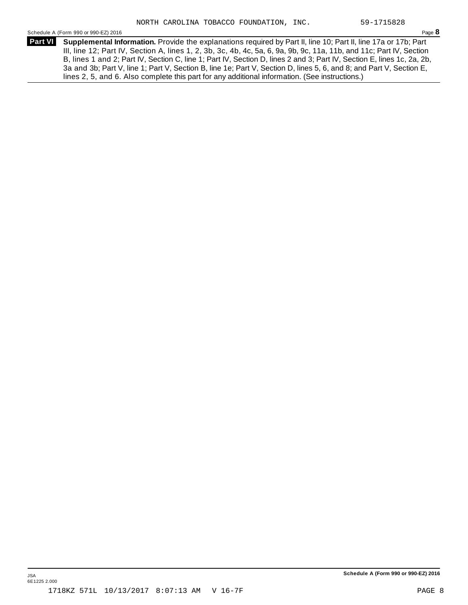Schedule <sup>A</sup> (Form <sup>990</sup> or 990-EZ) <sup>2016</sup> Page **8**

**Supplemental Information.** Provide the explanations required by Part II, line 10; Part II, line 17a or 17b; Part **Part VI** III, line 12; Part IV, Section A, lines 1, 2, 3b, 3c, 4b, 4c, 5a, 6, 9a, 9b, 9c, 11a, 11b, and 11c; Part IV, Section B, lines 1 and 2; Part IV, Section C, line 1; Part IV, Section D, lines 2 and 3; Part IV, Section E, lines 1c, 2a, 2b, 3a and 3b; Part V, line 1; Part V, Section B, line 1e; Part V, Section D, lines 5, 6, and 8; and Part V, Section E, lines 2, 5, and 6. Also complete this part for any additional information. (See instructions.)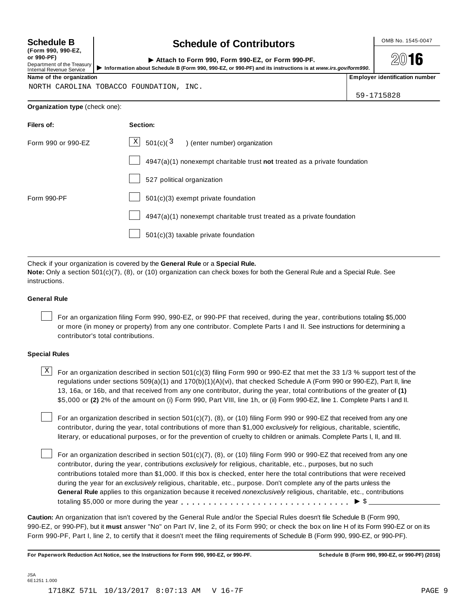**(Form 990, 990-EZ, or 990-PF)** Department of the Treasury<br>Internal Revenue Service

### **Schedule B chedule of Contributors**

**2016** 

| or 990-PF)<br>Department of the Treasury<br>Internal Revenue Service | Attach to Form 990. Form 990-EZ, or Form 990-PF.<br>Information about Schedule B (Form 990, 990-EZ, or 990-PF) and its instructions is at www.irs.gov/form990. |  | 2016                                  |
|----------------------------------------------------------------------|----------------------------------------------------------------------------------------------------------------------------------------------------------------|--|---------------------------------------|
| Name of the organization                                             |                                                                                                                                                                |  | <b>Employer identification number</b> |

NORTH CAROLINA TOBACCO FOUNDATION, INC.

#### **Organization type** (check one):

| Filers of:         | Section:                                                                  |
|--------------------|---------------------------------------------------------------------------|
| Form 990 or 990-EZ | $X$ 501(c)( $3$<br>) (enter number) organization                          |
|                    | 4947(a)(1) nonexempt charitable trust not treated as a private foundation |
|                    | 527 political organization                                                |
| Form 990-PF        | 501(c)(3) exempt private foundation                                       |
|                    | 4947(a)(1) nonexempt charitable trust treated as a private foundation     |
|                    | 501(c)(3) taxable private foundation                                      |
|                    |                                                                           |

Check if your organization is covered by the **General Rule** or a **Special Rule.**

**Note:** Only a section 501(c)(7), (8), or (10) organization can check boxes for both the General Rule and a Special Rule. See instructions.

#### **General Rule**

For an organization filing Form 990, 990-EZ, or 990-PF that received, during the year, contributions totaling \$5,000 or more (in money or property) from any one contributor. Complete Parts I and II. See instructions for determining a contributor's total contributions.

#### **Special Rules**

JSA

 $\text{X}$  For an organization described in section 501(c)(3) filing Form 990 or 990-EZ that met the 33 1/3 % support test of the regulations under sections 509(a)(1) and 170(b)(1)(A)(vi), that checked Schedule A (Form 990 or 990-EZ), Part II, line 13, 16a, or 16b, and that received from any one contributor, during the year, total contributions of the greater of **(1)** \$5,000 or **(2)** 2% of the amount on (i) Form 990, Part VIII, line 1h, or (ii) Form 990-EZ, line 1. Complete Parts I and II.

For an organization described in section 501(c)(7), (8), or (10) filing Form 990 or 990-EZ that received from any one contributor, during the year, total contributions of more than \$1,000 *exclusively* for religious, charitable, scientific, literary, or educational purposes, or for the prevention of cruelty to children or animals. Complete Parts I, II, and III.

For an organization described in section 501(c)(7), (8), or (10) filing Form 990 or 990-EZ that received from any one contributor, during the year, contributions *exclusively* for religious, charitable, etc., purposes, but no such contributions totaled more than \$1,000. If this box is checked, enter here the total contributions that were received during the year for an *exclusively* religious, charitable, etc., purpose. Don't complete any of the parts unless the **General Rule** applies to this organization because it received *nonexclusively* religious, charitable, etc., contributions totaling \$5,000 or more during the year m m m m m m m m m m m m m m m m m m m m m m m m m m m m m m m I \$

**Caution:** An organization that isn't covered by the General Rule and/or the Special Rules doesn't file Schedule B (Form 990, 990-EZ, or 990-PF), but it **must** answer "No" on Part IV, line 2, of its Form 990; or check the box on line H of its Form 990-EZ or on its Form 990-PF, Part I, line 2, to certify that it doesn't meet the filing requirements of Schedule B (Form 990, 990-EZ, or 990-PF).

For Paperwork Reduction Act Notice, see the Instructions for Form 990, 990-EZ, or 990-PF. Schedule B (Form 990, 990-EZ, or 990-PF) (2016)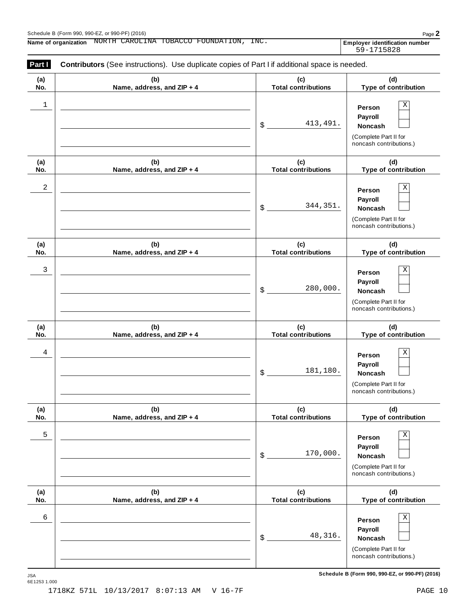Schedule B (Form 990, 990-EZ, or 990-PF) (2016)<br>
Name of organization NORTH CAROLINA TOBACCO FOUNDATION, INC. **Page 2**<br>
Page 2 **Name of organization NORTH CAROLINA TOBACCO FOUNDATION, INC. Employer identification number** 

59-1715828

| (a) | (b)                        | (c)                        | (d)                                                                                          |
|-----|----------------------------|----------------------------|----------------------------------------------------------------------------------------------|
| No. | Name, address, and ZIP + 4 | <b>Total contributions</b> | Type of contribution                                                                         |
| 1   |                            | 413, 491.<br>\$            | Χ<br>Person<br>Payroll<br>Noncash<br>(Complete Part II for<br>noncash contributions.)        |
| (a) | (b)                        | (c)                        | (d)                                                                                          |
| No. | Name, address, and ZIP + 4 | <b>Total contributions</b> | Type of contribution                                                                         |
| 2   |                            | 344, 351.<br>\$            | Χ<br>Person<br>Payroll<br>Noncash<br>(Complete Part II for<br>noncash contributions.)        |
| (a) | (b)                        | (c)                        | (d)                                                                                          |
| No. | Name, address, and ZIP + 4 | <b>Total contributions</b> | Type of contribution                                                                         |
| 3   |                            | 280,000.<br>\$             | Χ<br>Person<br>Payroll<br>Noncash<br>(Complete Part II for<br>noncash contributions.)        |
| (a) | (b)                        | (c)                        | (d)                                                                                          |
| No. | Name, address, and ZIP + 4 | <b>Total contributions</b> | Type of contribution                                                                         |
| 4   |                            | 181,180.<br>\$             | Χ<br>Person<br>Payroll<br>Noncash<br>(Complete Part II for<br>noncash contributions.)        |
| (a) | (b)                        | (c)                        | (d)                                                                                          |
| No. | Name, address, and ZIP + 4 | <b>Total contributions</b> | Type of contribution                                                                         |
| 5   |                            | 170,000.<br>\$             | Χ<br>Person<br>Payroll<br><b>Noncash</b><br>(Complete Part II for<br>noncash contributions.) |
| (a) | (b)                        | (c)                        | (d)                                                                                          |
| No. | Name, address, and ZIP + 4 | <b>Total contributions</b> | Type of contribution                                                                         |
| 6   |                            | 48,316.<br>\$              | Χ<br>Person<br>Payroll<br>Noncash<br>(Complete Part II for<br>noncash contributions.)        |

 $S$ chedule B (Form 990, 990-EZ, or 990-PF) (2016)

JSA<br>6E1253 1.000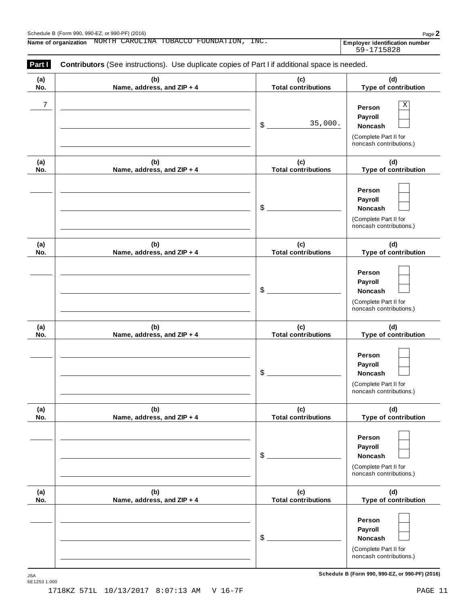Schedule B (Form 990, 990-EZ, or 990-PF) (2016)<br>
Name of organization NORTH CAROLINA TOBACCO FOUNDATION, INC. **Page 2**<br>
Page 2 **Name of organization NORTH CAROLINA TOBACCO FOUNDATION, INC. Employer identification number** 

59-1715828

| Part I     | <b>Contributors</b> (See instructions). Use duplicate copies of Part I if additional space is needed. |                                   |                                                                                              |
|------------|-------------------------------------------------------------------------------------------------------|-----------------------------------|----------------------------------------------------------------------------------------------|
| (a)<br>No. | (b)<br>Name, address, and ZIP + 4                                                                     | (c)<br><b>Total contributions</b> | (d)<br>Type of contribution                                                                  |
| 7          |                                                                                                       | 35,000.<br>\$                     | Χ<br>Person<br>Payroll<br><b>Noncash</b><br>(Complete Part II for<br>noncash contributions.) |
| (a)<br>No. | (b)<br>Name, address, and ZIP + 4                                                                     | (c)<br><b>Total contributions</b> | (d)<br>Type of contribution                                                                  |
|            |                                                                                                       | \$                                | Person<br>Payroll<br><b>Noncash</b><br>(Complete Part II for<br>noncash contributions.)      |
| (a)<br>No. | (b)<br>Name, address, and ZIP + 4                                                                     | (c)<br><b>Total contributions</b> | (d)<br>Type of contribution                                                                  |
|            |                                                                                                       | \$                                | Person<br>Payroll<br><b>Noncash</b><br>(Complete Part II for<br>noncash contributions.)      |
| (a)<br>No. | (b)<br>Name, address, and ZIP + 4                                                                     | (c)<br><b>Total contributions</b> | (d)<br>Type of contribution                                                                  |
|            |                                                                                                       | \$                                | Person<br>Payroll<br><b>Noncash</b><br>(Complete Part II for<br>noncash contributions.)      |
| (a)<br>No. | (b)<br>Name, address, and ZIP + 4                                                                     | (c)<br><b>Total contributions</b> | (d)<br>Type of contribution                                                                  |
|            |                                                                                                       | \$                                | Person<br>Payroll<br><b>Noncash</b><br>(Complete Part II for<br>noncash contributions.)      |
| (a)<br>No. | (b)<br>Name, address, and ZIP + 4                                                                     | (c)<br><b>Total contributions</b> | (d)<br>Type of contribution                                                                  |
|            |                                                                                                       | \$                                | Person<br>Payroll<br><b>Noncash</b><br>(Complete Part II for<br>noncash contributions.)      |

 $S$ chedule B (Form 990, 990-EZ, or 990-PF) (2016)

JSA<br>6E1253 1.000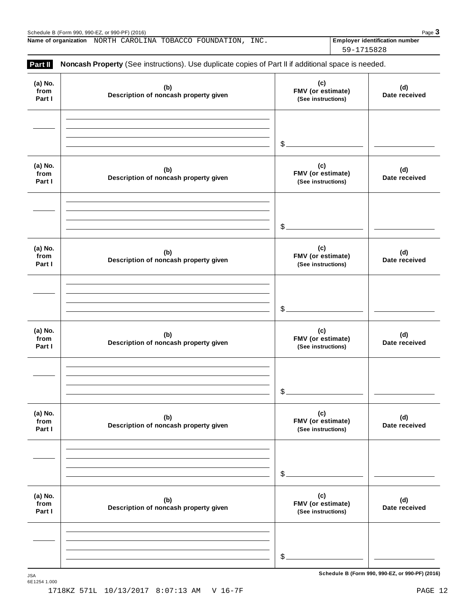| Schedule | $\sim$<br>'Form<br>-220 | . or 990-<br>990-E | ).DF<br>(2016) |  |  |  |   |  | Page, |  |
|----------|-------------------------|--------------------|----------------|--|--|--|---|--|-------|--|
| $ -$     |                         |                    |                |  |  |  | . |  |       |  |

**Name of organization Employer identification number** NORTH CAROLINA TOBACCO FOUNDATION, INC.

59-1715828

| (a) No.<br>from<br>Part I | (b)<br>Description of noncash property given | (c)<br>FMV (or estimate)<br>(See instructions) | (d)<br>Date received |
|---------------------------|----------------------------------------------|------------------------------------------------|----------------------|
|                           |                                              | $\frac{2}{2}$                                  |                      |
| (a) No.<br>from<br>Part I | (b)<br>Description of noncash property given | (c)<br>FMV (or estimate)<br>(See instructions) | (d)<br>Date received |
|                           |                                              | $\frac{2}{2}$                                  |                      |
| (a) No.<br>from<br>Part I | (b)<br>Description of noncash property given | (c)<br>FMV (or estimate)<br>(See instructions) | (d)<br>Date received |
|                           |                                              | $\frac{2}{2}$                                  |                      |
| (a) No.<br>from<br>Part I | (b)<br>Description of noncash property given | (c)<br>FMV (or estimate)<br>(See instructions) | (d)<br>Date received |
|                           |                                              | \$                                             |                      |
| (a) No.<br>from<br>Part I | (b)<br>Description of noncash property given | (c)<br>FMV (or estimate)<br>(See instructions) | (d)<br>Date received |
|                           |                                              | \$                                             |                      |
| (a) No.<br>from<br>Part I | (b)<br>Description of noncash property given | (c)<br>FMV (or estimate)<br>(See instructions) | (d)<br>Date received |
|                           |                                              |                                                |                      |

 $S$ chedule B (Form 990, 990-EZ, or 990-PF) (2016)

6E1254 1.000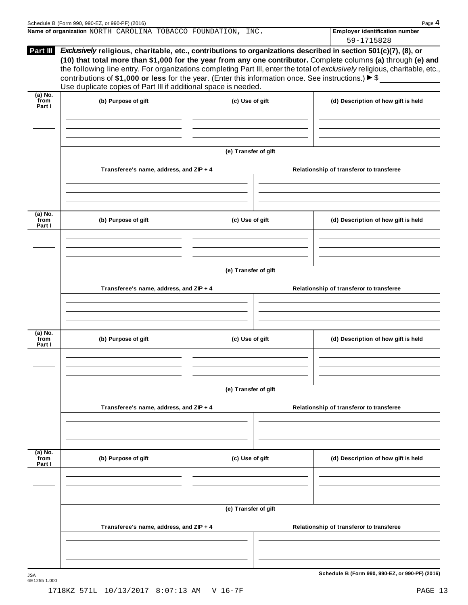| Schedule B (Form 990, 990-EZ, or 990-PF) (2016)         |  |      | Page                                  |  |
|---------------------------------------------------------|--|------|---------------------------------------|--|
| Name of organization NORTH CAROLINA TOBACCO FOUNDATION, |  | INC. | <b>Employer identification number</b> |  |
|                                                         |  |      | – 1715828                             |  |

| Part III                    | contributions of \$1,000 or less for the year. (Enter this information once. See instructions.) $\blacktriangleright$ \$<br>Use duplicate copies of Part III if additional space is needed. |                      | 22-1712838<br>Exclusively religious, charitable, etc., contributions to organizations described in section 501(c)(7), (8), or<br>(10) that total more than \$1,000 for the year from any one contributor. Complete columns (a) through (e) and<br>the following line entry. For organizations completing Part III, enter the total of exclusively religious, charitable, etc., |  |  |  |
|-----------------------------|---------------------------------------------------------------------------------------------------------------------------------------------------------------------------------------------|----------------------|--------------------------------------------------------------------------------------------------------------------------------------------------------------------------------------------------------------------------------------------------------------------------------------------------------------------------------------------------------------------------------|--|--|--|
| $(a)$ No.<br>from<br>Part I | (b) Purpose of gift                                                                                                                                                                         | (c) Use of gift      | (d) Description of how gift is held                                                                                                                                                                                                                                                                                                                                            |  |  |  |
|                             |                                                                                                                                                                                             |                      |                                                                                                                                                                                                                                                                                                                                                                                |  |  |  |
|                             | Transferee's name, address, and ZIP + 4                                                                                                                                                     | (e) Transfer of gift | Relationship of transferor to transferee                                                                                                                                                                                                                                                                                                                                       |  |  |  |
|                             |                                                                                                                                                                                             |                      |                                                                                                                                                                                                                                                                                                                                                                                |  |  |  |
| $(a)$ No.<br>from<br>Part I | (b) Purpose of gift                                                                                                                                                                         | (c) Use of gift      | (d) Description of how gift is held                                                                                                                                                                                                                                                                                                                                            |  |  |  |
|                             |                                                                                                                                                                                             |                      |                                                                                                                                                                                                                                                                                                                                                                                |  |  |  |
|                             | Transferee's name, address, and ZIP + 4                                                                                                                                                     | (e) Transfer of gift | Relationship of transferor to transferee                                                                                                                                                                                                                                                                                                                                       |  |  |  |
|                             |                                                                                                                                                                                             |                      |                                                                                                                                                                                                                                                                                                                                                                                |  |  |  |
| $(a)$ No.<br>from<br>Part I | (b) Purpose of gift                                                                                                                                                                         | (c) Use of gift      | (d) Description of how gift is held                                                                                                                                                                                                                                                                                                                                            |  |  |  |
|                             |                                                                                                                                                                                             |                      |                                                                                                                                                                                                                                                                                                                                                                                |  |  |  |
|                             | Transferee's name, address, and ZIP + 4                                                                                                                                                     | (e) Transfer of gift | Relationship of transferor to transferee                                                                                                                                                                                                                                                                                                                                       |  |  |  |
|                             |                                                                                                                                                                                             |                      |                                                                                                                                                                                                                                                                                                                                                                                |  |  |  |
| $(a)$ No.<br>from<br>Part I | (b) Purpose of gift                                                                                                                                                                         | (c) Use of gift      | (d) Description of how gift is held                                                                                                                                                                                                                                                                                                                                            |  |  |  |
|                             |                                                                                                                                                                                             |                      |                                                                                                                                                                                                                                                                                                                                                                                |  |  |  |
|                             |                                                                                                                                                                                             | (e) Transfer of gift |                                                                                                                                                                                                                                                                                                                                                                                |  |  |  |
|                             | Transferee's name, address, and ZIP + 4                                                                                                                                                     |                      | Relationship of transferor to transferee                                                                                                                                                                                                                                                                                                                                       |  |  |  |
|                             |                                                                                                                                                                                             |                      |                                                                                                                                                                                                                                                                                                                                                                                |  |  |  |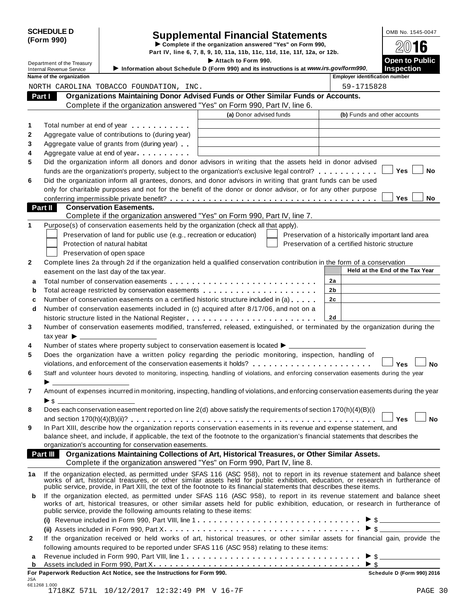| <b>SCHEDULE D</b> |  |
|-------------------|--|
| (Form 990)        |  |

# Supplemental Financial Statements<br>  $\triangleright$  Complete if the organization answered "Yes" on Form 990,<br>
Part IV, line 6, 7, 8, 9, 10, 11a, 11b, 11c, 11d, 11e, 11f, 12a, or 12b.

Department of the Treasury<br>Department of the Treasury Information about School is a section of the Information about School in Commence of the School and the instructions is at unusuing courier model in the Instruction of Internal Revenue Service I**Information about Schedule <sup>D</sup> (Form 990) and its instructions is at** *www.irs.gov/form990***. Inspection Name of the organization in the set of the organization in the set of the set of the organization in the set of the organization in the set of the organization in the set of the organization in the set of the Organizations Maintaining Donor Advised Funds or Other Similar Funds or Accounts. Part I** Crganizations Maintaining Donor Advised Funds or Other Similar Funds<br>Complete if the organization answered "Yes" on Form 990, Part IV, line 6. **(a)** Donor advised funds **(b)** Funds and other accounts **1 2 3 4 5 6** Total number at end of year  $\dots\dots\dots\dots$ Aggregate value of contributions to (during year) Aggregate value of contributions to (during year)<br>Aggregate value of grants from (during year) Aggregate value of grants from (during year)<br>Aggregate value at end of year Did the organization inform all donors and donor advisors in writing that the assets held in donor advised funds are the organization's property, subject to the organization's exclusive legal control? **manual manual m m**  $\blacksquare$  Yes  $\blacksquare$  No Did the organization inform all grantees, donors, and donor advisors in writing that grant funds can be used only for charitable purposes and not for the benefit of the donor or donor advisor, or for any other purpose **conferring impermissible private benefit?** metals are metals and more matured more metals of  $\blacksquare$  The  $\blacksquare$  Noor **Conservation Easements. Part II Conservation Easements.**<br>Complete if the organization answered "Yes" on Form 990, Part IV, line 7. **1** Purpose(s) of conservation easements held by the organization (check all that apply). Preservation of land for public use (e.g., recreation or education) Protection of natural habitat Preservation of open space Preservation of a historically important land area Preservation of a certified historic structure **2** Complete lines 2a through 2d if the organization held a qualified conservation contribution in the form of a conservation easement on the last day of the tax year. **Held at the End** of the Tax Year **2a 2b 2c 2d a** Total number of conservation easements m m m m m m m m m m m m m m m m m m m m m m m m m m m **a** Total number of conservation easements ............................<br>**b** Total acreage restricted by conservation easements ..................... **b** Total acreage restricted by conservation easements<br>**c** Number of conservation easements on a certified historic structure included in (a) . . . . . . **d** Number of conservation easements included in (c) acquired after 8/17/06, and not on a  $\mid$ historic structure listed in the National Register m m m m m m m m m m m m m m m m m m m m m m m m **3 4 5 6 7 8 9** Number of conservation easements modified, transferred, released, extinguished, or terminated by the organization during the tax vear  $\blacktriangleright$ Number of states where property subject to conservation easement is located  $\blacktriangleright$ . Does the organization have a written policy regarding the periodic monitoring, inspection, handling of violations, and enforcement of the conservation easements it holds? musical manager mann m m m m **y** es  $\Box$  No Staff and volunteer hours devoted to monitoring, inspecting, handling of violations, and enforcing conservation easements during the year <br>
> Amount of expenses incurred in monitoring, inspecting, handling of violations, and enforcing conservation easements during the year  $\blacktriangleright$  \$ Does each conservation easement reported on line 2(d) above satisfy the requirements of section 170(h)(4)(B)(i) and section 170(h)(4)(B)(ii)? m m m m m m m m m m m m m m m m m m m m m m m m m m m m m m m m m m m m m m m m m m m m m **Yes No** In Part XIII, describe how the organization reports conservation easements in its revenue and expense statement, and balance sheet, and include, if applicable, the text of the footnote to the organization's financial statements that describes the organization's accounting for conservation easements. **Organizations Maintaining Collections of Art, Historical Treasures, or Other Similar Assets. Part III Organizations Maintaining Collections of Art, Historical Treasures, or Organization answered "Yes" on Form 990, Part IV, line 8.** 1a If the organization elected, as permitted under SFAS 116 (ASC 958), not to report in its revenue statement and balance sheet<br>works of art, historical treasures, or other similar assets held for public exhibition, educat public service, provide, in Part XIII, the text of the footnote to its financial statements that describes these items. **b** If the organization elected, as permitted under SFAS 116 (ASC 958), to report in its revenue statement and balance sheet works of art, historical treasures, or other similar assets held for public exhibition, education, or research in furtherance of public service, provide the following amounts relating to these items: **(i)** I Revenue included in Form 990, Part VIII, line 1 m m m m m m m m m m m m m m m m m m m m m m m m m m m m m m \$ **(ii)** Assets included in Form 990, Part X m m m m m m m m m m m m m m m m m m m m m m m m m m m m m m m m m m m m I \$ **2** If the organization received or held works of art, historical treasures, or other similar assets for financial gain, provide the following amounts required to be reported under SFAS 116 (ASC 958) relating to these items: following amounts required to be reported under SFAS 116 (ASC 958) relating to these items:<br>**a** Revenue included in Form 990, Part VIII, line 1 **a** a more contained in Form and Deck Y **a** Revenue included in Form 990, Part VIII, line 1  $\ldots$   $\ldots$   $\ldots$   $\ldots$   $\ldots$   $\ldots$   $\ldots$   $\ldots$   $\ldots$   $\ldots$   $\ldots$   $\ldots$   $\ldots$   $\ldots$   $\ldots$   $\ldots$   $\ldots$   $\ldots$   $\ldots$   $\ldots$   $\ldots$   $\ldots$   $\ldots$   $\ldots$   $\ldots$   $\ldots$   $\ldots$   $\ldots$  **For Paperwork Reduction Act Notice, see the Instructions for Form 990. Schedule D (Form 990) 2016** NORTH CAROLINA TOBACCO FOUNDATION, INC. | 59-1715828

|              | For Paperwork Reduction Act Notice, see the Instructions for Form 990. | Schedule D (Form 990) 2016 |
|--------------|------------------------------------------------------------------------|----------------------------|
|              |                                                                        |                            |
| 6E1268 1.000 |                                                                        |                            |
|              | 1718KZ 571L 10/12/2017 12:32:49 PM V 16-7F                             | PAGE 30                    |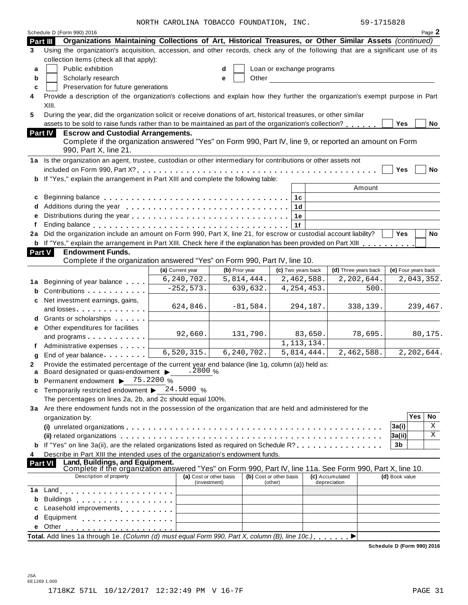NORTH CAROLINA TOBACCO FOUNDATION, INC. 59-171

| 59-1715828 |  |
|------------|--|
|------------|--|

|                     | Schedule D (Form 990) 2016                                                                                                                                                                                                     | NURIA CARULINA IUBACCU FUUNDAIIUN, INC.                |                         |                           | JJ – 1 7 1 J 0 4 0   |                | Page 2                     |
|---------------------|--------------------------------------------------------------------------------------------------------------------------------------------------------------------------------------------------------------------------------|--------------------------------------------------------|-------------------------|---------------------------|----------------------|----------------|----------------------------|
| Part III            | Organizations Maintaining Collections of Art, Historical Treasures, or Other Similar Assets (continued)                                                                                                                        |                                                        |                         |                           |                      |                |                            |
| 3                   | Using the organization's acquisition, accession, and other records, check any of the following that are a significant use of its                                                                                               |                                                        |                         |                           |                      |                |                            |
|                     | collection items (check all that apply):                                                                                                                                                                                       |                                                        |                         |                           |                      |                |                            |
| a                   | Public exhibition                                                                                                                                                                                                              |                                                        | d                       | Loan or exchange programs |                      |                |                            |
| b                   | Scholarly research                                                                                                                                                                                                             |                                                        | Other<br>е              |                           |                      |                |                            |
| c                   | Preservation for future generations                                                                                                                                                                                            |                                                        |                         |                           |                      |                |                            |
| 4                   | Provide a description of the organization's collections and explain how they further the organization's exempt purpose in Part                                                                                                 |                                                        |                         |                           |                      |                |                            |
|                     | XIII.                                                                                                                                                                                                                          |                                                        |                         |                           |                      |                |                            |
| 5                   | During the year, did the organization solicit or receive donations of art, historical treasures, or other similar                                                                                                              |                                                        |                         |                           |                      |                |                            |
|                     | assets to be sold to raise funds rather than to be maintained as part of the organization's collection?                                                                                                                        |                                                        |                         |                           |                      | Yes            | No                         |
| <b>Part IV</b>      | <b>Escrow and Custodial Arrangements.</b>                                                                                                                                                                                      |                                                        |                         |                           |                      |                |                            |
|                     | Complete if the organization answered "Yes" on Form 990, Part IV, line 9, or reported an amount on Form                                                                                                                        |                                                        |                         |                           |                      |                |                            |
|                     | 990, Part X, line 21.                                                                                                                                                                                                          |                                                        |                         |                           |                      |                |                            |
|                     | 1a Is the organization an agent, trustee, custodian or other intermediary for contributions or other assets not                                                                                                                |                                                        |                         |                           |                      |                |                            |
|                     |                                                                                                                                                                                                                                |                                                        |                         |                           |                      | Yes            | No                         |
|                     | b If "Yes," explain the arrangement in Part XIII and complete the following table:                                                                                                                                             |                                                        |                         |                           |                      |                |                            |
|                     |                                                                                                                                                                                                                                |                                                        |                         |                           | Amount               |                |                            |
| c                   |                                                                                                                                                                                                                                |                                                        |                         | 1 <sub>c</sub>            |                      |                |                            |
| d                   |                                                                                                                                                                                                                                |                                                        |                         | 1 <sub>d</sub>            |                      |                |                            |
| е                   |                                                                                                                                                                                                                                |                                                        |                         | 1e                        |                      |                |                            |
| f                   |                                                                                                                                                                                                                                |                                                        |                         | 1f                        |                      |                |                            |
|                     | 2a Did the organization include an amount on Form 990, Part X, line 21, for escrow or custodial account liability?                                                                                                             |                                                        |                         |                           |                      | Yes            | No                         |
|                     | <b>b</b> If "Yes," explain the arrangement in Part XIII. Check here if the explanation has been provided on Part XIII                                                                                                          |                                                        |                         |                           |                      |                |                            |
| <b>Part V</b>       | <b>Endowment Funds.</b>                                                                                                                                                                                                        |                                                        |                         |                           |                      |                |                            |
|                     | Complete if the organization answered "Yes" on Form 990, Part IV, line 10.                                                                                                                                                     |                                                        |                         |                           |                      |                |                            |
|                     |                                                                                                                                                                                                                                | (a) Current year                                       | (b) Prior year          | (c) Two years back        | (d) Three years back |                | (e) Four years back        |
|                     | <b>1a</b> Beginning of year balance                                                                                                                                                                                            | 6, 240, 702.                                           | $\overline{5,814},444.$ | 2,462,588.                | 2,202,644.           |                | 2,043,352.                 |
| b                   | Contributions                                                                                                                                                                                                                  | $-252,573.$                                            | 639,632.                | 4, 254, 453.              | 500.                 |                |                            |
| c                   | Net investment earnings, gains,                                                                                                                                                                                                |                                                        |                         |                           |                      |                |                            |
|                     | and losses. The contract of the contract of the contract of the contract of the contract of the contract of the contract of the contract of the contract of the contract of the contract of the contract of the contract of th | 624,846.                                               | $-81,584.$              | 294,187.                  | 338,139.             |                | 239,467.                   |
|                     | <b>d</b> Grants or scholarships <b>contains</b>                                                                                                                                                                                |                                                        |                         |                           |                      |                |                            |
|                     | e Other expenditures for facilities                                                                                                                                                                                            |                                                        |                         |                           |                      |                |                            |
|                     | and programs                                                                                                                                                                                                                   | 92,660.                                                | 131,790.                | 83,650.                   | 78,695.              |                | 80,175.                    |
|                     | Administrative expenses                                                                                                                                                                                                        |                                                        |                         | 1, 113, 134.              |                      |                |                            |
| g                   | End of year balance                                                                                                                                                                                                            | 6, 520, 315.                                           | 6, 240, 702.            | 5,814,444.                | 2,462,588.           |                | 2,202,644.                 |
|                     | Provide the estimated percentage of the current year end balance (line 1g, column (a)) held as:<br>Board designated or quasi-endowment $\triangleright$ . 2800 %                                                               |                                                        |                         |                           |                      |                |                            |
| a                   | Board designated or quasi-endowment >                                                                                                                                                                                          |                                                        |                         |                           |                      |                |                            |
|                     | Permanent endowment ▶ 75.2200 %                                                                                                                                                                                                |                                                        |                         |                           |                      |                |                            |
| c                   | Temporarily restricted endowment $\blacktriangleright$ 24.5000 %                                                                                                                                                               |                                                        |                         |                           |                      |                |                            |
|                     | The percentages on lines 2a, 2b, and 2c should equal 100%.                                                                                                                                                                     |                                                        |                         |                           |                      |                |                            |
|                     | 3a Are there endowment funds not in the possession of the organization that are held and administered for the                                                                                                                  |                                                        |                         |                           |                      |                | Yes<br>No                  |
|                     | organization by:                                                                                                                                                                                                               |                                                        |                         |                           |                      | 3a(i)          | X                          |
|                     |                                                                                                                                                                                                                                |                                                        |                         |                           |                      | 3a(i)          | X                          |
|                     | If "Yes" on line 3a(ii), are the related organizations listed as required on Schedule R?,                                                                                                                                      |                                                        |                         |                           |                      | 3b             |                            |
| b                   |                                                                                                                                                                                                                                |                                                        |                         |                           |                      |                |                            |
| 4<br><b>Part VI</b> | Describe in Part XIII the intended uses of the organization's endowment funds.<br>Land, Buildings, and Equipment.                                                                                                              |                                                        |                         |                           |                      |                |                            |
|                     | Complete if the organization answered "Yes" on Form 990, Part IV, line 11a. See Form 990, Part X, line 10.                                                                                                                     |                                                        |                         |                           |                      |                |                            |
|                     | Description of property                                                                                                                                                                                                        | (a) Cost or other basis                                |                         | (b) Cost or other basis   | (c) Accumulated      | (d) Book value |                            |
| 1a                  |                                                                                                                                                                                                                                | (investment)                                           |                         | (other)                   | depreciation         |                |                            |
| b                   | <b>Buildings</b>                                                                                                                                                                                                               |                                                        |                         |                           |                      |                |                            |
|                     | .<br>Leasehold improvements [1, 1, 1, 1, 1, 1]                                                                                                                                                                                 |                                                        |                         |                           |                      |                |                            |
| d                   | Equipment                                                                                                                                                                                                                      | <u> 1989 - Andrea Station, Amerikaansk politiker (</u> |                         |                           |                      |                |                            |
| е                   | Other                                                                                                                                                                                                                          |                                                        |                         |                           |                      |                |                            |
|                     | Total. Add lines 1a through 1e. (Column (d) must equal Form 990, Part X, column (B), line 10c.).                                                                                                                               |                                                        |                         |                           |                      |                |                            |
|                     |                                                                                                                                                                                                                                |                                                        |                         |                           |                      |                | Schedule D (Form 990) 2016 |
|                     |                                                                                                                                                                                                                                |                                                        |                         |                           |                      |                |                            |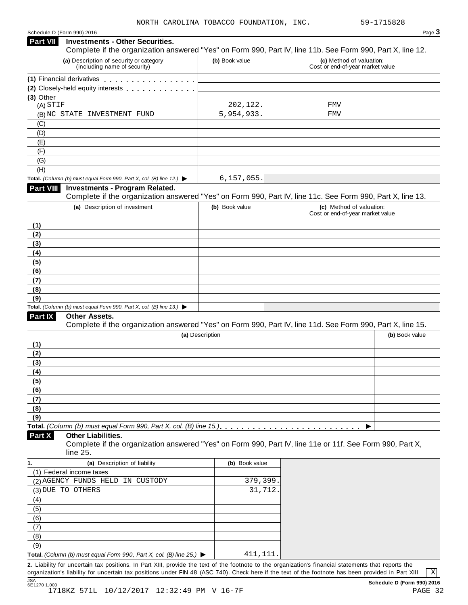| Schedule D (Form 990) 2016                                                               |                 | Page 3                                                                                                                                               |
|------------------------------------------------------------------------------------------|-----------------|------------------------------------------------------------------------------------------------------------------------------------------------------|
| <b>Part VII</b><br><b>Investments - Other Securities.</b>                                |                 | Complete if the organization answered "Yes" on Form 990, Part IV, line 11b. See Form 990, Part X, line 12.                                           |
| (a) Description of security or category<br>(including name of security)                  | (b) Book value  | (c) Method of valuation:<br>Cost or end-of-year market value                                                                                         |
| (1) Financial derivatives                                                                |                 |                                                                                                                                                      |
| (2) Closely-held equity interests                                                        |                 |                                                                                                                                                      |
| $(3)$ Other                                                                              |                 |                                                                                                                                                      |
| $(A)$ STIF                                                                               | 202,122         | FMV                                                                                                                                                  |
| (B) NC STATE INVESTMENT FUND                                                             | 5,954,933.      | <b>FMV</b>                                                                                                                                           |
| (C)                                                                                      |                 |                                                                                                                                                      |
| (D)                                                                                      |                 |                                                                                                                                                      |
| (E)                                                                                      |                 |                                                                                                                                                      |
| (F)                                                                                      |                 |                                                                                                                                                      |
| (G)                                                                                      |                 |                                                                                                                                                      |
| (H)                                                                                      |                 |                                                                                                                                                      |
| Total. (Column (b) must equal Form 990, Part X, col. (B) line 12.) $\blacktriangleright$ | 6,157,055       |                                                                                                                                                      |
| <b>Part VIII</b><br><b>Investments - Program Related.</b>                                |                 | Complete if the organization answered "Yes" on Form 990, Part IV, line 11c. See Form 990, Part X, line 13.                                           |
| (a) Description of investment                                                            | (b) Book value  | (c) Method of valuation:<br>Cost or end-of-year market value                                                                                         |
| (1)                                                                                      |                 |                                                                                                                                                      |
| (2)                                                                                      |                 |                                                                                                                                                      |
| (3)                                                                                      |                 |                                                                                                                                                      |
| (4)                                                                                      |                 |                                                                                                                                                      |
| (5)                                                                                      |                 |                                                                                                                                                      |
| (6)                                                                                      |                 |                                                                                                                                                      |
| (7)                                                                                      |                 |                                                                                                                                                      |
| (8)                                                                                      |                 |                                                                                                                                                      |
| (9)                                                                                      |                 |                                                                                                                                                      |
| Total. (Column (b) must equal Form 990, Part X, col. (B) line 13.) $\blacktriangleright$ |                 |                                                                                                                                                      |
| <b>Part IX</b><br>Other Assets.                                                          |                 |                                                                                                                                                      |
|                                                                                          |                 | Complete if the organization answered "Yes" on Form 990, Part IV, line 11d. See Form 990, Part X, line 15.                                           |
|                                                                                          | (a) Description | (b) Book value                                                                                                                                       |
| (1)                                                                                      |                 |                                                                                                                                                      |
| (2)                                                                                      |                 |                                                                                                                                                      |
| (3)                                                                                      |                 |                                                                                                                                                      |
| (4)                                                                                      |                 |                                                                                                                                                      |
| (5)                                                                                      |                 |                                                                                                                                                      |
| (6)                                                                                      |                 |                                                                                                                                                      |
| (7)                                                                                      |                 |                                                                                                                                                      |
| (8)                                                                                      |                 |                                                                                                                                                      |
| (9)                                                                                      |                 |                                                                                                                                                      |
|                                                                                          |                 |                                                                                                                                                      |
| Part X<br><b>Other Liabilities.</b><br>line 25.                                          |                 | Complete if the organization answered "Yes" on Form 990, Part IV, line 11e or 11f. See Form 990, Part X,                                             |
| (a) Description of liability<br>1.                                                       | (b) Book value  |                                                                                                                                                      |
| (1) Federal income taxes                                                                 |                 |                                                                                                                                                      |
| (2) AGENCY FUNDS HELD IN CUSTODY                                                         | 379,399.        |                                                                                                                                                      |
| (3) DUE TO OTHERS                                                                        | 31,712          |                                                                                                                                                      |
| (4)                                                                                      |                 |                                                                                                                                                      |
| (5)                                                                                      |                 |                                                                                                                                                      |
| (6)                                                                                      |                 |                                                                                                                                                      |
| (7)                                                                                      |                 |                                                                                                                                                      |
| (8)                                                                                      |                 |                                                                                                                                                      |
| (9)                                                                                      |                 |                                                                                                                                                      |
| Total. (Column (b) must equal Form 990, Part X, col. (B) line 25.) $\blacktriangleright$ | 411, 111        |                                                                                                                                                      |
|                                                                                          |                 | 2. Liability for uncertain tax positions. In Part XIII, provide the text of the footnote to the organization's financial statements that reports the |

organization's liability for uncertain tax positions under FIN 48 (ASC 740). Check here ifthe text of the footnote has been provided in Part XIII

X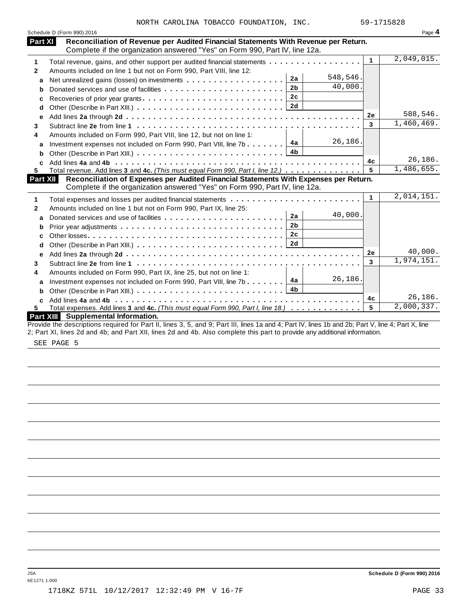|                 | Schedule D (Form 990) 2016                                                                                                                                                                                                                                                       |                      | Page 4     |
|-----------------|----------------------------------------------------------------------------------------------------------------------------------------------------------------------------------------------------------------------------------------------------------------------------------|----------------------|------------|
| Part XI         | Reconciliation of Revenue per Audited Financial Statements With Revenue per Return.<br>Complete if the organization answered "Yes" on Form 990, Part IV, line 12a.                                                                                                               |                      |            |
| 1               | Total revenue, gains, and other support per audited financial statements                                                                                                                                                                                                         | $\blacktriangleleft$ | 2,049,015. |
| $\mathbf{2}$    | Amounts included on line 1 but not on Form 990, Part VIII, line 12:                                                                                                                                                                                                              |                      |            |
| a               | 548,546.<br>2a                                                                                                                                                                                                                                                                   |                      |            |
| b               | 40,000.<br>2 <sub>b</sub><br>Donated services and use of facilities                                                                                                                                                                                                              |                      |            |
| c               | 2c<br>Recoveries of prior year grants                                                                                                                                                                                                                                            |                      |            |
| d               |                                                                                                                                                                                                                                                                                  |                      |            |
| e               |                                                                                                                                                                                                                                                                                  | 2e                   | 588,546.   |
| 3               |                                                                                                                                                                                                                                                                                  | 3                    | 1,460,469. |
| 4               | Amounts included on Form 990, Part VIII, line 12, but not on line 1:                                                                                                                                                                                                             |                      |            |
| a               | 26,186.<br>4a<br>Investment expenses not included on Form 990, Part VIII, line 7b                                                                                                                                                                                                |                      |            |
| b               | 4 <sub>b</sub>                                                                                                                                                                                                                                                                   |                      |            |
|                 |                                                                                                                                                                                                                                                                                  | 4c                   | 26,186.    |
| 5.              | Total revenue. Add lines 3 and 4c. (This must equal Form 990, Part I, line 12.)                                                                                                                                                                                                  | 5                    | 1,486,655. |
| <b>Part XII</b> | Reconciliation of Expenses per Audited Financial Statements With Expenses per Return.<br>Complete if the organization answered "Yes" on Form 990, Part IV, line 12a.                                                                                                             |                      |            |
| 1               |                                                                                                                                                                                                                                                                                  | 1                    | 2,014,151. |
| $\mathbf{2}$    | Amounts included on line 1 but not on Form 990, Part IX, line 25:                                                                                                                                                                                                                |                      |            |
| a               | 40,000.<br>2a                                                                                                                                                                                                                                                                    |                      |            |
| b               | 2 <sub>b</sub>                                                                                                                                                                                                                                                                   |                      |            |
| c               | 2c                                                                                                                                                                                                                                                                               |                      |            |
| d               | 2d                                                                                                                                                                                                                                                                               |                      |            |
| е               |                                                                                                                                                                                                                                                                                  | 2e                   | 40,000.    |
| 3               |                                                                                                                                                                                                                                                                                  | 3                    | 1,974,151. |
| 4               | Amounts included on Form 990, Part IX, line 25, but not on line 1:                                                                                                                                                                                                               |                      |            |
| a               | 26,186.<br>4a<br>Investment expenses not included on Form 990, Part VIII, line 7b                                                                                                                                                                                                |                      |            |
| b               | 4b                                                                                                                                                                                                                                                                               |                      |            |
| C               |                                                                                                                                                                                                                                                                                  | 4c                   | 26.186.    |
| 5.              | Total expenses. Add lines 3 and 4c. (This must equal Form 990, Part I, line 18.) $\ldots \ldots \ldots \ldots$                                                                                                                                                                   | 5                    | 2,000,337. |
| Part XIII       | <b>Supplemental Information.</b>                                                                                                                                                                                                                                                 |                      |            |
|                 | Provide the descriptions required for Part II, lines 3, 5, and 9; Part III, lines 1a and 4; Part IV, lines 1b and 2b; Part V, line 4; Part X, line<br>2; Part XI, lines 2d and 4b; and Part XII, lines 2d and 4b. Also complete this part to provide any additional information. |                      |            |

SEE PAGE 5

6E1271 1.000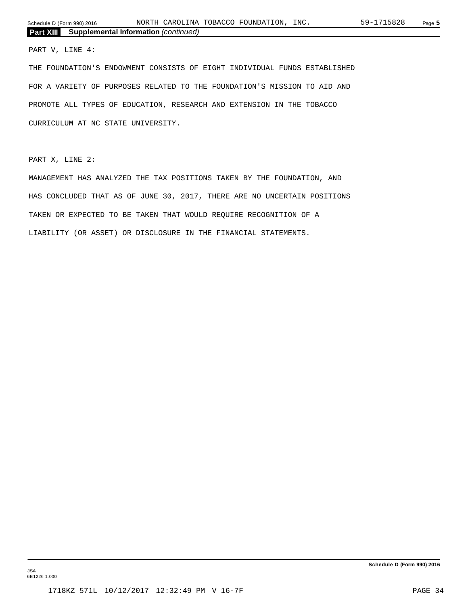#### PART V, LINE 4:

THE FOUNDATION'S ENDOWMENT CONSISTS OF EIGHT INDIVIDUAL FUNDS ESTABLISHED FOR A VARIETY OF PURPOSES RELATED TO THE FOUNDATION'S MISSION TO AID AND PROMOTE ALL TYPES OF EDUCATION, RESEARCH AND EXTENSION IN THE TOBACCO CURRICULUM AT NC STATE UNIVERSITY.

PART X, LINE 2:

MANAGEMENT HAS ANALYZED THE TAX POSITIONS TAKEN BY THE FOUNDATION, AND HAS CONCLUDED THAT AS OF JUNE 30, 2017, THERE ARE NO UNCERTAIN POSITIONS TAKEN OR EXPECTED TO BE TAKEN THAT WOULD REQUIRE RECOGNITION OF A LIABILITY (OR ASSET) OR DISCLOSURE IN THE FINANCIAL STATEMENTS.

JSA 6E1226 1.000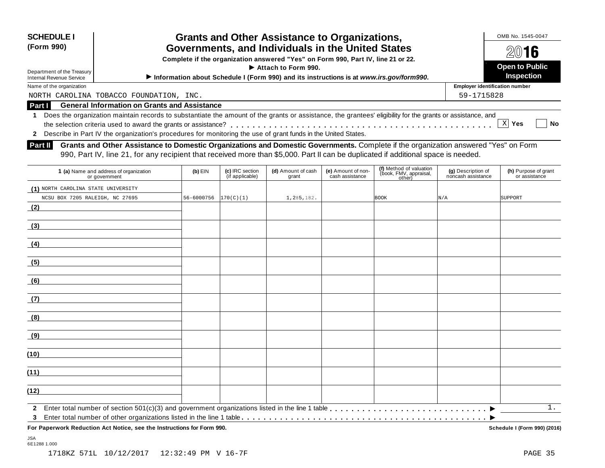| <b>SCHEDULE I</b><br>(Form 990)<br>Department of the Treasury<br><b>Internal Revenue Service</b> | <b>Grants and Other Assistance to Organizations,</b><br>Governments, and Individuals in the United States<br>Complete if the organization answered "Yes" on Form 990, Part IV, line 21 or 22.<br>Attach to Form 990.<br>Information about Schedule I (Form 990) and its instructions is at www.irs.gov/form990. | OMB No. 1545-0047<br>2016<br><b>Open to Public</b><br><b>Inspection</b> |
|--------------------------------------------------------------------------------------------------|-----------------------------------------------------------------------------------------------------------------------------------------------------------------------------------------------------------------------------------------------------------------------------------------------------------------|-------------------------------------------------------------------------|
| Name of the organization                                                                         |                                                                                                                                                                                                                                                                                                                 | <b>Employer identification number</b>                                   |
|                                                                                                  | NORTH CAROLINA TOBACCO FOUNDATION, INC.                                                                                                                                                                                                                                                                         | 59-1715828                                                              |
| Part I                                                                                           | <b>General Information on Grants and Assistance</b>                                                                                                                                                                                                                                                             |                                                                         |
|                                                                                                  | 1 Does the organization maintain records to substantiate the amount of the grants or assistance, the grantees' eligibility for the grants or assistance, and<br>2 Describe in Part IV the organization's procedures for monitoring the use of grant funds in the United States.                                 | <b>No</b><br><b>Yes</b>                                                 |

**Grants and Other Assistance to Domestic Organizations and Domestic Governments.** Complete if the organization answered "Yes" on Form 990, Part IV, line 21, for any recipient that received more than \$5,000. Part II can be duplicated if additional space is needed. **Part II** 

| (1) NORTH CAROLINA STATE UNIVERSITY<br>NCSU BOX 7205 RALEIGH, NC 27695<br>(2)<br><u>and the state of the state of the state of the state of the state of the state of the state of the state of the state of the state of the state of the state of the state of the state of the state of the state of the state</u><br>(3)<br>(4)<br><u> 1989 - Andrea State Barbara, amerikan personal di personal dengan personal dengan personal dengan personal de</u> | 56-6000756 | 170(C)(1) | 1,285,182. | <b>BOOK</b> | N/A | SUPPORT |
|--------------------------------------------------------------------------------------------------------------------------------------------------------------------------------------------------------------------------------------------------------------------------------------------------------------------------------------------------------------------------------------------------------------------------------------------------------------|------------|-----------|------------|-------------|-----|---------|
| (5)                                                                                                                                                                                                                                                                                                                                                                                                                                                          |            |           |            |             |     |         |
|                                                                                                                                                                                                                                                                                                                                                                                                                                                              |            |           |            |             |     |         |
|                                                                                                                                                                                                                                                                                                                                                                                                                                                              |            |           |            |             |     |         |
|                                                                                                                                                                                                                                                                                                                                                                                                                                                              |            |           |            |             |     |         |
|                                                                                                                                                                                                                                                                                                                                                                                                                                                              |            |           |            |             |     |         |
|                                                                                                                                                                                                                                                                                                                                                                                                                                                              |            |           |            |             |     |         |
| (6)<br><u> 1980 - Jan Sterling Sterling (f. 1980)</u>                                                                                                                                                                                                                                                                                                                                                                                                        |            |           |            |             |     |         |
| (7)<br><u>and the state of the state of the state of the state of the state of the state of the state of the state of the state of the state of the state of the state of the state of the state of the state of the state of the state</u>                                                                                                                                                                                                                  |            |           |            |             |     |         |
| (8)                                                                                                                                                                                                                                                                                                                                                                                                                                                          |            |           |            |             |     |         |
| (9)                                                                                                                                                                                                                                                                                                                                                                                                                                                          |            |           |            |             |     |         |
| (10)                                                                                                                                                                                                                                                                                                                                                                                                                                                         |            |           |            |             |     |         |
| (11)                                                                                                                                                                                                                                                                                                                                                                                                                                                         |            |           |            |             |     |         |
| (12)                                                                                                                                                                                                                                                                                                                                                                                                                                                         |            |           |            |             |     |         |
|                                                                                                                                                                                                                                                                                                                                                                                                                                                              |            |           |            |             |     | 1.      |
| $\mathbf{3}$                                                                                                                                                                                                                                                                                                                                                                                                                                                 |            |           |            |             |     |         |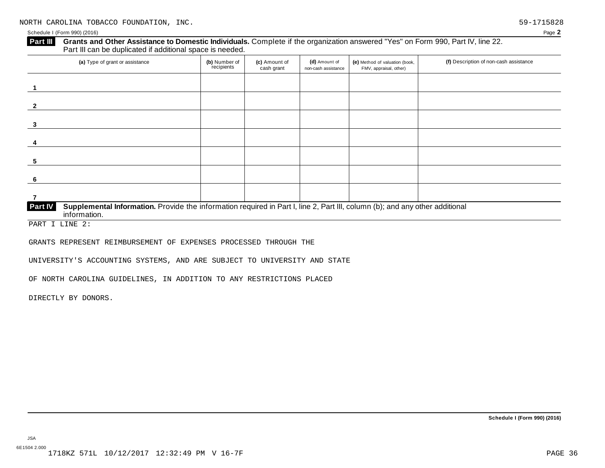#### Grants and Other Assistance to Domestic Individuals. Complete if the organization answered "Yes" on Form 990, Part IV, line 22. **Part III** Grants and Other Assistance to Domestic Individuals<br>Part III can be duplicated if additional space is needed.

| (a) Type of grant or assistance | (b) Number of<br>recipients                                                                                                  | (c) Amount of<br>cash grant | (d) Amount of<br>non-cash assistance | (e) Method of valuation (book,<br>FMV, appraisal, other) | (f) Description of non-cash assistance |  |  |  |  |  |  |
|---------------------------------|------------------------------------------------------------------------------------------------------------------------------|-----------------------------|--------------------------------------|----------------------------------------------------------|----------------------------------------|--|--|--|--|--|--|
|                                 |                                                                                                                              |                             |                                      |                                                          |                                        |  |  |  |  |  |  |
|                                 |                                                                                                                              |                             |                                      |                                                          |                                        |  |  |  |  |  |  |
| 3                               |                                                                                                                              |                             |                                      |                                                          |                                        |  |  |  |  |  |  |
|                                 |                                                                                                                              |                             |                                      |                                                          |                                        |  |  |  |  |  |  |
| -5                              |                                                                                                                              |                             |                                      |                                                          |                                        |  |  |  |  |  |  |
| -6                              |                                                                                                                              |                             |                                      |                                                          |                                        |  |  |  |  |  |  |
|                                 |                                                                                                                              |                             |                                      |                                                          |                                        |  |  |  |  |  |  |
| Part IV<br>information.         | Supplemental Information. Provide the information required in Part I, line 2, Part III, column (b); and any other additional |                             |                                      |                                                          |                                        |  |  |  |  |  |  |

PART I LINE 2:

GRANTS REPRESENT REIMBURSEMENT OF EXPENSES PROCESSED THROUGH THE

UNIVERSITY'S ACCOUNTING SYSTEMS, AND ARE SUBJECT TO UNIVERSITY AND STATE

OF NORTH CAROLINA GUIDELINES, IN ADDITION TO ANY RESTRICTIONS PLACED

DIRECTLY BY DONORS.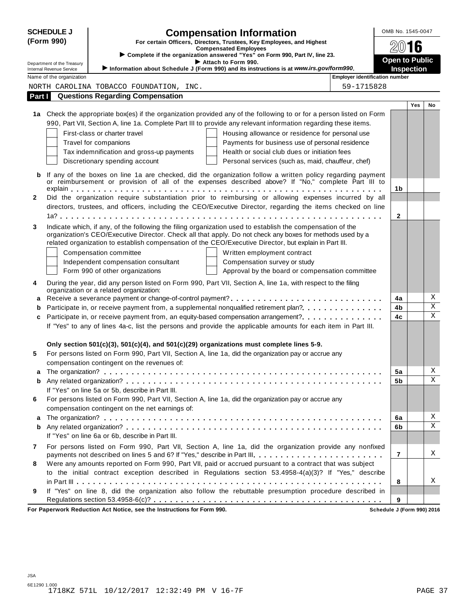|              | <b>SCHEDULE J</b>                                    |                                                  | <b>Compensation Information</b>                                                                                                                                                                                         |                                       | OMB No. 1545-0047     |            |                         |
|--------------|------------------------------------------------------|--------------------------------------------------|-------------------------------------------------------------------------------------------------------------------------------------------------------------------------------------------------------------------------|---------------------------------------|-----------------------|------------|-------------------------|
|              | (Form 990)                                           |                                                  | For certain Officers, Directors, Trustees, Key Employees, and Highest                                                                                                                                                   |                                       |                       |            |                         |
|              |                                                      |                                                  | <b>Compensated Employees</b><br>Complete if the organization answered "Yes" on Form 990, Part IV, line 23.                                                                                                              |                                       |                       | 6          |                         |
|              | Department of the Treasury                           |                                                  | Attach to Form 990.                                                                                                                                                                                                     |                                       | <b>Open to Public</b> |            |                         |
|              | Internal Revenue Service<br>Name of the organization |                                                  | Information about Schedule J (Form 990) and its instructions is at www.irs.gov/form990.                                                                                                                                 | <b>Employer identification number</b> | <b>Inspection</b>     |            |                         |
|              |                                                      | NORTH CAROLINA TOBACCO FOUNDATION, INC.          |                                                                                                                                                                                                                         | 59-1715828                            |                       |            |                         |
| Part I       |                                                      | <b>Questions Regarding Compensation</b>          |                                                                                                                                                                                                                         |                                       |                       |            |                         |
|              |                                                      |                                                  |                                                                                                                                                                                                                         |                                       |                       | <b>Yes</b> | No                      |
|              |                                                      |                                                  | 1a Check the appropriate box(es) if the organization provided any of the following to or for a person listed on Form                                                                                                    |                                       |                       |            |                         |
|              |                                                      |                                                  | 990, Part VII, Section A, line 1a. Complete Part III to provide any relevant information regarding these items.                                                                                                         |                                       |                       |            |                         |
|              |                                                      | First-class or charter travel                    | Housing allowance or residence for personal use                                                                                                                                                                         |                                       |                       |            |                         |
|              |                                                      | Travel for companions                            | Payments for business use of personal residence                                                                                                                                                                         |                                       |                       |            |                         |
|              |                                                      | Tax indemnification and gross-up payments        | Health or social club dues or initiation fees                                                                                                                                                                           |                                       |                       |            |                         |
|              |                                                      | Discretionary spending account                   | Personal services (such as, maid, chauffeur, chef)                                                                                                                                                                      |                                       |                       |            |                         |
| b            |                                                      |                                                  | If any of the boxes on line 1a are checked, did the organization follow a written policy regarding payment                                                                                                              |                                       |                       |            |                         |
|              |                                                      |                                                  | or reimbursement or provision of all of the expenses described above? If "No," complete Part III to                                                                                                                     |                                       |                       |            |                         |
|              |                                                      |                                                  |                                                                                                                                                                                                                         |                                       | 1 <sub>b</sub>        |            |                         |
| $\mathbf{2}$ |                                                      |                                                  | Did the organization require substantiation prior to reimbursing or allowing expenses incurred by all                                                                                                                   |                                       |                       |            |                         |
|              |                                                      |                                                  | directors, trustees, and officers, including the CEO/Executive Director, regarding the items checked on line                                                                                                            |                                       |                       |            |                         |
|              |                                                      |                                                  |                                                                                                                                                                                                                         |                                       | $\mathbf{2}$          |            |                         |
| 3            |                                                      |                                                  | Indicate which, if any, of the following the filing organization used to establish the compensation of the<br>organization's CEO/Executive Director. Check all that apply. Do not check any boxes for methods used by a |                                       |                       |            |                         |
|              |                                                      |                                                  | related organization to establish compensation of the CEO/Executive Director, but explain in Part III.                                                                                                                  |                                       |                       |            |                         |
|              |                                                      | Compensation committee                           | Written employment contract                                                                                                                                                                                             |                                       |                       |            |                         |
|              |                                                      | Independent compensation consultant              | Compensation survey or study                                                                                                                                                                                            |                                       |                       |            |                         |
|              |                                                      | Form 990 of other organizations                  | Approval by the board or compensation committee                                                                                                                                                                         |                                       |                       |            |                         |
| 4            |                                                      |                                                  | During the year, did any person listed on Form 990, Part VII, Section A, line 1a, with respect to the filing                                                                                                            |                                       |                       |            |                         |
| a            |                                                      | organization or a related organization:          |                                                                                                                                                                                                                         |                                       | 4a                    |            | Χ                       |
| b            |                                                      |                                                  | Participate in, or receive payment from, a supplemental nonqualified retirement plan?.                                                                                                                                  |                                       | 4b                    |            | $\overline{\mathbf{x}}$ |
| c            |                                                      |                                                  | Participate in, or receive payment from, an equity-based compensation arrangement?.                                                                                                                                     |                                       | 4c                    |            | $\mathbf{X}$            |
|              |                                                      |                                                  | If "Yes" to any of lines 4a-c, list the persons and provide the applicable amounts for each item in Part III.                                                                                                           |                                       |                       |            |                         |
|              |                                                      |                                                  |                                                                                                                                                                                                                         |                                       |                       |            |                         |
|              |                                                      |                                                  | Only section $501(c)(3)$ , $501(c)(4)$ , and $501(c)(29)$ organizations must complete lines 5-9.                                                                                                                        |                                       |                       |            |                         |
| 5            |                                                      |                                                  | For persons listed on Form 990, Part VII, Section A, line 1a, did the organization pay or accrue any                                                                                                                    |                                       |                       |            |                         |
|              |                                                      | compensation contingent on the revenues of:      |                                                                                                                                                                                                                         |                                       |                       |            |                         |
| а            |                                                      |                                                  |                                                                                                                                                                                                                         |                                       | 5a                    |            | Χ                       |
| b            |                                                      |                                                  |                                                                                                                                                                                                                         |                                       | 5 <sub>b</sub>        |            | Χ                       |
|              |                                                      | If "Yes" on line 5a or 5b, describe in Part III. |                                                                                                                                                                                                                         |                                       |                       |            |                         |
| 6            |                                                      |                                                  | For persons listed on Form 990, Part VII, Section A, line 1a, did the organization pay or accrue any                                                                                                                    |                                       |                       |            |                         |
|              |                                                      | compensation contingent on the net earnings of:  |                                                                                                                                                                                                                         |                                       | 6a                    |            | Χ                       |
| а<br>b       |                                                      |                                                  |                                                                                                                                                                                                                         |                                       | 6b                    |            | Χ                       |
|              |                                                      | If "Yes" on line 6a or 6b, describe in Part III. |                                                                                                                                                                                                                         |                                       |                       |            |                         |
|              |                                                      |                                                  |                                                                                                                                                                                                                         |                                       |                       |            |                         |
| 7            |                                                      |                                                  | For persons listed on Form 990, Part VII, Section A, line 1a, did the organization provide any nonfixed<br>payments not described on lines 5 and 6? If "Yes," describe in Part III.                                     |                                       | 7                     |            | X                       |
| 8            |                                                      |                                                  | Were any amounts reported on Form 990, Part VII, paid or accrued pursuant to a contract that was subject                                                                                                                |                                       |                       |            |                         |
|              |                                                      |                                                  | to the initial contract exception described in Regulations section 53.4958-4(a)(3)? If "Yes," describe                                                                                                                  |                                       |                       |            |                         |
|              |                                                      |                                                  |                                                                                                                                                                                                                         |                                       | 8                     |            | Χ                       |
| 9            |                                                      |                                                  | If "Yes" on line 8, did the organization also follow the rebuttable presumption procedure described in                                                                                                                  |                                       |                       |            |                         |
|              |                                                      |                                                  |                                                                                                                                                                                                                         |                                       | 9                     |            |                         |

**For Paperwork Reduction Act Notice, see the Instructions for Form 990. Schedule J (Form 990) 2016**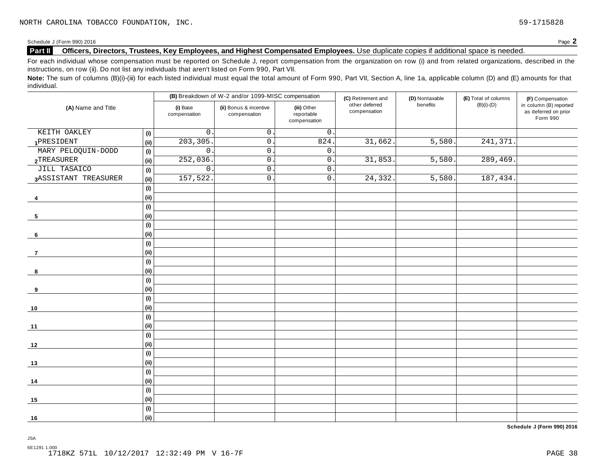Schedule <sup>J</sup> (Form 990) <sup>2016</sup> Page **2**

#### **Part II Officers, Directors, Trustees, Key Employees, and Highest Compensated Employees.** Use duplicate copies ifadditional space is needed.

For each individual whose compensation must be reported on Schedule J, report compensation from the organization on row (i) and from related organizations, described in the instructions, on row (ii). Do not list any individuals that aren't listed on Form 990, Part VII.

Note: The sum of columns (B)(i)-(iii) for each listed individual must equal the total amount of Form 990, Part VII, Section A, line 1a, applicable column (D) and (E) amounts for that individual.

|                      | (B) Breakdown of W-2 and/or 1099-MISC compensation |                          | (C) Retirement and                     | (D) Nontaxable                            | (E) Total of columns           | (F) Compensation |              |                                                            |
|----------------------|----------------------------------------------------|--------------------------|----------------------------------------|-------------------------------------------|--------------------------------|------------------|--------------|------------------------------------------------------------|
| (A) Name and Title   |                                                    | (i) Base<br>compensation | (ii) Bonus & incentive<br>compensation | (iii) Other<br>reportable<br>compensation | other deferred<br>compensation | benefits         | $(B)(i)-(D)$ | in column (B) reported<br>as deferred on prior<br>Form 990 |
| KEITH OAKLEY         | (i)                                                | $\mathsf{O}$             | $\mathsf{O}\xspace$                    | $\mathsf{0}$ .                            |                                |                  |              |                                                            |
| 1PRESIDENT           | (i)                                                | 203, 305                 | $0$ .                                  | 824                                       | 31,662.                        | 5,580.           | 241,371.     |                                                            |
| MARY PELOQUIN-DODD   | (i)                                                | $\mathsf{O}$             | $\mathbf 0$                            | $\mathsf{0}$ .                            |                                |                  |              |                                                            |
| 2TREASURER           | (ii)                                               | 252,036                  | $\mathsf{O}$ .                         | $0\,$ .                                   | 31,853                         | 5,580.           | 289,469.     |                                                            |
| <b>JILL TASAICO</b>  | (i)                                                | $\mathsf{O}$ .           | $\mathsf{O}$ .                         | $0\,$ .                                   |                                |                  |              |                                                            |
| 3ASSISTANT TREASURER | (i)                                                | 157,522                  | $\mathsf{O}$ .                         | $\mathsf{O}$ .                            | 24,332                         | 5,580.           | 187,434.     |                                                            |
|                      | (i)                                                |                          |                                        |                                           |                                |                  |              |                                                            |
| 4                    | (i)                                                |                          |                                        |                                           |                                |                  |              |                                                            |
|                      | (i)                                                |                          |                                        |                                           |                                |                  |              |                                                            |
| 5                    | (ii)                                               |                          |                                        |                                           |                                |                  |              |                                                            |
|                      | $\qquad \qquad \textbf{(i)}$                       |                          |                                        |                                           |                                |                  |              |                                                            |
| 6                    | (i)                                                |                          |                                        |                                           |                                |                  |              |                                                            |
|                      | (i)                                                |                          |                                        |                                           |                                |                  |              |                                                            |
| $\overline{7}$       | (i)                                                |                          |                                        |                                           |                                |                  |              |                                                            |
|                      | (i)                                                |                          |                                        |                                           |                                |                  |              |                                                            |
| 8                    | (i)                                                |                          |                                        |                                           |                                |                  |              |                                                            |
|                      | (i)                                                |                          |                                        |                                           |                                |                  |              |                                                            |
| 9                    | (ii)                                               |                          |                                        |                                           |                                |                  |              |                                                            |
|                      | (i)                                                |                          |                                        |                                           |                                |                  |              |                                                            |
| 10                   | (i)                                                |                          |                                        |                                           |                                |                  |              |                                                            |
|                      | (i)                                                |                          |                                        |                                           |                                |                  |              |                                                            |
| 11                   | (i)                                                |                          |                                        |                                           |                                |                  |              |                                                            |
|                      | (i)                                                |                          |                                        |                                           |                                |                  |              |                                                            |
| 12                   | (ii)                                               |                          |                                        |                                           |                                |                  |              |                                                            |
|                      | (i)                                                |                          |                                        |                                           |                                |                  |              |                                                            |
| $13$                 | (i)                                                |                          |                                        |                                           |                                |                  |              |                                                            |
|                      | (i)                                                |                          |                                        |                                           |                                |                  |              |                                                            |
| 14                   | (i)                                                |                          |                                        |                                           |                                |                  |              |                                                            |
|                      | (i)                                                |                          |                                        |                                           |                                |                  |              |                                                            |
| 15                   | (i)                                                |                          |                                        |                                           |                                |                  |              |                                                            |
|                      | (i)                                                |                          |                                        |                                           |                                |                  |              |                                                            |
| 16                   | (ii)                                               |                          |                                        |                                           |                                |                  |              |                                                            |

**Schedule J (Form 990) 2016**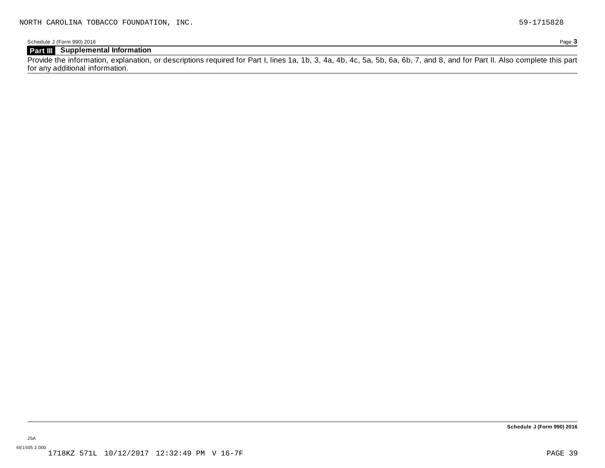Schedule J (Form 990) 2016 Page **3**

### **Part III Supplemental Information**

Provide the information, explanation, or descriptions required for Part I, lines 1a, 1b, 3, 4a, 4b, 4c, 5a, 5b, 6a, 6b, 7, and 8, and for Part II. Also complete this part for any additional information.

**Schedule J (Form 990) 2016**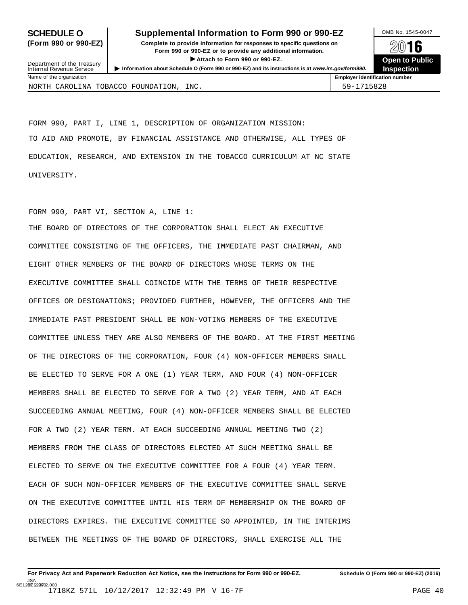#### **SCHEDULE O** Supplemental Information to Form 990 or 990-EZ DMB No. 1545-0047

**(Form 990 or 990-EZ) Complete to provide information for responses to specific questions on** Form 990 or 990-EZ or to provide any additional information.<br>
► Attach to Form 990 or 990-EZ.<br>
► Attach to Form 990 or 990-EZ.<br>
■ Open to Public  $\blacktriangleright$  Attach to Form 990 or 990-EZ.



| Department of the Treasury<br>Internal Revenue Service | <b>Open to Public</b><br>- Information about Schedule O (Form 990 or 990-EZ) and its instructions is at www.irs.gov/form990.<br><b>Inspection</b> |                                       |
|--------------------------------------------------------|---------------------------------------------------------------------------------------------------------------------------------------------------|---------------------------------------|
| Name of the organization                               |                                                                                                                                                   | <b>Employer identification number</b> |
|                                                        | NORTH CAROLINA TOBACCO FOUNDATION, INC.                                                                                                           | 59-1715828                            |

FORM 990, PART I, LINE 1, DESCRIPTION OF ORGANIZATION MISSION: TO AID AND PROMOTE, BY FINANCIAL ASSISTANCE AND OTHERWISE, ALL TYPES OF EDUCATION, RESEARCH, AND EXTENSION IN THE TOBACCO CURRICULUM AT NC STATE UNIVERSITY.

#### FORM 990, PART VI, SECTION A, LINE 1:

THE BOARD OF DIRECTORS OF THE CORPORATION SHALL ELECT AN EXECUTIVE COMMITTEE CONSISTING OF THE OFFICERS, THE IMMEDIATE PAST CHAIRMAN, AND EIGHT OTHER MEMBERS OF THE BOARD OF DIRECTORS WHOSE TERMS ON THE EXECUTIVE COMMITTEE SHALL COINCIDE WITH THE TERMS OF THEIR RESPECTIVE OFFICES OR DESIGNATIONS; PROVIDED FURTHER, HOWEVER, THE OFFICERS AND THE IMMEDIATE PAST PRESIDENT SHALL BE NON-VOTING MEMBERS OF THE EXECUTIVE COMMITTEE UNLESS THEY ARE ALSO MEMBERS OF THE BOARD. AT THE FIRST MEETING OF THE DIRECTORS OF THE CORPORATION, FOUR (4) NON-OFFICER MEMBERS SHALL BE ELECTED TO SERVE FOR A ONE (1) YEAR TERM, AND FOUR (4) NON-OFFICER MEMBERS SHALL BE ELECTED TO SERVE FOR A TWO (2) YEAR TERM, AND AT EACH SUCCEEDING ANNUAL MEETING, FOUR (4) NON-OFFICER MEMBERS SHALL BE ELECTED FOR A TWO (2) YEAR TERM. AT EACH SUCCEEDING ANNUAL MEETING TWO (2) MEMBERS FROM THE CLASS OF DIRECTORS ELECTED AT SUCH MEETING SHALL BE ELECTED TO SERVE ON THE EXECUTIVE COMMITTEE FOR A FOUR (4) YEAR TERM. EACH OF SUCH NON-OFFICER MEMBERS OF THE EXECUTIVE COMMITTEE SHALL SERVE ON THE EXECUTIVE COMMITTEE UNTIL HIS TERM OF MEMBERSHIP ON THE BOARD OF DIRECTORS EXPIRES. THE EXECUTIVE COMMITTEE SO APPOINTED, IN THE INTERIMS BETWEEN THE MEETINGS OF THE BOARD OF DIRECTORS, SHALL EXERCISE ALL THE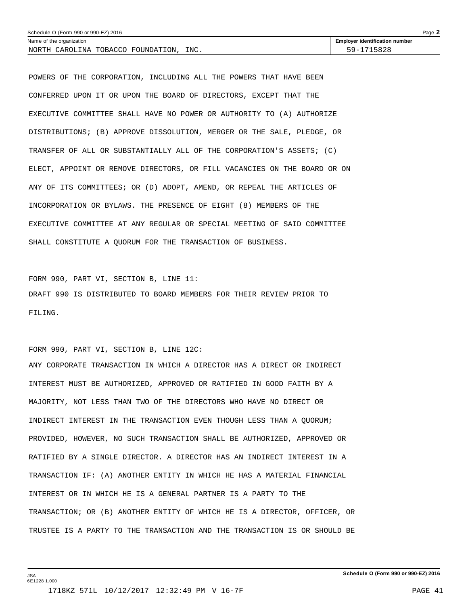| Page $\blacktriangle$<br>Schedule O (Form 990 or 990-EZ) 2016 |                                       |  |  |  |  |
|---------------------------------------------------------------|---------------------------------------|--|--|--|--|
| Name of the organization                                      | <b>Employer identification number</b> |  |  |  |  |
| NORTH CAROLINA TOBACCO FOUNDATION.<br>INC.                    | 59-1715828                            |  |  |  |  |

POWERS OF THE CORPORATION, INCLUDING ALL THE POWERS THAT HAVE BEEN CONFERRED UPON IT OR UPON THE BOARD OF DIRECTORS, EXCEPT THAT THE EXECUTIVE COMMITTEE SHALL HAVE NO POWER OR AUTHORITY TO (A) AUTHORIZE DISTRIBUTIONS; (B) APPROVE DISSOLUTION, MERGER OR THE SALE, PLEDGE, OR TRANSFER OF ALL OR SUBSTANTIALLY ALL OF THE CORPORATION'S ASSETS; (C) ELECT, APPOINT OR REMOVE DIRECTORS, OR FILL VACANCIES ON THE BOARD OR ON ANY OF ITS COMMITTEES; OR (D) ADOPT, AMEND, OR REPEAL THE ARTICLES OF INCORPORATION OR BYLAWS. THE PRESENCE OF EIGHT (8) MEMBERS OF THE EXECUTIVE COMMITTEE AT ANY REGULAR OR SPECIAL MEETING OF SAID COMMITTEE SHALL CONSTITUTE A QUORUM FOR THE TRANSACTION OF BUSINESS.

FORM 990, PART VI, SECTION B, LINE 11: DRAFT 990 IS DISTRIBUTED TO BOARD MEMBERS FOR THEIR REVIEW PRIOR TO FILING.

#### FORM 990, PART VI, SECTION B, LINE 12C:

ANY CORPORATE TRANSACTION IN WHICH A DIRECTOR HAS A DIRECT OR INDIRECT INTEREST MUST BE AUTHORIZED, APPROVED OR RATIFIED IN GOOD FAITH BY A MAJORITY, NOT LESS THAN TWO OF THE DIRECTORS WHO HAVE NO DIRECT OR INDIRECT INTEREST IN THE TRANSACTION EVEN THOUGH LESS THAN A QUORUM; PROVIDED, HOWEVER, NO SUCH TRANSACTION SHALL BE AUTHORIZED, APPROVED OR RATIFIED BY A SINGLE DIRECTOR. A DIRECTOR HAS AN INDIRECT INTEREST IN A TRANSACTION IF: (A) ANOTHER ENTITY IN WHICH HE HAS A MATERIAL FINANCIAL INTEREST OR IN WHICH HE IS A GENERAL PARTNER IS A PARTY TO THE TRANSACTION; OR (B) ANOTHER ENTITY OF WHICH HE IS A DIRECTOR, OFFICER, OR TRUSTEE IS A PARTY TO THE TRANSACTION AND THE TRANSACTION IS OR SHOULD BE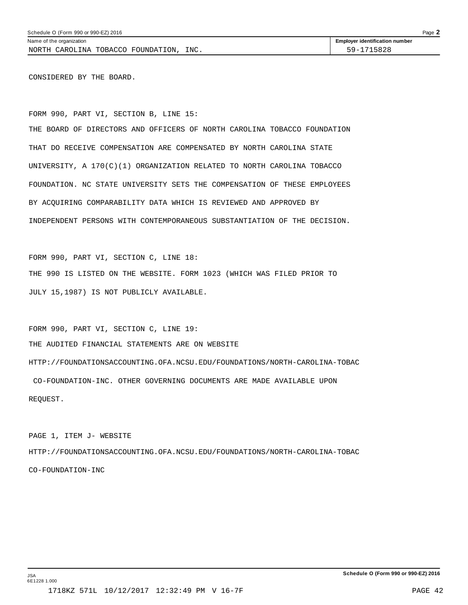Name of the organization **intervalse of the organization number Employer identification number** NORTH CAROLINA TOBACCO FOUNDATION, INC. 59-1715828

CONSIDERED BY THE BOARD.

FORM 990, PART VI, SECTION B, LINE 15: THE BOARD OF DIRECTORS AND OFFICERS OF NORTH CAROLINA TOBACCO FOUNDATION THAT DO RECEIVE COMPENSATION ARE COMPENSATED BY NORTH CAROLINA STATE UNIVERSITY, A 170(C)(1) ORGANIZATION RELATED TO NORTH CAROLINA TOBACCO FOUNDATION. NC STATE UNIVERSITY SETS THE COMPENSATION OF THESE EMPLOYEES BY ACQUIRING COMPARABILITY DATA WHICH IS REVIEWED AND APPROVED BY INDEPENDENT PERSONS WITH CONTEMPORANEOUS SUBSTANTIATION OF THE DECISION.

FORM 990, PART VI, SECTION C, LINE 18: THE 990 IS LISTED ON THE WEBSITE. FORM 1023 (WHICH WAS FILED PRIOR TO JULY 15,1987) IS NOT PUBLICLY AVAILABLE.

FORM 990, PART VI, SECTION C, LINE 19: THE AUDITED FINANCIAL STATEMENTS ARE ON WEBSITE HTTP://FOUNDATIONSACCOUNTING.OFA.NCSU.EDU/FOUNDATIONS/NORTH-CAROLINA-TOBAC CO-FOUNDATION-INC. OTHER GOVERNING DOCUMENTS ARE MADE AVAILABLE UPON REQUEST.

PAGE 1, ITEM J- WEBSITE HTTP://FOUNDATIONSACCOUNTING.OFA.NCSU.EDU/FOUNDATIONS/NORTH-CAROLINA-TOBAC CO-FOUNDATION-INC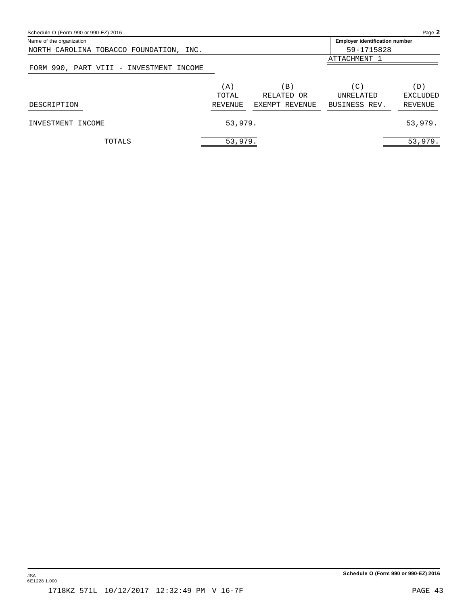| Schedule O (Form 990 or 990-EZ) 2016    |         |                |                                       | Page 2   |
|-----------------------------------------|---------|----------------|---------------------------------------|----------|
| Name of the organization                |         |                | <b>Employer identification number</b> |          |
| NORTH CAROLINA TOBACCO FOUNDATION, INC. |         |                | 59-1715828                            |          |
|                                         |         |                | ATTACHMENT 1                          |          |
| FORM 990, PART VIII - INVESTMENT INCOME |         |                |                                       |          |
|                                         | (A)     | $\mathsf{B}$   | (C)                                   | (D)      |
|                                         | TOTAL   | RELATED OR     | UNRELATED                             | EXCLUDED |
| DESCRIPTION                             | REVENUE | EXEMPT REVENUE | BUSINESS REV.                         | REVENUE  |
| INVESTMENT INCOME                       | 53,979. |                |                                       | 53,979.  |
| TOTALS                                  | 53,979. |                |                                       | 53,979.  |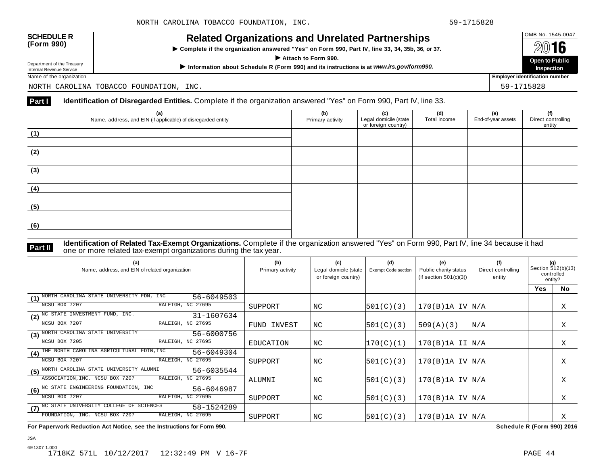# OMB No. 1545-0047 **SCHEDULE R (Form 990) Related Organizations and Unrelated Partnerships**

 $\triangleright$  Complete if the organization answered "Yes" on Form 990, Part IV, line 33, 34, 35b, 36, or 37.  $\overline{A}$  **CONTRES** on Form 990, Part IV, line 33, 34, 35b, 36, or 37.

Department of the Treasury<br>
Department of the Treasury Depart to Fublic<br>
Inspection<br>
Name of the organization<br>
Name of the organization

Department of the Treasury

NORTH CAROLINA TOBACCO FOUNDATION, INC. 59-1715828

### **Part I** Identification of Disregarded Entities. Complete if the organization answered "Yes" on Form 990, Part IV, line 33.

| (a)<br>Name, address, and EIN (if applicable) of disregarded entity | (b)<br>Primary activity | (c)<br>Legal domicile (state<br>or foreign country) | (d)<br>Total income | (e)<br>End-of-year assets | (f)<br>Direct controlling<br>entity |
|---------------------------------------------------------------------|-------------------------|-----------------------------------------------------|---------------------|---------------------------|-------------------------------------|
| (1)                                                                 |                         |                                                     |                     |                           |                                     |
| (2)                                                                 |                         |                                                     |                     |                           |                                     |
| (3)                                                                 |                         |                                                     |                     |                           |                                     |
| (4)                                                                 |                         |                                                     |                     |                           |                                     |
| (5)                                                                 |                         |                                                     |                     |                           |                                     |
| (6)                                                                 |                         |                                                     |                     |                           |                                     |

**Identification of Related Tax-Exempt Organizations.** Complete if the organization answered "Yes" on Form 990, Part IV, line 34 because it had **Part II** one or more related tax-exempt organizations during the tax year.

| (a)<br>Name, address, and EIN of related organization                             | (b)<br>Primary activity | (c)<br>Legal domicile (state<br>or foreign country) | (d)<br>Exempt Code section | (e)<br>Public charity status<br>(if section $501(c)(3)$ ) | (f)<br>Direct controlling<br>entity | (g)<br>Section 512(b)(13)<br>controlled<br>entity? |           |
|-----------------------------------------------------------------------------------|-------------------------|-----------------------------------------------------|----------------------------|-----------------------------------------------------------|-------------------------------------|----------------------------------------------------|-----------|
|                                                                                   |                         |                                                     |                            |                                                           |                                     | <b>Yes</b>                                         | <b>No</b> |
| NORTH CAROLINA STATE UNIVERSITY FDN, INC<br>56-6049503<br>(1)                     |                         |                                                     |                            |                                                           |                                     |                                                    |           |
| RALEIGH, NC 27695<br>NCSU BOX 7207                                                | SUPPORT                 | NC                                                  | 501(C)(3)                  | $170(B)$ 1A IV $N/A$                                      |                                     |                                                    | Χ         |
| (2) <sup>NC</sup> STATE INVESTMENT FUND, INC.<br>31-1607634                       |                         |                                                     |                            |                                                           |                                     |                                                    |           |
| RALEIGH, NC 27695<br>NCSU BOX 7207                                                | FUND INVEST             | NC                                                  | 501(C)(3)                  | 509(A)(3)                                                 | N/A                                 |                                                    | Χ         |
| (3) NORTH CAROLINA STATE UNIVERSITY<br>56-6000756                                 |                         |                                                     |                            |                                                           |                                     |                                                    |           |
| RALEIGH, NC 27695<br>NCSU BOX 7205                                                | <b>EDUCATION</b>        | NC                                                  | 170(C)(1)                  | $170(B)$ 1A II $\vert N/A \vert$                          |                                     |                                                    | Χ         |
| THE NORTH CAROLINA AGRICULTURAL FDTN, INC<br>56-6049304<br>(4)                    |                         |                                                     |                            |                                                           |                                     |                                                    |           |
| NCSU BOX 7207<br>RALEIGH, NC 27695                                                | SUPPORT                 | NC                                                  | 501(C)(3)                  | $170(B)$ 1A IV $N/A$                                      |                                     |                                                    | Χ         |
| NORTH CAROLINA STATE UNIVERSITY ALUMNI<br>56-6035544<br>(5)                       |                         |                                                     |                            |                                                           |                                     |                                                    |           |
| ASSOCIATION, INC. NCSU BOX 7207<br>RALEIGH, NC 27695                              | <b>ALUMNI</b>           | NC                                                  | 501(C)(3)                  | $170(B)$ 1A IV $N/A$                                      |                                     |                                                    | X         |
| (6) NC STATE ENGINEERING FOUNDATION, INC<br>56-6046987                            |                         |                                                     |                            |                                                           |                                     |                                                    |           |
| NCSU BOX 7207<br>RALEIGH, NC 27695                                                | SUPPORT                 | NC                                                  | 501(C)(3)                  | $170(B)$ 1A IV $N/A$                                      |                                     |                                                    | Χ         |
| UNIVERSITY COLLEGE OF SCIENCES<br>$(7)$ $\overline{\text{NC}$ STATE<br>58-1524289 |                         |                                                     |                            |                                                           |                                     |                                                    |           |
| RALEIGH, NC 27695<br>FOUNDATION, INC. NCSU BOX 7207                               | SUPPORT                 | NC.                                                 | 501(C)(3)                  | $170(B)$ 1A IV $ N/A$                                     |                                     |                                                    | Χ         |

**For Paperwork Reduction Act Notice, see the Instructions for Form 990. Schedule R (Form 990) 2016**

**Inspection**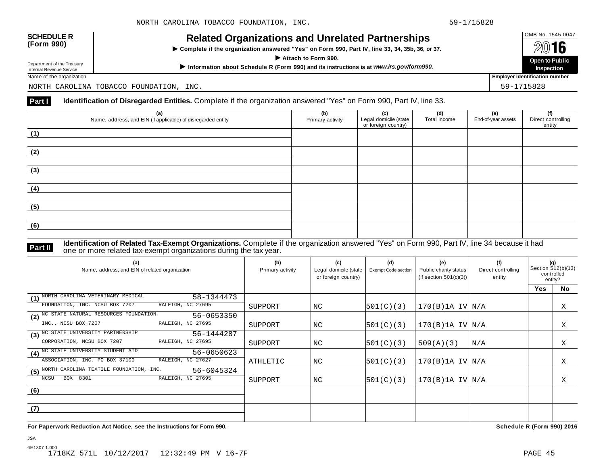# OMB No. 1545-0047 **SCHEDULE R (Form 990) Related Organizations and Unrelated Partnerships**

 $\triangleright$  Complete if the organization answered "Yes" on Form 990, Part IV, line 33, 34, 35b, 36, or 37.  $\overline{A}$  **CONTRES** on Form 990, Part IV, line 33, 34, 35b, 36, or 37.

Department of the Treasury<br>
Department of the Treasury Depart to Fublic<br>
Inspection<br>
Name of the organization<br>
Name of the organization

Department of the Treasury

NORTH CAROLINA TOBACCO FOUNDATION, INC. 59-1715828

### **Part I** Identification of Disregarded Entities. Complete if the organization answered "Yes" on Form 990, Part IV, line 33.

| (a)<br>Name, address, and EIN (if applicable) of disregarded entity | (b)<br>Primary activity | (c)<br>Legal domicile (state<br>or foreign country) | (d)<br>Total income | (e)<br>End-of-year assets | (f)<br>Direct controlling<br>entity |
|---------------------------------------------------------------------|-------------------------|-----------------------------------------------------|---------------------|---------------------------|-------------------------------------|
| (1)                                                                 |                         |                                                     |                     |                           |                                     |
| (2)                                                                 |                         |                                                     |                     |                           |                                     |
| (3)                                                                 |                         |                                                     |                     |                           |                                     |
| (4)                                                                 |                         |                                                     |                     |                           |                                     |
| (5)                                                                 |                         |                                                     |                     |                           |                                     |
| (6)                                                                 |                         |                                                     |                     |                           |                                     |

JSA

**Identification of Related Tax-Exempt Organizations.** Complete if the organization answered "Yes" on Form 990, Part IV, line 34 because it had **Part II** one or more related tax-exempt organizations during the tax year.

| (a)<br>Name, address, and EIN of related organization        | (b)<br>Primary activity | (c)<br>Legal domicile (state<br>or foreign country) | (d)<br><b>Exempt Code section</b> | (e)<br>Public charity status<br>(if section $501(c)(3)$ ) | (f)<br>Direct controlling<br>entity | (g)<br>Section 512(b)(13)<br>controlled<br>entity? |    |
|--------------------------------------------------------------|-------------------------|-----------------------------------------------------|-----------------------------------|-----------------------------------------------------------|-------------------------------------|----------------------------------------------------|----|
|                                                              |                         |                                                     |                                   |                                                           |                                     | Yes                                                | No |
| NORTH CAROLINA VETERINARY MEDICAL<br>58-1344473<br>(1)       |                         |                                                     |                                   |                                                           |                                     |                                                    |    |
| FOUNDATION, INC. NCSU BOX 7207<br>RALEIGH, NC 27695          | SUPPORT                 | NC.                                                 | 501(C)(3)                         | $170(B)$ 1A IV $N/A$                                      |                                     |                                                    | Χ  |
| (2) NC STATE NATURAL RESOURCES FOUNDATION<br>56-0653350      |                         |                                                     |                                   |                                                           |                                     |                                                    |    |
| RALEIGH, NC 27695<br>INC., NCSU BOX 7207                     | SUPPORT                 | NC.                                                 | 501(C)(3)                         | $170(B)$ 1A IV $N/A$                                      |                                     |                                                    | X  |
| (3) <sup>NC</sup> STATE UNIVERSITY PARTNERSHIP<br>56-1444287 |                         |                                                     |                                   |                                                           |                                     |                                                    |    |
| RALEIGH, NC 27695<br>CORPORATION, NCSU BOX 7207              | SUPPORT                 | NC                                                  | 501(C)(3)                         | 509(A)(3)                                                 | N/A                                 |                                                    | Χ  |
| NC STATE UNIVERSITY STUDENT AID<br>56-0650623<br>(4)         |                         |                                                     |                                   |                                                           |                                     |                                                    |    |
| ASSOCIATION, INC. PO BOX 37100<br>RALEIGH, NC 27627          | ATHLETIC                | NC                                                  | 501(C)(3)                         | $170(B)$ 1A IV $ N/A$                                     |                                     |                                                    | X  |
| (5) NORTH CAROLINA TEXTILE FOUNDATION, INC.<br>56-6045324    |                         |                                                     |                                   |                                                           |                                     |                                                    |    |
| BOX 8301<br>RALEIGH, NC 27695<br>NCSU                        | SUPPORT                 | NC.                                                 | 501(C)(3)                         | $170(B)$ 1A IV $ N/A$                                     |                                     |                                                    | Χ  |
| (6)                                                          |                         |                                                     |                                   |                                                           |                                     |                                                    |    |
|                                                              |                         |                                                     |                                   |                                                           |                                     |                                                    |    |
| (7)                                                          |                         |                                                     |                                   |                                                           |                                     |                                                    |    |
|                                                              |                         |                                                     |                                   |                                                           |                                     |                                                    |    |

**For Paperwork Reduction Act Notice, see the Instructions for Form 990. Schedule R (Form 990) 2016**

**Inspection**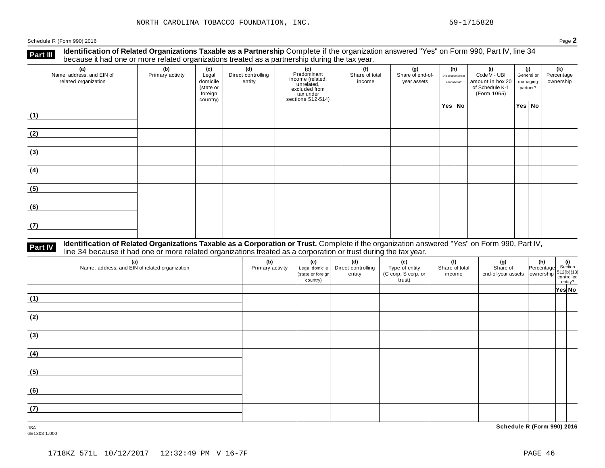Schedule <sup>R</sup> (Form 990) <sup>2016</sup> Page **2**

**Identification of Related Organizations Taxable as a Partnership** Complete if the organization answered "Yes" on Form 990, Part IV, line 34 **because it had one or more related organizations Taxable as a Partnership** Complete if the organization of more related organizations treated as a partnership during the tax year.

| (a)<br>Name, address, and EIN of<br>related organization | (b)<br>Primary activity | (c)<br>Legal<br>domicile<br>(state or<br>foreign<br>country) | (d)<br>Direct controlling<br>entity | (e)<br>Predominant<br>From (related,<br>income (related,<br>excluded from<br>tax under<br>sections 512-514) | (f)<br>Share of total<br>income | (g)<br>Share of end-of-<br>year assets | (h)<br>Disproportionate<br>allocations? |  | (i)<br>Code V - UBI<br>amount in box 20<br>of Schedule K-1<br>(Form 1065) | (j)<br>General or<br>managing<br>partner? |  | (k)<br>Percentage<br>ownership |
|----------------------------------------------------------|-------------------------|--------------------------------------------------------------|-------------------------------------|-------------------------------------------------------------------------------------------------------------|---------------------------------|----------------------------------------|-----------------------------------------|--|---------------------------------------------------------------------------|-------------------------------------------|--|--------------------------------|
|                                                          |                         |                                                              |                                     |                                                                                                             |                                 |                                        | Yes No                                  |  |                                                                           | Yes No                                    |  |                                |
| (1)                                                      |                         |                                                              |                                     |                                                                                                             |                                 |                                        |                                         |  |                                                                           |                                           |  |                                |
| (2)                                                      |                         |                                                              |                                     |                                                                                                             |                                 |                                        |                                         |  |                                                                           |                                           |  |                                |
| (3)                                                      |                         |                                                              |                                     |                                                                                                             |                                 |                                        |                                         |  |                                                                           |                                           |  |                                |
| (4)                                                      |                         |                                                              |                                     |                                                                                                             |                                 |                                        |                                         |  |                                                                           |                                           |  |                                |
| (5)                                                      |                         |                                                              |                                     |                                                                                                             |                                 |                                        |                                         |  |                                                                           |                                           |  |                                |
| (6)                                                      |                         |                                                              |                                     |                                                                                                             |                                 |                                        |                                         |  |                                                                           |                                           |  |                                |
| (7)                                                      |                         |                                                              |                                     |                                                                                                             |                                 |                                        |                                         |  |                                                                           |                                           |  |                                |

# **Part IV** Identification of Related Organizations Taxable as a Corporation or Trust. Complete if the organization answered "Yes" on Form 990, Part IV,<br>line 34 because it had one or more related organizations treated as a c

| (a)<br>Name, address, and EIN of related organization | (b)<br>Primary activity | (c)<br>Legal domicile<br>(state or foreign<br>country) | (d)<br>Direct controlling<br>entity | (e)<br>Type of entity<br>(C corp, S corp, or<br>trust) | (f)<br>Share of total<br>income | (g)<br>Share of<br>end-of-year assets<br>whership<br>controlled<br>entity? | (h)<br>Percentage | (i)<br>Section |
|-------------------------------------------------------|-------------------------|--------------------------------------------------------|-------------------------------------|--------------------------------------------------------|---------------------------------|----------------------------------------------------------------------------|-------------------|----------------|
|                                                       |                         |                                                        |                                     |                                                        |                                 |                                                                            |                   | Yes No         |
| (1)                                                   |                         |                                                        |                                     |                                                        |                                 |                                                                            |                   |                |
| (2)                                                   |                         |                                                        |                                     |                                                        |                                 |                                                                            |                   |                |
| (3)                                                   |                         |                                                        |                                     |                                                        |                                 |                                                                            |                   |                |
| (4)                                                   |                         |                                                        |                                     |                                                        |                                 |                                                                            |                   |                |
| (5)                                                   |                         |                                                        |                                     |                                                        |                                 |                                                                            |                   |                |
| (6)                                                   |                         |                                                        |                                     |                                                        |                                 |                                                                            |                   |                |
| (7)                                                   |                         |                                                        |                                     |                                                        |                                 |                                                                            |                   |                |

6E1308 1.000

JSA **Schedule R (Form 990) 2016**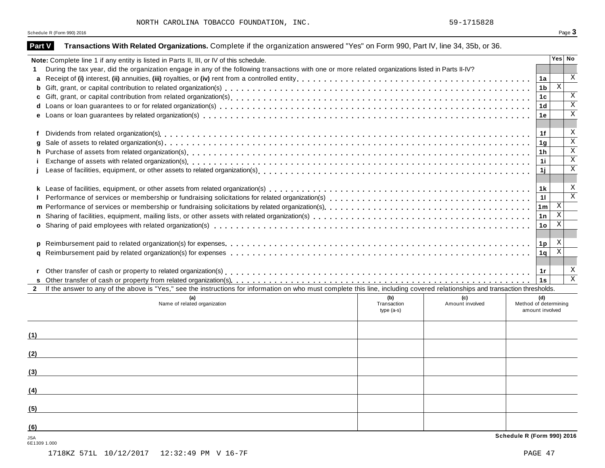Schedule R (Form 990) 2016  $\overline{\textbf{S}}$  Page  $\overline{\textbf{3}}$ 

| Part V              | Transactions With Related Organizations. Complete if the organization answered "Yes" on Form 990, Part IV, line 34, 35b, or 36.                                                                                               |              |                 |                            |                         |                         |  |  |  |
|---------------------|-------------------------------------------------------------------------------------------------------------------------------------------------------------------------------------------------------------------------------|--------------|-----------------|----------------------------|-------------------------|-------------------------|--|--|--|
|                     | Note: Complete line 1 if any entity is listed in Parts II, III, or IV of this schedule.                                                                                                                                       |              |                 |                            | Yes   No                |                         |  |  |  |
|                     | During the tax year, did the organization engage in any of the following transactions with one or more related organizations listed in Parts II-IV?                                                                           |              |                 |                            |                         |                         |  |  |  |
| a                   |                                                                                                                                                                                                                               |              |                 | 1a                         |                         | $\mathbf{x}$            |  |  |  |
| b                   |                                                                                                                                                                                                                               |              |                 |                            |                         |                         |  |  |  |
| c                   |                                                                                                                                                                                                                               |              |                 | 1 <sub>c</sub>             |                         | $\mathbf x$             |  |  |  |
| d                   |                                                                                                                                                                                                                               |              |                 | 1 <sub>d</sub>             |                         | $\overline{\mathbf{x}}$ |  |  |  |
|                     |                                                                                                                                                                                                                               |              |                 | 1e                         |                         | $\overline{\mathbf{x}}$ |  |  |  |
|                     |                                                                                                                                                                                                                               |              |                 |                            |                         |                         |  |  |  |
| f                   |                                                                                                                                                                                                                               |              |                 | 1f                         |                         | X                       |  |  |  |
| q                   |                                                                                                                                                                                                                               |              |                 | 1 <sub>q</sub>             |                         | $\overline{\mathbf{x}}$ |  |  |  |
| h                   |                                                                                                                                                                                                                               |              |                 | 1 <sub>h</sub>             |                         | $\overline{\mathbf{x}}$ |  |  |  |
|                     | Exchange of assets with related organization(s) every even contact to contact the contact of the contact of the contact or contact or contact or contact or contact or contact or contact or contact or contact or contact or |              |                 | 11                         |                         | $\overline{\mathbf{x}}$ |  |  |  |
|                     |                                                                                                                                                                                                                               |              |                 | 1j                         |                         | $\mathbf X$             |  |  |  |
|                     |                                                                                                                                                                                                                               |              |                 |                            |                         |                         |  |  |  |
|                     |                                                                                                                                                                                                                               |              |                 | 1 <sub>k</sub>             |                         | X                       |  |  |  |
|                     |                                                                                                                                                                                                                               |              |                 | 11                         |                         | $\overline{\mathbf{x}}$ |  |  |  |
| m                   |                                                                                                                                                                                                                               |              |                 | 1m                         | X                       |                         |  |  |  |
| n                   |                                                                                                                                                                                                                               |              |                 | 1n                         | $\overline{\mathbf{x}}$ |                         |  |  |  |
| $\mathbf{o}$        |                                                                                                                                                                                                                               |              |                 | 10 <sub>o</sub>            | $\overline{\mathbf{x}}$ |                         |  |  |  |
|                     |                                                                                                                                                                                                                               |              |                 |                            |                         |                         |  |  |  |
| p                   |                                                                                                                                                                                                                               |              |                 | 1 <sub>p</sub>             | X                       |                         |  |  |  |
| a                   |                                                                                                                                                                                                                               |              |                 | 1q                         | $\overline{\mathbf{x}}$ |                         |  |  |  |
|                     |                                                                                                                                                                                                                               |              |                 |                            |                         |                         |  |  |  |
|                     |                                                                                                                                                                                                                               |              |                 | 1r                         |                         | X                       |  |  |  |
|                     |                                                                                                                                                                                                                               |              |                 | 1s                         |                         | $\overline{\mathbf{x}}$ |  |  |  |
| $\mathbf{2}$        | If the answer to any of the above is "Yes," see the instructions for information on who must complete this line, including covered relationships and transaction thresholds.                                                  |              |                 |                            |                         |                         |  |  |  |
|                     | (a)                                                                                                                                                                                                                           | (b)          | (c)             | (d)                        |                         |                         |  |  |  |
|                     | Name of related organization                                                                                                                                                                                                  | Transaction  | Amount involved | Method of determining      |                         |                         |  |  |  |
|                     |                                                                                                                                                                                                                               | type $(a-s)$ |                 | amount involved            |                         |                         |  |  |  |
|                     |                                                                                                                                                                                                                               |              |                 |                            |                         |                         |  |  |  |
|                     |                                                                                                                                                                                                                               |              |                 |                            |                         |                         |  |  |  |
| (1)                 |                                                                                                                                                                                                                               |              |                 |                            |                         |                         |  |  |  |
|                     |                                                                                                                                                                                                                               |              |                 |                            |                         |                         |  |  |  |
| (2)                 |                                                                                                                                                                                                                               |              |                 |                            |                         |                         |  |  |  |
|                     |                                                                                                                                                                                                                               |              |                 |                            |                         |                         |  |  |  |
| (3)                 |                                                                                                                                                                                                                               |              |                 |                            |                         |                         |  |  |  |
|                     |                                                                                                                                                                                                                               |              |                 |                            |                         |                         |  |  |  |
| (4)                 |                                                                                                                                                                                                                               |              |                 |                            |                         |                         |  |  |  |
|                     |                                                                                                                                                                                                                               |              |                 |                            |                         |                         |  |  |  |
| (5)                 |                                                                                                                                                                                                                               |              |                 |                            |                         |                         |  |  |  |
|                     |                                                                                                                                                                                                                               |              |                 |                            |                         |                         |  |  |  |
| (6)                 |                                                                                                                                                                                                                               |              |                 |                            |                         |                         |  |  |  |
| JSA<br>6E1309 1.000 |                                                                                                                                                                                                                               |              |                 | Schedule R (Form 990) 2016 |                         |                         |  |  |  |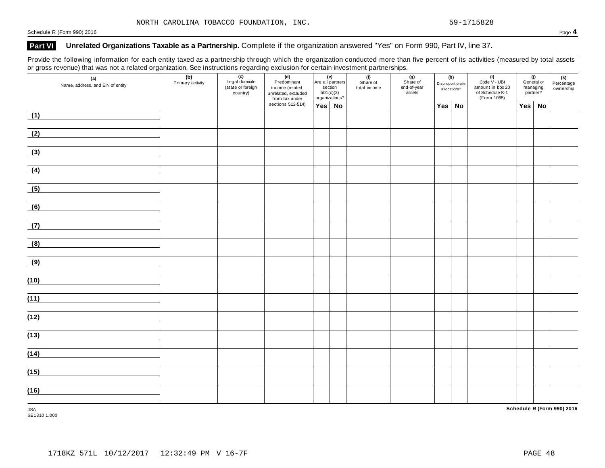Schedule <sup>R</sup> (Form 990) <sup>2016</sup> Page **4**

### **Part VI Unrelated Organizations Taxable as a Partnership.** Complete if the organization answered "Yes" on Form 990, Part IV, line 37.

Provide the following information for each entity taxed as a partnership through which the organization conducted more than five percent of its activities (measured by total assets or gross revenue) that was not a related organization. See instructions regarding exclusion for certain investment partnerships.

| $\tilde{}$<br>$\overline{\phantom{a}}$<br>(a)<br>Name, address, and EIN of entity | $\tilde{\phantom{a}}$<br>$\tilde{\phantom{a}}$<br>(c)<br>Legal domicile<br>(d)<br>(b)<br>Primary activity<br>(state or foreign<br>country) |  | $\tilde{\phantom{a}}$<br>Predominant<br>income (related,<br>unrelated, excluded<br>from tax under | (e)<br>Are all partners<br>section<br>501(c)(3)<br>organizations? |               | . .<br>(f)<br>Share of<br>total income | (g)<br>Share of<br>end-of-year<br>assets | (h)<br>Disproportionate<br>allocations? |           | $(i)$<br>Code $\vee$ - UBI<br>amount in box 20<br>of Schedule K-1<br>(Form 1065) | (j)<br>General or<br>managing<br>partner? |           | (k)<br>Percentage<br>ownership |
|-----------------------------------------------------------------------------------|--------------------------------------------------------------------------------------------------------------------------------------------|--|---------------------------------------------------------------------------------------------------|-------------------------------------------------------------------|---------------|----------------------------------------|------------------------------------------|-----------------------------------------|-----------|----------------------------------------------------------------------------------|-------------------------------------------|-----------|--------------------------------|
|                                                                                   |                                                                                                                                            |  | sections 512-514)                                                                                 |                                                                   | $Yes \mid No$ |                                        |                                          | Yes                                     | <b>No</b> |                                                                                  | Yes                                       | <b>No</b> |                                |
| (1)                                                                               |                                                                                                                                            |  |                                                                                                   |                                                                   |               |                                        |                                          |                                         |           |                                                                                  |                                           |           |                                |
| (2)                                                                               |                                                                                                                                            |  |                                                                                                   |                                                                   |               |                                        |                                          |                                         |           |                                                                                  |                                           |           |                                |
| (3)                                                                               |                                                                                                                                            |  |                                                                                                   |                                                                   |               |                                        |                                          |                                         |           |                                                                                  |                                           |           |                                |
| (4)                                                                               |                                                                                                                                            |  |                                                                                                   |                                                                   |               |                                        |                                          |                                         |           |                                                                                  |                                           |           |                                |
| (5)                                                                               |                                                                                                                                            |  |                                                                                                   |                                                                   |               |                                        |                                          |                                         |           |                                                                                  |                                           |           |                                |
| (6)                                                                               |                                                                                                                                            |  |                                                                                                   |                                                                   |               |                                        |                                          |                                         |           |                                                                                  |                                           |           |                                |
| (7)                                                                               |                                                                                                                                            |  |                                                                                                   |                                                                   |               |                                        |                                          |                                         |           |                                                                                  |                                           |           |                                |
| (8)                                                                               |                                                                                                                                            |  |                                                                                                   |                                                                   |               |                                        |                                          |                                         |           |                                                                                  |                                           |           |                                |
| (9)                                                                               |                                                                                                                                            |  |                                                                                                   |                                                                   |               |                                        |                                          |                                         |           |                                                                                  |                                           |           |                                |
| (10)                                                                              |                                                                                                                                            |  |                                                                                                   |                                                                   |               |                                        |                                          |                                         |           |                                                                                  |                                           |           |                                |
| (11)                                                                              |                                                                                                                                            |  |                                                                                                   |                                                                   |               |                                        |                                          |                                         |           |                                                                                  |                                           |           |                                |
| (12)                                                                              |                                                                                                                                            |  |                                                                                                   |                                                                   |               |                                        |                                          |                                         |           |                                                                                  |                                           |           |                                |
| (13)                                                                              |                                                                                                                                            |  |                                                                                                   |                                                                   |               |                                        |                                          |                                         |           |                                                                                  |                                           |           |                                |
| (14)                                                                              |                                                                                                                                            |  |                                                                                                   |                                                                   |               |                                        |                                          |                                         |           |                                                                                  |                                           |           |                                |
| (15)                                                                              |                                                                                                                                            |  |                                                                                                   |                                                                   |               |                                        |                                          |                                         |           |                                                                                  |                                           |           |                                |
| (16)                                                                              |                                                                                                                                            |  |                                                                                                   |                                                                   |               |                                        |                                          |                                         |           |                                                                                  |                                           |           |                                |
| <b>JSA</b>                                                                        |                                                                                                                                            |  |                                                                                                   |                                                                   |               |                                        |                                          |                                         |           |                                                                                  |                                           |           | Schedule R (Form 990) 2016     |

6E1310 1.000